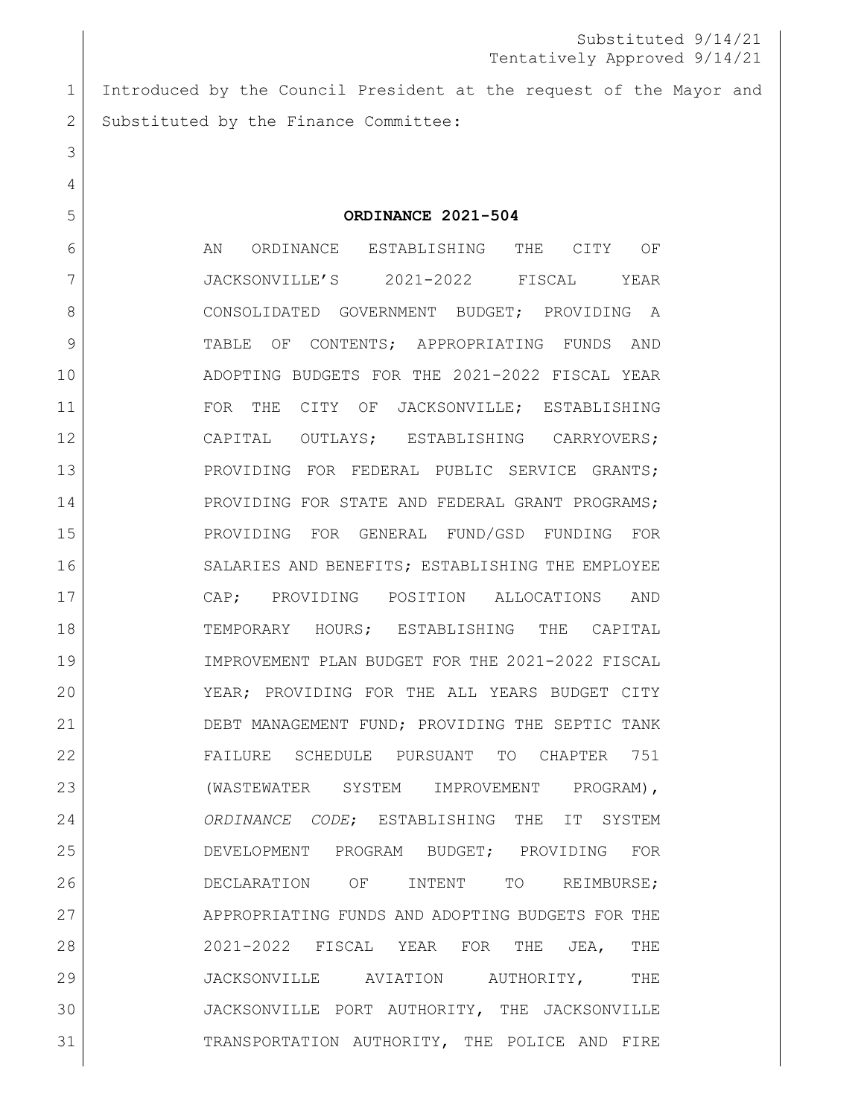Introduced by the Council President at the request of the Mayor and 2 Substituted by the Finance Committee:

**ORDINANCE 2021-504**

 AN ORDINANCE ESTABLISHING THE CITY OF JACKSONVILLE'S 2021-2022 FISCAL YEAR 8 CONSOLIDATED GOVERNMENT BUDGET; PROVIDING A TABLE OF CONTENTS; APPROPRIATING FUNDS AND ADOPTING BUDGETS FOR THE 2021-2022 FISCAL YEAR FOR THE CITY OF JACKSONVILLE; ESTABLISHING CAPITAL OUTLAYS; ESTABLISHING CARRYOVERS; 13 PROVIDING FOR FEDERAL PUBLIC SERVICE GRANTS; 14 PROVIDING FOR STATE AND FEDERAL GRANT PROGRAMS; PROVIDING FOR GENERAL FUND/GSD FUNDING FOR SALARIES AND BENEFITS; ESTABLISHING THE EMPLOYEE CAP; PROVIDING POSITION ALLOCATIONS AND TEMPORARY HOURS; ESTABLISHING THE CAPITAL IMPROVEMENT PLAN BUDGET FOR THE 2021-2022 FISCAL YEAR; PROVIDING FOR THE ALL YEARS BUDGET CITY DEBT MANAGEMENT FUND; PROVIDING THE SEPTIC TANK FAILURE SCHEDULE PURSUANT TO CHAPTER 751 23 | (WASTEWATER SYSTEM IMPROVEMENT PROGRAM), *ORDINANCE CODE*; ESTABLISHING THE IT SYSTEM DEVELOPMENT PROGRAM BUDGET; PROVIDING FOR DECLARATION OF INTENT TO REIMBURSE; 27 APPROPRIATING FUNDS AND ADOPTING BUDGETS FOR THE 2021-2022 FISCAL YEAR FOR THE JEA, THE JACKSONVILLE AVIATION AUTHORITY, THE JACKSONVILLE PORT AUTHORITY, THE JACKSONVILLE TRANSPORTATION AUTHORITY, THE POLICE AND FIRE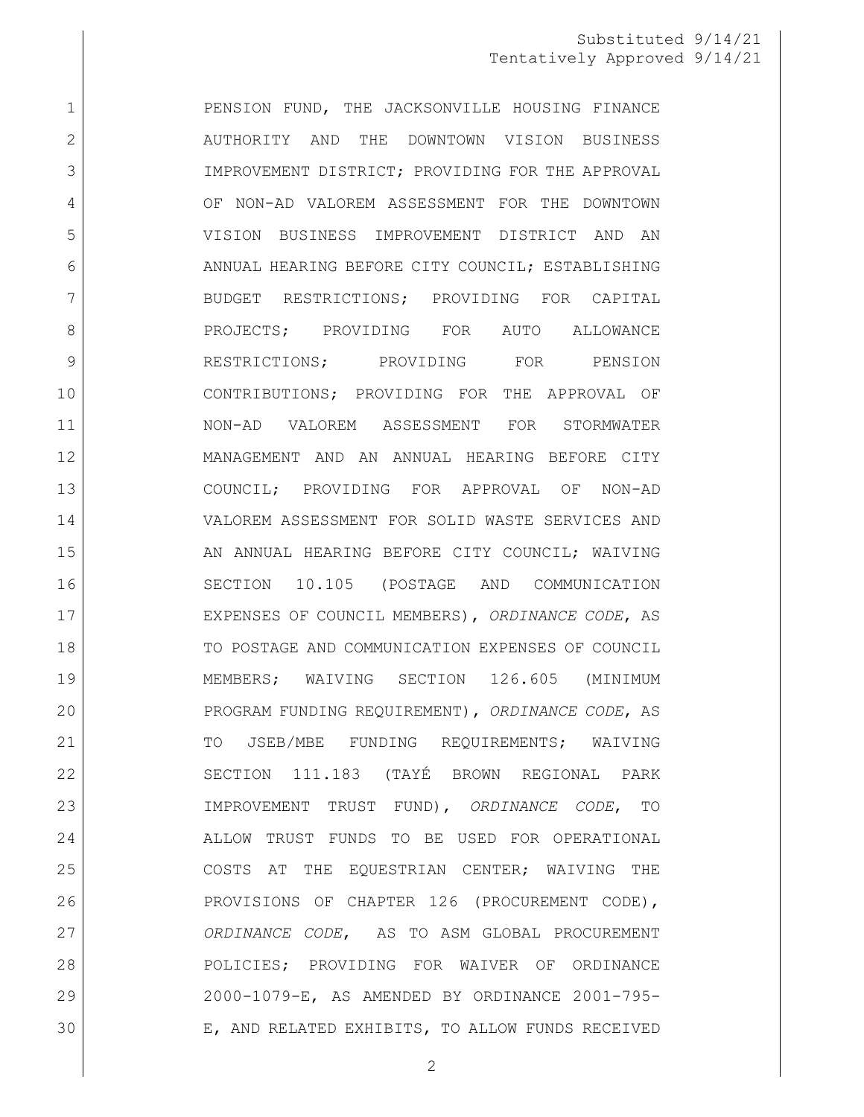1 PENSION FUND, THE JACKSONVILLE HOUSING FINANCE 2 AUTHORITY AND THE DOWNTOWN VISION BUSINESS 3 IMPROVEMENT DISTRICT; PROVIDING FOR THE APPROVAL OF NON-AD VALOREM ASSESSMENT FOR THE DOWNTOWN VISION BUSINESS IMPROVEMENT DISTRICT AND AN 6 ANNUAL HEARING BEFORE CITY COUNCIL; ESTABLISHING 7 BUDGET RESTRICTIONS; PROVIDING FOR CAPITAL 8 | PROJECTS; PROVIDING FOR AUTO ALLOWANCE 9 RESTRICTIONS; PROVIDING FOR PENSION CONTRIBUTIONS; PROVIDING FOR THE APPROVAL OF NON-AD VALOREM ASSESSMENT FOR STORMWATER MANAGEMENT AND AN ANNUAL HEARING BEFORE CITY COUNCIL; PROVIDING FOR APPROVAL OF NON-AD VALOREM ASSESSMENT FOR SOLID WASTE SERVICES AND 15 AN ANNUAL HEARING BEFORE CITY COUNCIL; WAIVING SECTION 10.105 (POSTAGE AND COMMUNICATION EXPENSES OF COUNCIL MEMBERS), *ORDINANCE CODE*, AS TO POSTAGE AND COMMUNICATION EXPENSES OF COUNCIL MEMBERS; WAIVING SECTION 126.605 (MINIMUM PROGRAM FUNDING REQUIREMENT), *ORDINANCE CODE*, AS 21 | TO JSEB/MBE FUNDING REQUIREMENTS; WAIVING SECTION 111.183 (TAYÉ BROWN REGIONAL PARK IMPROVEMENT TRUST FUND), *ORDINANCE CODE*, TO ALLOW TRUST FUNDS TO BE USED FOR OPERATIONAL COSTS AT THE EQUESTRIAN CENTER; WAIVING THE PROVISIONS OF CHAPTER 126 (PROCUREMENT CODE), *ORDINANCE CODE*, AS TO ASM GLOBAL PROCUREMENT POLICIES; PROVIDING FOR WAIVER OF ORDINANCE 2000-1079-E, AS AMENDED BY ORDINANCE 2001-795- E, AND RELATED EXHIBITS, TO ALLOW FUNDS RECEIVED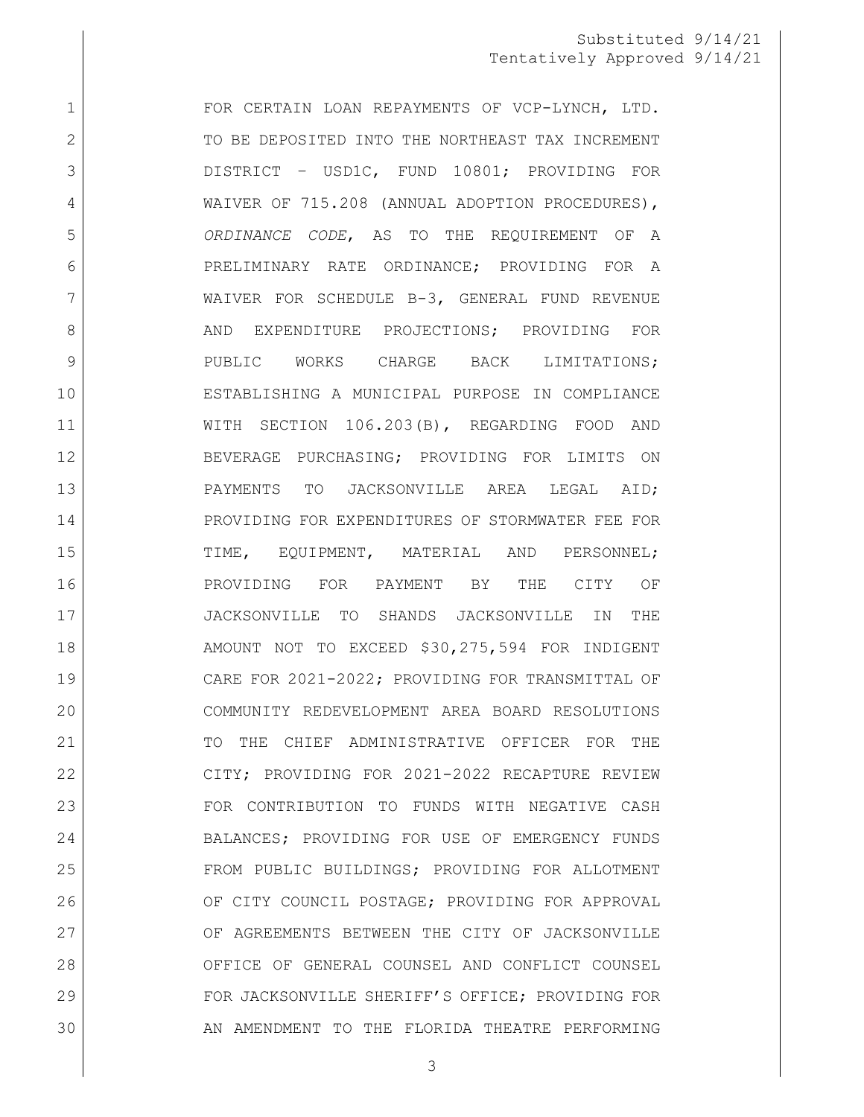1 FOR CERTAIN LOAN REPAYMENTS OF VCP-LYNCH, LTD. 2 TO BE DEPOSITED INTO THE NORTHEAST TAX INCREMENT DISTRICT – USD1C, FUND 10801; PROVIDING FOR 4 WAIVER OF 715.208 (ANNUAL ADOPTION PROCEDURES), *ORDINANCE CODE*, AS TO THE REQUIREMENT OF A PRELIMINARY RATE ORDINANCE; PROVIDING FOR A WAIVER FOR SCHEDULE B-3, GENERAL FUND REVENUE 8 AND EXPENDITURE PROJECTIONS; PROVIDING FOR PUBLIC WORKS CHARGE BACK LIMITATIONS; ESTABLISHING A MUNICIPAL PURPOSE IN COMPLIANCE WITH SECTION 106.203(B), REGARDING FOOD AND BEVERAGE PURCHASING; PROVIDING FOR LIMITS ON PAYMENTS TO JACKSONVILLE AREA LEGAL AID; 14 PROVIDING FOR EXPENDITURES OF STORMWATER FEE FOR TIME, EQUIPMENT, MATERIAL AND PERSONNEL; PROVIDING FOR PAYMENT BY THE CITY OF JACKSONVILLE TO SHANDS JACKSONVILLE IN THE 18 AMOUNT NOT TO EXCEED \$30,275,594 FOR INDIGENT CARE FOR 2021-2022; PROVIDING FOR TRANSMITTAL OF COMMUNITY REDEVELOPMENT AREA BOARD RESOLUTIONS 21 TO THE CHIEF ADMINISTRATIVE OFFICER FOR THE CITY; PROVIDING FOR 2021-2022 RECAPTURE REVIEW FOR CONTRIBUTION TO FUNDS WITH NEGATIVE CASH 24 BALANCES; PROVIDING FOR USE OF EMERGENCY FUNDS FROM PUBLIC BUILDINGS; PROVIDING FOR ALLOTMENT 26 OF CITY COUNCIL POSTAGE; PROVIDING FOR APPROVAL 27 OF AGREEMENTS BETWEEN THE CITY OF JACKSONVILLE OFFICE OF GENERAL COUNSEL AND CONFLICT COUNSEL 29 | FOR JACKSONVILLE SHERIFF'S OFFICE; PROVIDING FOR AN AMENDMENT TO THE FLORIDA THEATRE PERFORMING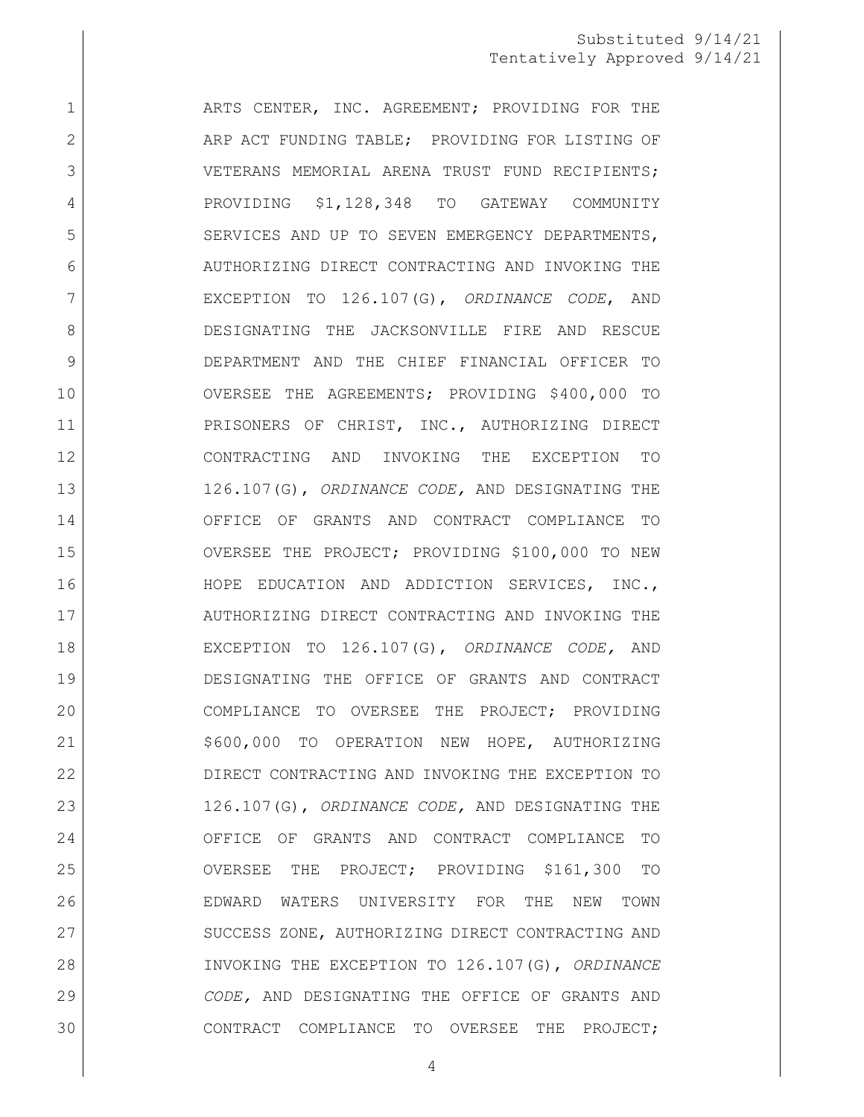1 | ARTS CENTER, INC. AGREEMENT; PROVIDING FOR THE 2 ARP ACT FUNDING TABLE; PROVIDING FOR LISTING OF 3 VETERANS MEMORIAL ARENA TRUST FUND RECIPIENTS; 4 PROVIDING \$1,128,348 TO GATEWAY COMMUNITY 5 SERVICES AND UP TO SEVEN EMERGENCY DEPARTMENTS, 6 AUTHORIZING DIRECT CONTRACTING AND INVOKING THE EXCEPTION TO 126.107(G), *ORDINANCE CODE*, AND DESIGNATING THE JACKSONVILLE FIRE AND RESCUE DEPARTMENT AND THE CHIEF FINANCIAL OFFICER TO OVERSEE THE AGREEMENTS; PROVIDING \$400,000 TO 11 PRISONERS OF CHRIST, INC., AUTHORIZING DIRECT CONTRACTING AND INVOKING THE EXCEPTION TO 126.107(G), *ORDINANCE CODE,* AND DESIGNATING THE OFFICE OF GRANTS AND CONTRACT COMPLIANCE TO OVERSEE THE PROJECT; PROVIDING \$100,000 TO NEW 16 HOPE EDUCATION AND ADDICTION SERVICES, INC., 17 AUTHORIZING DIRECT CONTRACTING AND INVOKING THE EXCEPTION TO 126.107(G), *ORDINANCE CODE,* AND DESIGNATING THE OFFICE OF GRANTS AND CONTRACT COMPLIANCE TO OVERSEE THE PROJECT; PROVIDING 21 | \$600,000 TO OPERATION NEW HOPE, AUTHORIZING DIRECT CONTRACTING AND INVOKING THE EXCEPTION TO 126.107(G), *ORDINANCE CODE,* AND DESIGNATING THE OFFICE OF GRANTS AND CONTRACT COMPLIANCE TO OVERSEE THE PROJECT; PROVIDING \$161,300 TO EDWARD WATERS UNIVERSITY FOR THE NEW TOWN 27 SUCCESS ZONE, AUTHORIZING DIRECT CONTRACTING AND INVOKING THE EXCEPTION TO 126.107(G), *ORDINANCE CODE,* AND DESIGNATING THE OFFICE OF GRANTS AND CONTRACT COMPLIANCE TO OVERSEE THE PROJECT;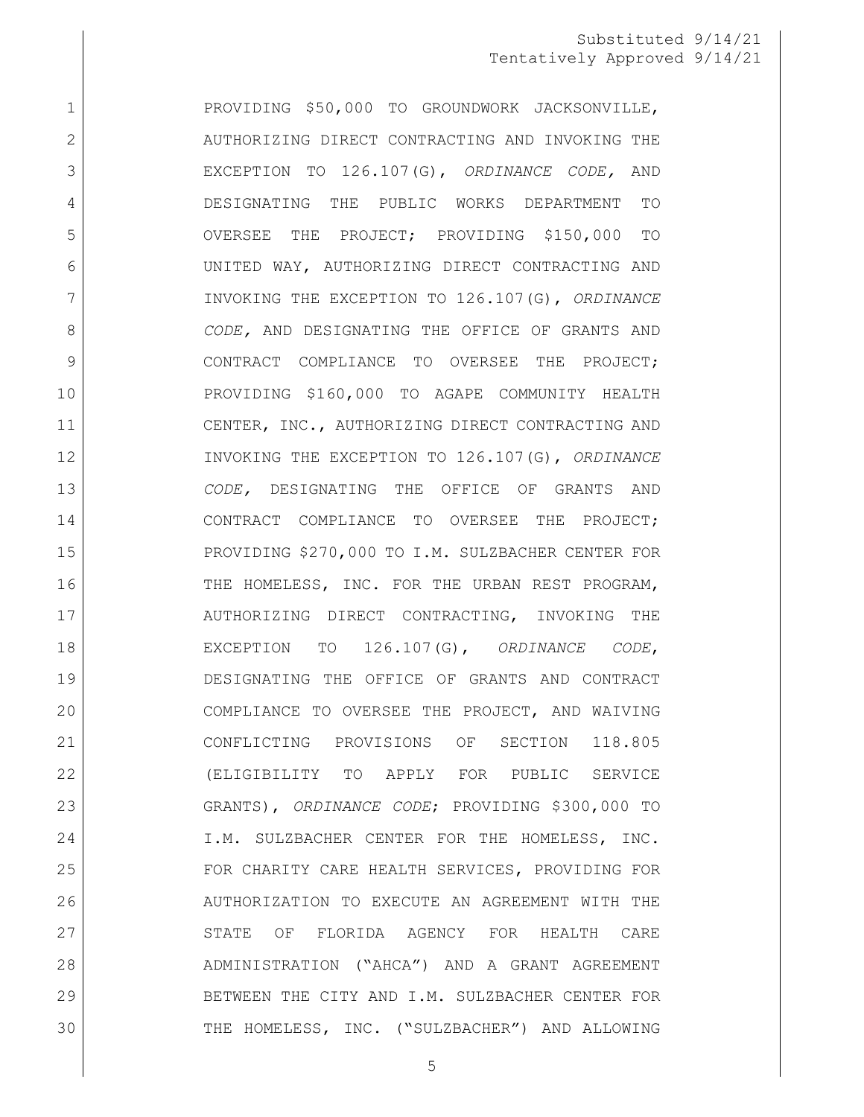1 | PROVIDING \$50,000 TO GROUNDWORK JACKSONVILLE, 2 AUTHORIZING DIRECT CONTRACTING AND INVOKING THE EXCEPTION TO 126.107(G), *ORDINANCE CODE,* AND DESIGNATING THE PUBLIC WORKS DEPARTMENT TO OVERSEE THE PROJECT; PROVIDING \$150,000 TO UNITED WAY, AUTHORIZING DIRECT CONTRACTING AND INVOKING THE EXCEPTION TO 126.107(G), *ORDINANCE CODE,* AND DESIGNATING THE OFFICE OF GRANTS AND 9 CONTRACT COMPLIANCE TO OVERSEE THE PROJECT; PROVIDING \$160,000 TO AGAPE COMMUNITY HEALTH 11 CENTER, INC., AUTHORIZING DIRECT CONTRACTING AND INVOKING THE EXCEPTION TO 126.107(G), *ORDINANCE CODE,* DESIGNATING THE OFFICE OF GRANTS AND CONTRACT COMPLIANCE TO OVERSEE THE PROJECT; PROVIDING \$270,000 TO I.M. SULZBACHER CENTER FOR 16 THE HOMELESS, INC. FOR THE URBAN REST PROGRAM, AUTHORIZING DIRECT CONTRACTING, INVOKING THE EXCEPTION TO 126.107(G), *ORDINANCE CODE*, DESIGNATING THE OFFICE OF GRANTS AND CONTRACT COMPLIANCE TO OVERSEE THE PROJECT, AND WAIVING CONFLICTING PROVISIONS OF SECTION 118.805 (ELIGIBILITY TO APPLY FOR PUBLIC SERVICE GRANTS), *ORDINANCE CODE*; PROVIDING \$300,000 TO 24 I.M. SULZBACHER CENTER FOR THE HOMELESS, INC. 25 FOR CHARITY CARE HEALTH SERVICES, PROVIDING FOR AUTHORIZATION TO EXECUTE AN AGREEMENT WITH THE 27 STATE OF FLORIDA AGENCY FOR HEALTH CARE ADMINISTRATION ("AHCA") AND A GRANT AGREEMENT BETWEEN THE CITY AND I.M. SULZBACHER CENTER FOR THE HOMELESS, INC. ("SULZBACHER") AND ALLOWING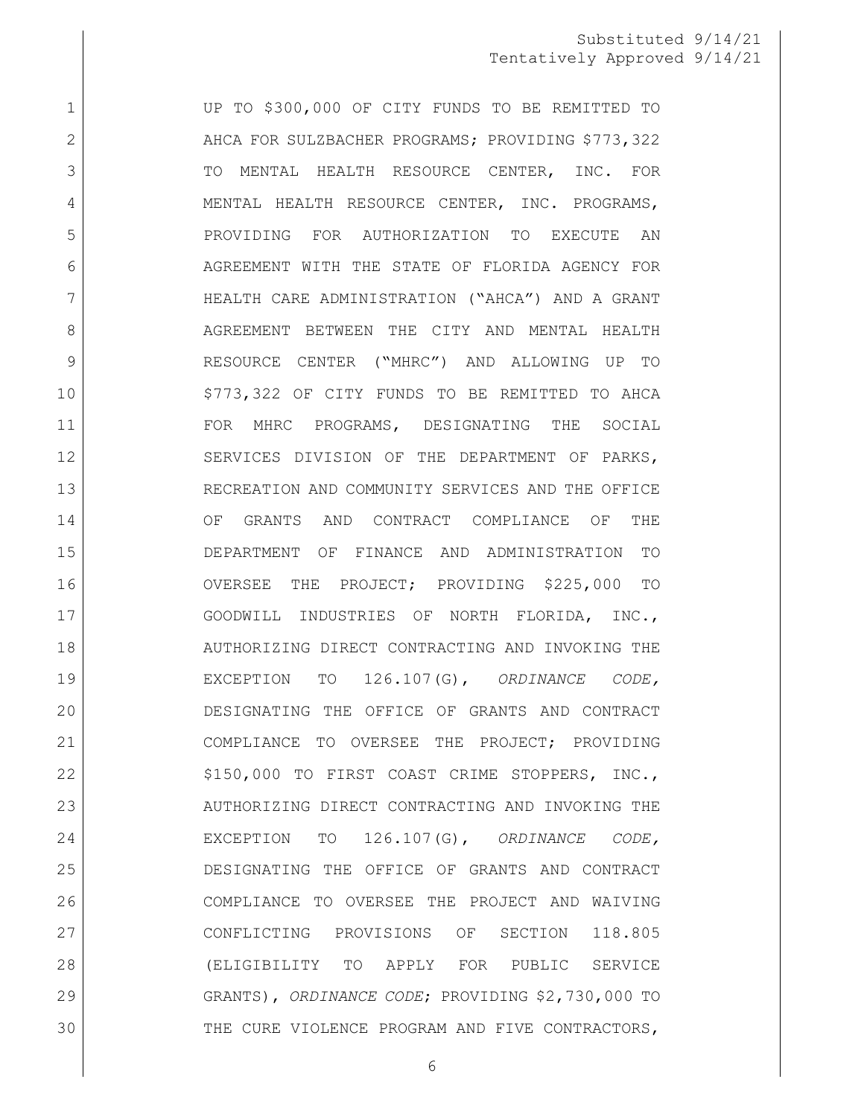1 UP TO \$300,000 OF CITY FUNDS TO BE REMITTED TO 2 AHCA FOR SULZBACHER PROGRAMS; PROVIDING \$773,322 3 TO MENTAL HEALTH RESOURCE CENTER, INC. FOR 4 MENTAL HEALTH RESOURCE CENTER, INC. PROGRAMS, PROVIDING FOR AUTHORIZATION TO EXECUTE AN 6 AGREEMENT WITH THE STATE OF FLORIDA AGENCY FOR HEALTH CARE ADMINISTRATION ("AHCA") AND A GRANT 8 AGREEMENT BETWEEN THE CITY AND MENTAL HEALTH RESOURCE CENTER ("MHRC") AND ALLOWING UP TO \$773,322 OF CITY FUNDS TO BE REMITTED TO AHCA 11 | FOR MHRC PROGRAMS, DESIGNATING THE SOCIAL SERVICES DIVISION OF THE DEPARTMENT OF PARKS, RECREATION AND COMMUNITY SERVICES AND THE OFFICE 14 OF GRANTS AND CONTRACT COMPLIANCE OF THE DEPARTMENT OF FINANCE AND ADMINISTRATION TO OVERSEE THE PROJECT; PROVIDING \$225,000 TO GOODWILL INDUSTRIES OF NORTH FLORIDA, INC., 18 AUTHORIZING DIRECT CONTRACTING AND INVOKING THE EXCEPTION TO 126.107(G), *ORDINANCE CODE,*  DESIGNATING THE OFFICE OF GRANTS AND CONTRACT COMPLIANCE TO OVERSEE THE PROJECT; PROVIDING 22 | S150,000 TO FIRST COAST CRIME STOPPERS, INC., 23 AUTHORIZING DIRECT CONTRACTING AND INVOKING THE EXCEPTION TO 126.107(G), *ORDINANCE CODE,*  DESIGNATING THE OFFICE OF GRANTS AND CONTRACT COMPLIANCE TO OVERSEE THE PROJECT AND WAIVING CONFLICTING PROVISIONS OF SECTION 118.805 (ELIGIBILITY TO APPLY FOR PUBLIC SERVICE GRANTS), *ORDINANCE CODE*; PROVIDING \$2,730,000 TO THE CURE VIOLENCE PROGRAM AND FIVE CONTRACTORS,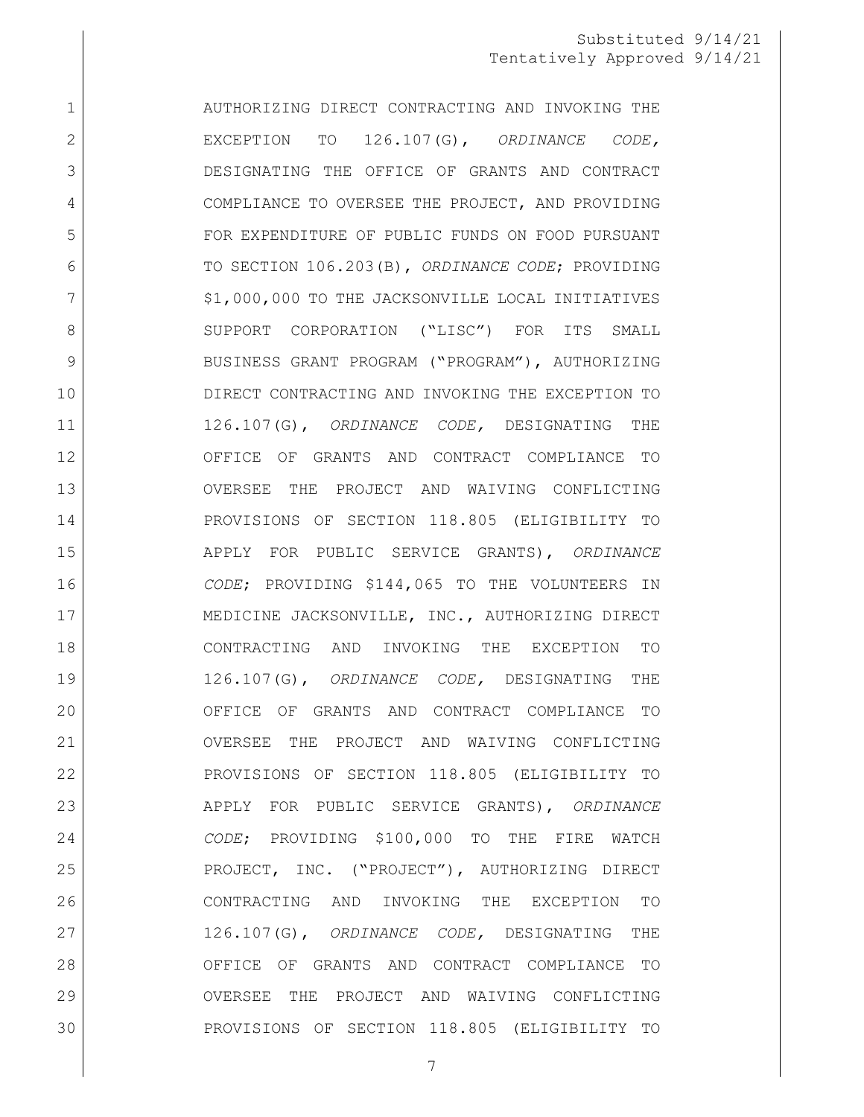1 AUTHORIZING DIRECT CONTRACTING AND INVOKING THE EXCEPTION TO 126.107(G), *ORDINANCE CODE,*  DESIGNATING THE OFFICE OF GRANTS AND CONTRACT 4 COMPLIANCE TO OVERSEE THE PROJECT, AND PROVIDING FOR EXPENDITURE OF PUBLIC FUNDS ON FOOD PURSUANT TO SECTION 106.203(B), *ORDINANCE CODE*; PROVIDING 7 | \$1,000,000 TO THE JACKSONVILLE LOCAL INITIATIVES 8 SUPPORT CORPORATION ("LISC") FOR ITS SMALL 9 BUSINESS GRANT PROGRAM ("PROGRAM"), AUTHORIZING DIRECT CONTRACTING AND INVOKING THE EXCEPTION TO 126.107(G), *ORDINANCE CODE,* DESIGNATING THE OFFICE OF GRANTS AND CONTRACT COMPLIANCE TO OVERSEE THE PROJECT AND WAIVING CONFLICTING PROVISIONS OF SECTION 118.805 (ELIGIBILITY TO APPLY FOR PUBLIC SERVICE GRANTS), *ORDINANCE CODE*; PROVIDING \$144,065 TO THE VOLUNTEERS IN 17 MEDICINE JACKSONVILLE, INC., AUTHORIZING DIRECT CONTRACTING AND INVOKING THE EXCEPTION TO 126.107(G), *ORDINANCE CODE,* DESIGNATING THE OFFICE OF GRANTS AND CONTRACT COMPLIANCE TO OVERSEE THE PROJECT AND WAIVING CONFLICTING PROVISIONS OF SECTION 118.805 (ELIGIBILITY TO APPLY FOR PUBLIC SERVICE GRANTS), *ORDINANCE CODE*; PROVIDING \$100,000 TO THE FIRE WATCH PROJECT, INC. ("PROJECT"), AUTHORIZING DIRECT CONTRACTING AND INVOKING THE EXCEPTION TO 126.107(G), *ORDINANCE CODE,* DESIGNATING THE OFFICE OF GRANTS AND CONTRACT COMPLIANCE TO OVERSEE THE PROJECT AND WAIVING CONFLICTING PROVISIONS OF SECTION 118.805 (ELIGIBILITY TO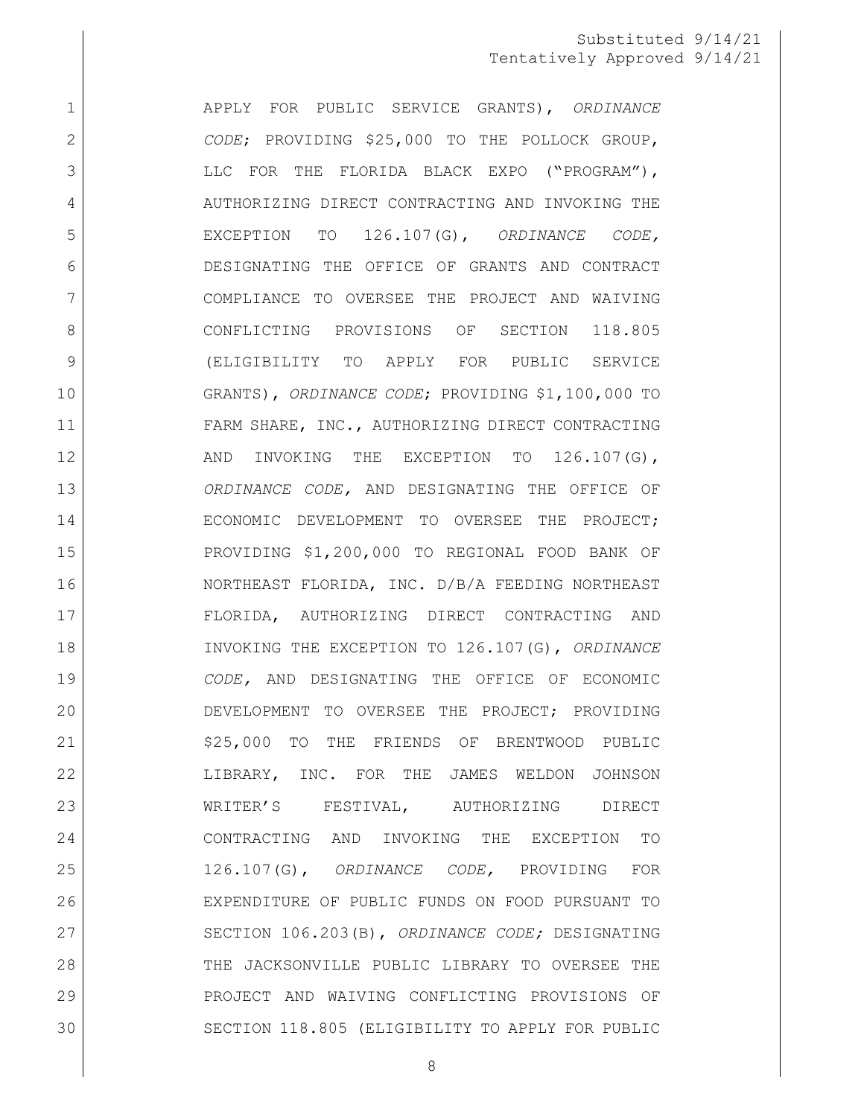APPLY FOR PUBLIC SERVICE GRANTS), *ORDINANCE CODE*; PROVIDING \$25,000 TO THE POLLOCK GROUP, 3 LLC FOR THE FLORIDA BLACK EXPO ("PROGRAM"), 4 AUTHORIZING DIRECT CONTRACTING AND INVOKING THE EXCEPTION TO 126.107(G), *ORDINANCE CODE,* DESIGNATING THE OFFICE OF GRANTS AND CONTRACT COMPLIANCE TO OVERSEE THE PROJECT AND WAIVING 8 CONFLICTING PROVISIONS OF SECTION 118.805 (ELIGIBILITY TO APPLY FOR PUBLIC SERVICE GRANTS), *ORDINANCE CODE*; PROVIDING \$1,100,000 TO 11 FARM SHARE, INC., AUTHORIZING DIRECT CONTRACTING 12 AND INVOKING THE EXCEPTION TO 126.107(G), *ORDINANCE CODE,* AND DESIGNATING THE OFFICE OF ECONOMIC DEVELOPMENT TO OVERSEE THE PROJECT; PROVIDING \$1,200,000 TO REGIONAL FOOD BANK OF NORTHEAST FLORIDA, INC. D/B/A FEEDING NORTHEAST FLORIDA, AUTHORIZING DIRECT CONTRACTING AND INVOKING THE EXCEPTION TO 126.107(G), *ORDINANCE CODE,* AND DESIGNATING THE OFFICE OF ECONOMIC DEVELOPMENT TO OVERSEE THE PROJECT; PROVIDING 21 \$25,000 TO THE FRIENDS OF BRENTWOOD PUBLIC LIBRARY, INC. FOR THE JAMES WELDON JOHNSON WRITER'S FESTIVAL, AUTHORIZING DIRECT CONTRACTING AND INVOKING THE EXCEPTION TO 126.107(G), *ORDINANCE CODE,* PROVIDING FOR EXPENDITURE OF PUBLIC FUNDS ON FOOD PURSUANT TO SECTION 106.203(B), *ORDINANCE CODE;* DESIGNATING THE JACKSONVILLE PUBLIC LIBRARY TO OVERSEE THE PROJECT AND WAIVING CONFLICTING PROVISIONS OF SECTION 118.805 (ELIGIBILITY TO APPLY FOR PUBLIC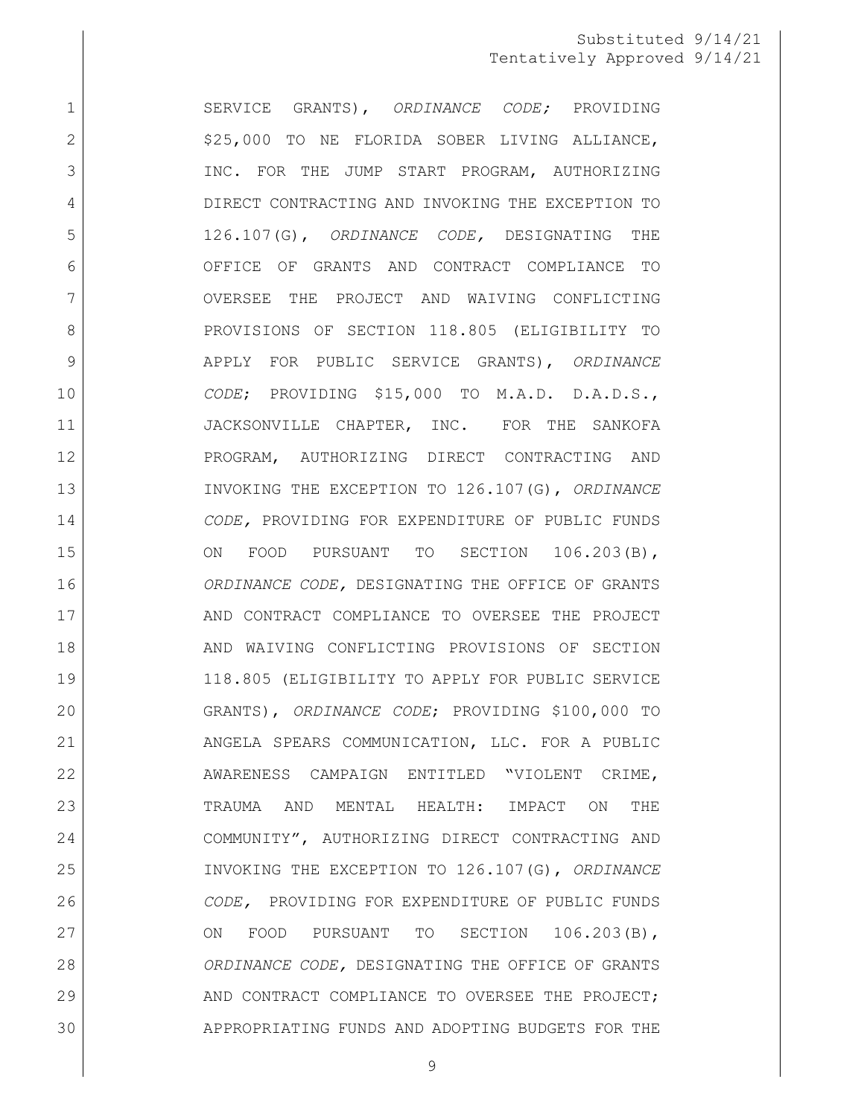SERVICE GRANTS), *ORDINANCE CODE;* PROVIDING 2 | S25,000 TO NE FLORIDA SOBER LIVING ALLIANCE, 3 INC. FOR THE JUMP START PROGRAM, AUTHORIZING DIRECT CONTRACTING AND INVOKING THE EXCEPTION TO 126.107(G), *ORDINANCE CODE,* DESIGNATING THE OFFICE OF GRANTS AND CONTRACT COMPLIANCE TO OVERSEE THE PROJECT AND WAIVING CONFLICTING 8 PROVISIONS OF SECTION 118.805 (ELIGIBILITY TO APPLY FOR PUBLIC SERVICE GRANTS), *ORDINANCE CODE*; PROVIDING \$15,000 TO M.A.D. D.A.D.S., 11 | JACKSONVILLE CHAPTER, INC. FOR THE SANKOFA PROGRAM, AUTHORIZING DIRECT CONTRACTING AND INVOKING THE EXCEPTION TO 126.107(G), *ORDINANCE CODE,* PROVIDING FOR EXPENDITURE OF PUBLIC FUNDS 15 ON FOOD PURSUANT TO SECTION 106.203(B), *ORDINANCE CODE,* DESIGNATING THE OFFICE OF GRANTS 17 AND CONTRACT COMPLIANCE TO OVERSEE THE PROJECT 18 AND WAIVING CONFLICTING PROVISIONS OF SECTION 118.805 (ELIGIBILITY TO APPLY FOR PUBLIC SERVICE GRANTS), *ORDINANCE CODE*; PROVIDING \$100,000 TO ANGELA SPEARS COMMUNICATION, LLC. FOR A PUBLIC AWARENESS CAMPAIGN ENTITLED "VIOLENT CRIME, TRAUMA AND MENTAL HEALTH: IMPACT ON THE COMMUNITY", AUTHORIZING DIRECT CONTRACTING AND INVOKING THE EXCEPTION TO 126.107(G), *ORDINANCE CODE,* PROVIDING FOR EXPENDITURE OF PUBLIC FUNDS 27 ON FOOD PURSUANT TO SECTION 106.203(B), *ORDINANCE CODE,* DESIGNATING THE OFFICE OF GRANTS 29 AND CONTRACT COMPLIANCE TO OVERSEE THE PROJECT: APPROPRIATING FUNDS AND ADOPTING BUDGETS FOR THE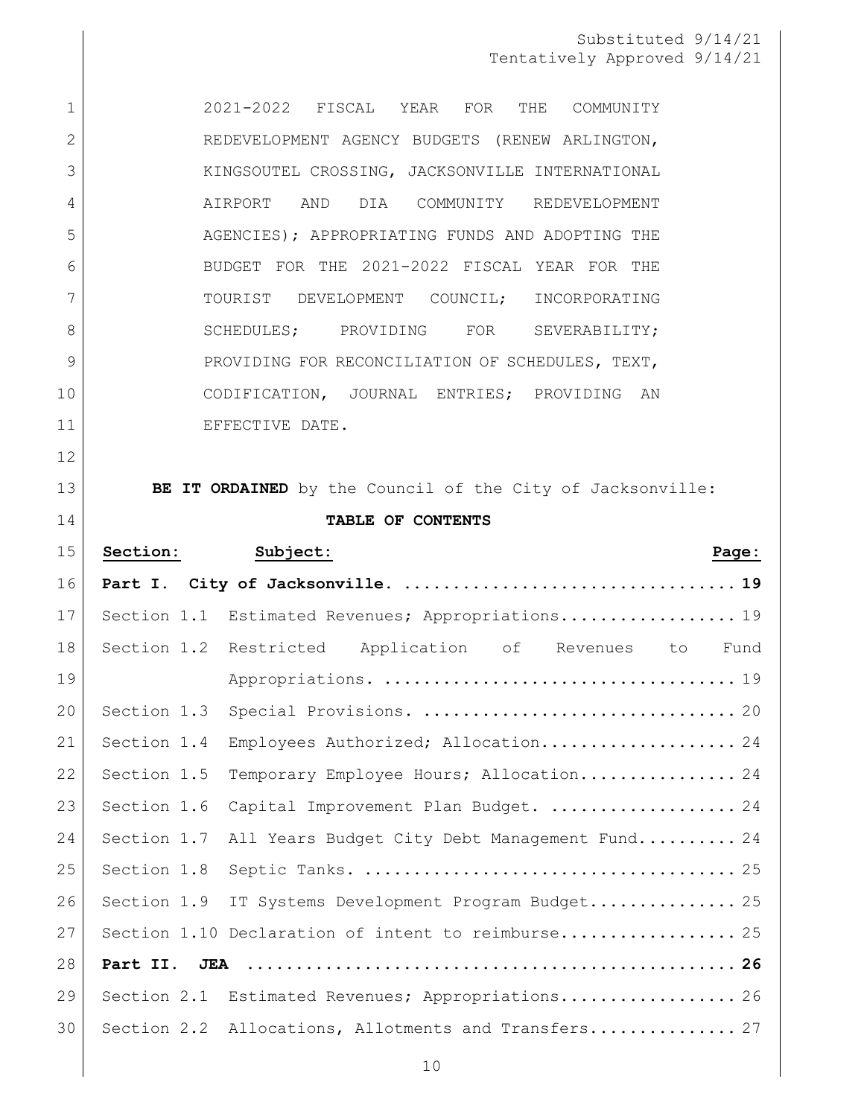| $\mathbf 1$ | 2021-2022 FISCAL YEAR FOR<br>THE<br>COMMUNITY                |
|-------------|--------------------------------------------------------------|
| 2           | REDEVELOPMENT AGENCY BUDGETS (RENEW ARLINGTON,               |
| 3           | KINGSOUTEL CROSSING, JACKSONVILLE INTERNATIONAL              |
| 4           | DIA COMMUNITY REDEVELOPMENT<br>AIRPORT AND                   |
| 5           | AGENCIES); APPROPRIATING FUNDS AND ADOPTING THE              |
| 6           | BUDGET FOR THE 2021-2022 FISCAL YEAR FOR THE                 |
| 7           | TOURIST DEVELOPMENT COUNCIL;<br>INCORPORATING                |
| 8           | SCHEDULES; PROVIDING FOR SEVERABILITY;                       |
| 9           | PROVIDING FOR RECONCILIATION OF SCHEDULES, TEXT,             |
| 10          | CODIFICATION, JOURNAL ENTRIES; PROVIDING AN                  |
| 11          | EFFECTIVE DATE.                                              |
| 12          |                                                              |
| 13          | BE IT ORDAINED by the Council of the City of Jacksonville:   |
| 14          | TABLE OF CONTENTS                                            |
| 15          | Section:<br>Subject:<br>Page:                                |
|             |                                                              |
| 16          |                                                              |
| 17          | Section 1.1 Estimated Revenues; Appropriations 19            |
| 18          | Section 1.2 Restricted Application of Revenues to Fund       |
| 19          |                                                              |
| 20          |                                                              |
| 21          | Section 1.4<br>Employees Authorized; Allocation 24           |
| 22          | Section 1.5<br>Temporary Employee Hours; Allocation 24       |
| 23          | Section 1.6<br>Capital Improvement Plan Budget.  24          |
| 24          | All Years Budget City Debt Management Fund 24<br>Section 1.7 |
| 25          | Section 1.8                                                  |
| 26          | Section 1.9<br>IT Systems Development Program Budget 25      |
| 27          | Section 1.10 Declaration of intent to reimburse 25           |
| 28          | Part II.                                                     |
| 29          | Section 2.1 Estimated Revenues; Appropriations 26            |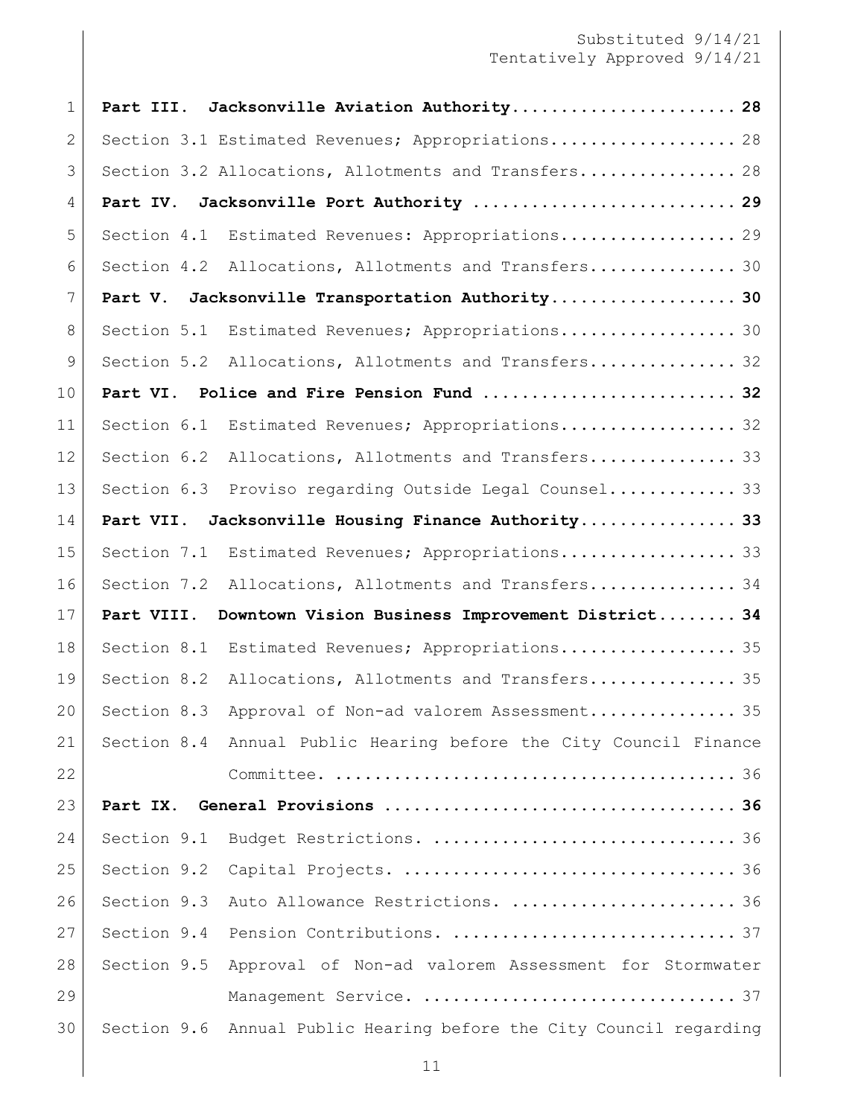| $\mathbf{1}$ | Part III.   | Jacksonville Aviation Authority 28                                |
|--------------|-------------|-------------------------------------------------------------------|
| $\mathbf{2}$ |             | Section 3.1 Estimated Revenues; Appropriations 28                 |
| 3            |             | Section 3.2 Allocations, Allotments and Transfers 28              |
| 4            | Part IV.    | Jacksonville Port Authority  29                                   |
| 5            | Section 4.1 | Estimated Revenues: Appropriations 29                             |
| 6            |             | Section 4.2 Allocations, Allotments and Transfers 30              |
| 7            | Part V.     | Jacksonville Transportation Authority 30                          |
| 8            | Section 5.1 | Estimated Revenues; Appropriations 30                             |
| 9            |             | Section 5.2 Allocations, Allotments and Transfers 32              |
| 10           | Part VI.    | Police and Fire Pension Fund  32                                  |
| 11           | Section 6.1 | Estimated Revenues; Appropriations 32                             |
| 12           | Section 6.2 | Allocations, Allotments and Transfers 33                          |
| 13           | Section 6.3 | Proviso regarding Outside Legal Counsel 33                        |
| 14           | Part VII.   | Jacksonville Housing Finance Authority 33                         |
| 15           | Section 7.1 | Estimated Revenues; Appropriations 33                             |
| 16           | Section 7.2 | Allocations, Allotments and Transfers 34                          |
| 17           | Part VIII.  | Downtown Vision Business Improvement District 34                  |
| 18           | Section 8.1 | Estimated Revenues; Appropriations 35                             |
| 19           | Section 8.2 | Allocations, Allotments and Transfers 35                          |
| 20           | Section 8.3 | Approval of Non-ad valorem Assessment 35                          |
| 21           |             | Section 8.4 Annual Public Hearing before the City Council Finance |
| 22           |             |                                                                   |
| 23           | Part IX.    |                                                                   |
| 24           | Section 9.1 | Budget Restrictions.  36                                          |
| 25           | Section 9.2 |                                                                   |
| 26           | Section 9.3 | Auto Allowance Restrictions.  36                                  |
| 27           | Section 9.4 |                                                                   |
| 28           | Section 9.5 | Approval of Non-ad valorem Assessment for Stormwater              |
| 29           |             |                                                                   |
| 30           | Section 9.6 | Annual Public Hearing before the City Council regarding           |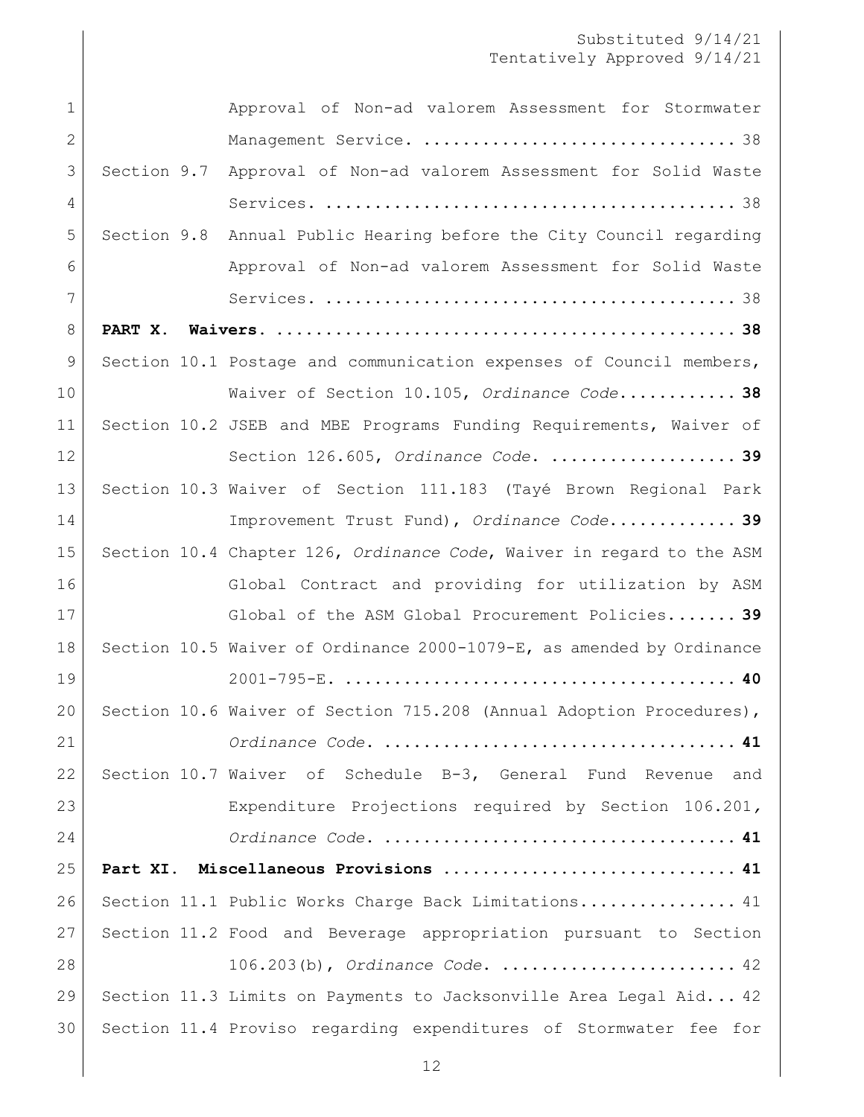| $\mathbf 1$    |             | Approval of Non-ad valorem Assessment for Stormwater                  |
|----------------|-------------|-----------------------------------------------------------------------|
| $\mathbf{2}$   |             |                                                                       |
| 3              | Section 9.7 | Approval of Non-ad valorem Assessment for Solid Waste                 |
| 4              |             |                                                                       |
| 5              |             | Section 9.8 Annual Public Hearing before the City Council regarding   |
| 6              |             | Approval of Non-ad valorem Assessment for Solid Waste                 |
| 7              |             |                                                                       |
| 8              |             |                                                                       |
| $\overline{9}$ |             | Section 10.1 Postage and communication expenses of Council members,   |
| 10             |             | Waiver of Section 10.105, Ordinance Code 38                           |
| 11             |             | Section 10.2 JSEB and MBE Programs Funding Requirements, Waiver of    |
| 12             |             | Section 126.605, Ordinance Code.  39                                  |
| 13             |             | Section 10.3 Waiver of Section 111.183 (Tayé Brown Regional Park      |
| 14             |             | Improvement Trust Fund), Ordinance Code 39                            |
| 15             |             | Section 10.4 Chapter 126, Ordinance Code, Waiver in regard to the ASM |
| 16             |             | Global Contract and providing for utilization by ASM                  |
|                |             |                                                                       |
| 17             |             | Global of the ASM Global Procurement Policies 39                      |
| 18             |             | Section 10.5 Waiver of Ordinance 2000-1079-E, as amended by Ordinance |
| 19             |             |                                                                       |
| 20             |             | Section 10.6 Waiver of Section 715.208 (Annual Adoption Procedures),  |
| 21             |             |                                                                       |
| 22             |             | Section 10.7 Waiver of Schedule B-3, General Fund Revenue and         |
| 23             |             | Expenditure Projections required by Section 106.201,                  |
| 24             |             |                                                                       |
| 25             |             | Part XI. Miscellaneous Provisions  41                                 |
| 26             |             | Section 11.1 Public Works Charge Back Limitations 41                  |
| 27             |             | Section 11.2 Food and Beverage appropriation pursuant to Section      |
| 28             |             | $106.203(b)$ , Ordinance Code.  42                                    |
| 29             |             | Section 11.3 Limits on Payments to Jacksonville Area Legal Aid 42     |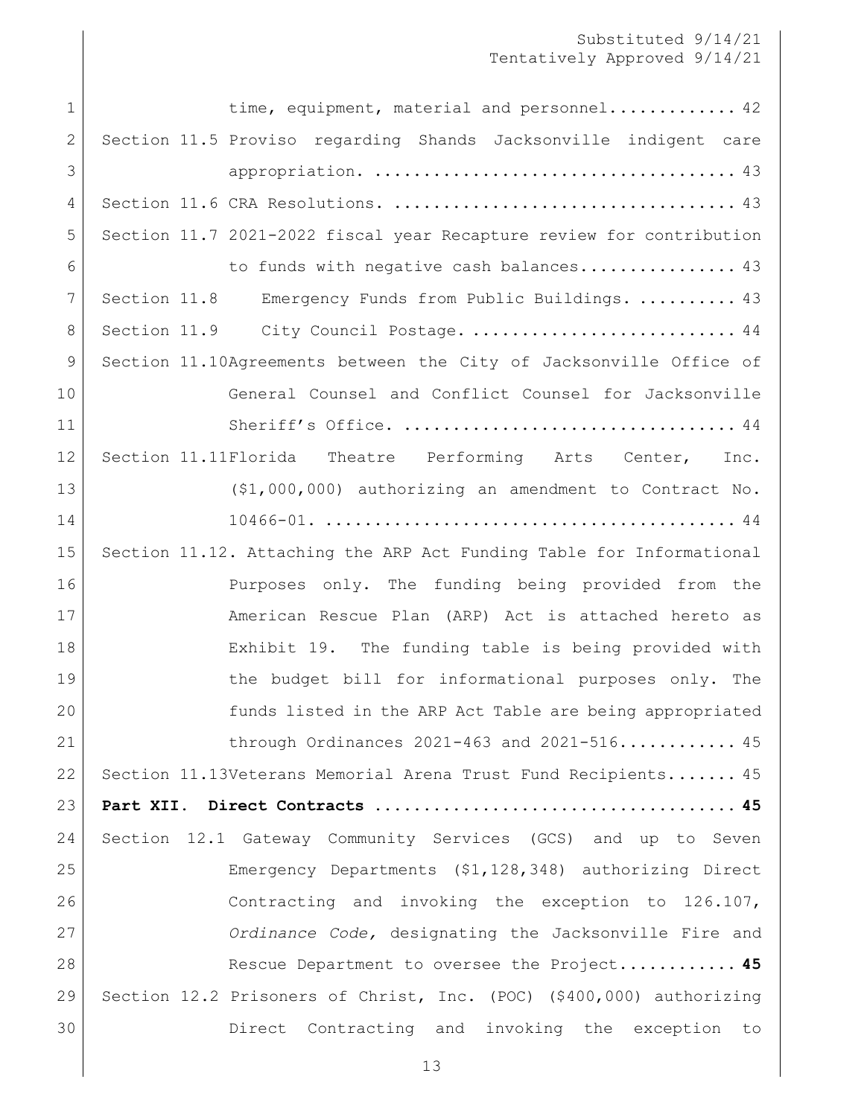| $\mathbf 1$  | time, equipment, material and personnel 42                           |
|--------------|----------------------------------------------------------------------|
| $\mathbf{2}$ | Section 11.5 Proviso regarding Shands Jacksonville indigent care     |
| 3            |                                                                      |
| 4            |                                                                      |
| 5            | Section 11.7 2021-2022 fiscal year Recapture review for contribution |
| 6            | to funds with negative cash balances 43                              |
| 7            | Section 11.8 Emergency Funds from Public Buildings.  43              |
| 8            | Section 11.9 City Council Postage.  44                               |
| 9            | Section 11.10Agreements between the City of Jacksonville Office of   |
| 10           | General Counsel and Conflict Counsel for Jacksonville                |
| 11           |                                                                      |
| 12           | Section 11.11Florida Theatre Performing Arts Center, Inc.            |
| 13           | $($1,000,000)$ authorizing an amendment to Contract No.              |
| 14           |                                                                      |
| 15           | Section 11.12. Attaching the ARP Act Funding Table for Informational |
| 16           | Purposes only. The funding being provided from the                   |
| 17           | American Rescue Plan (ARP) Act is attached hereto as                 |
| 18           | Exhibit 19. The funding table is being provided with                 |
| 19           | the budget bill for informational purposes only. The                 |
| 20           | funds listed in the ARP Act Table are being appropriated             |
| 21           | through Ordinances $2021 - 463$ and $2021 - 516$ 45                  |
| 22           | Section 11.13Veterans Memorial Arena Trust Fund Recipients 45        |
| 23           |                                                                      |
| 24           | Section 12.1 Gateway Community Services (GCS) and up to Seven        |
| 25           | Emergency Departments (\$1,128,348) authorizing Direct               |
| 26           | Contracting and invoking the exception to 126.107,                   |
| 27           | Ordinance Code, designating the Jacksonville Fire and                |
| 28           | Rescue Department to oversee the Project 45                          |
| 29           | Section 12.2 Prisoners of Christ, Inc. (POC) (\$400,000) authorizing |
| 30           | Direct Contracting and invoking the exception to                     |
|              |                                                                      |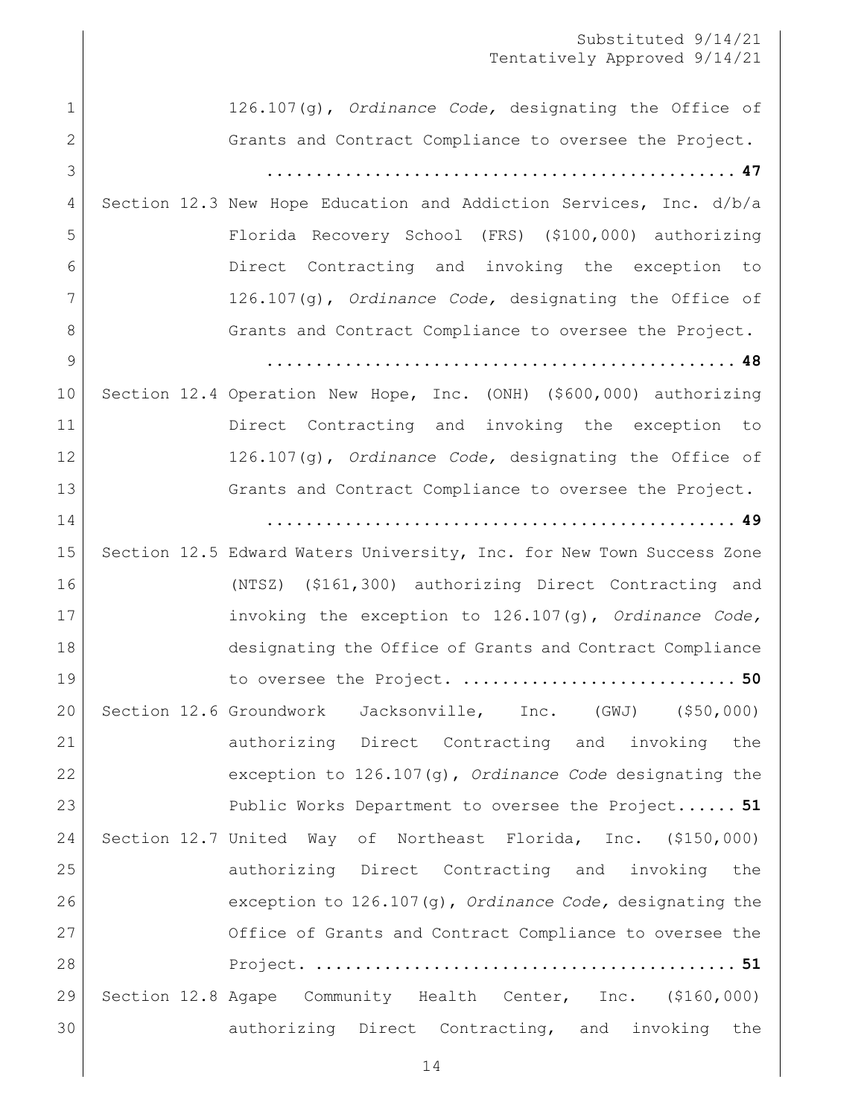|              | Substituted 9/14/21<br>Tentatively Approved 9/14/21                   |
|--------------|-----------------------------------------------------------------------|
| $\mathbf{1}$ | 126.107(g), Ordinance Code, designating the Office of                 |
| $\mathbf{2}$ | Grants and Contract Compliance to oversee the Project.                |
| 3            |                                                                       |
| 4            | Section 12.3 New Hope Education and Addiction Services, Inc. d/b/a    |
| 5            | Florida Recovery School (FRS) (\$100,000) authorizing                 |
| 6            | Direct Contracting and invoking the exception to                      |
| 7            | $126.107(q)$ , Ordinance Code, designating the Office of              |
| 8            | Grants and Contract Compliance to oversee the Project.                |
| 9            |                                                                       |
| 10           | Section 12.4 Operation New Hope, Inc. (ONH) (\$600,000) authorizing   |
| 11           | Direct Contracting and invoking the exception to                      |
| 12           | $126.107(q)$ , Ordinance Code, designating the Office of              |
| 13           | Grants and Contract Compliance to oversee the Project.                |
| 14           |                                                                       |
| 15           | Section 12.5 Edward Waters University, Inc. for New Town Success Zone |
| 16           | (NTSZ) (\$161,300) authorizing Direct Contracting and                 |
| 17           | invoking the exception to $126.107(q)$ , Ordinance Code,              |
| 18           | designating the Office of Grants and Contract Compliance              |
| 19           | to oversee the Project.  50                                           |
| 20           | Section 12.6 Groundwork Jacksonville, Inc. (GWJ) (\$50,000)           |
| 21           | authorizing Direct Contracting and invoking the                       |
| 22           | exception to $126.107(g)$ , Ordinance Code designating the            |
| 23           | Public Works Department to oversee the Project 51                     |
| 24           | Section 12.7 United Way of Northeast Florida, Inc. (\$150,000)        |
| 25           | authorizing Direct Contracting and invoking the                       |
| 26           | exception to $126.107(g)$ , Ordinance Code, designating the           |
| 27           | Office of Grants and Contract Compliance to oversee the               |
| 28           |                                                                       |
| 29           | Section 12.8 Agape Community Health Center, Inc. (\$160,000)          |
| 30           | authorizing Direct Contracting, and invoking the                      |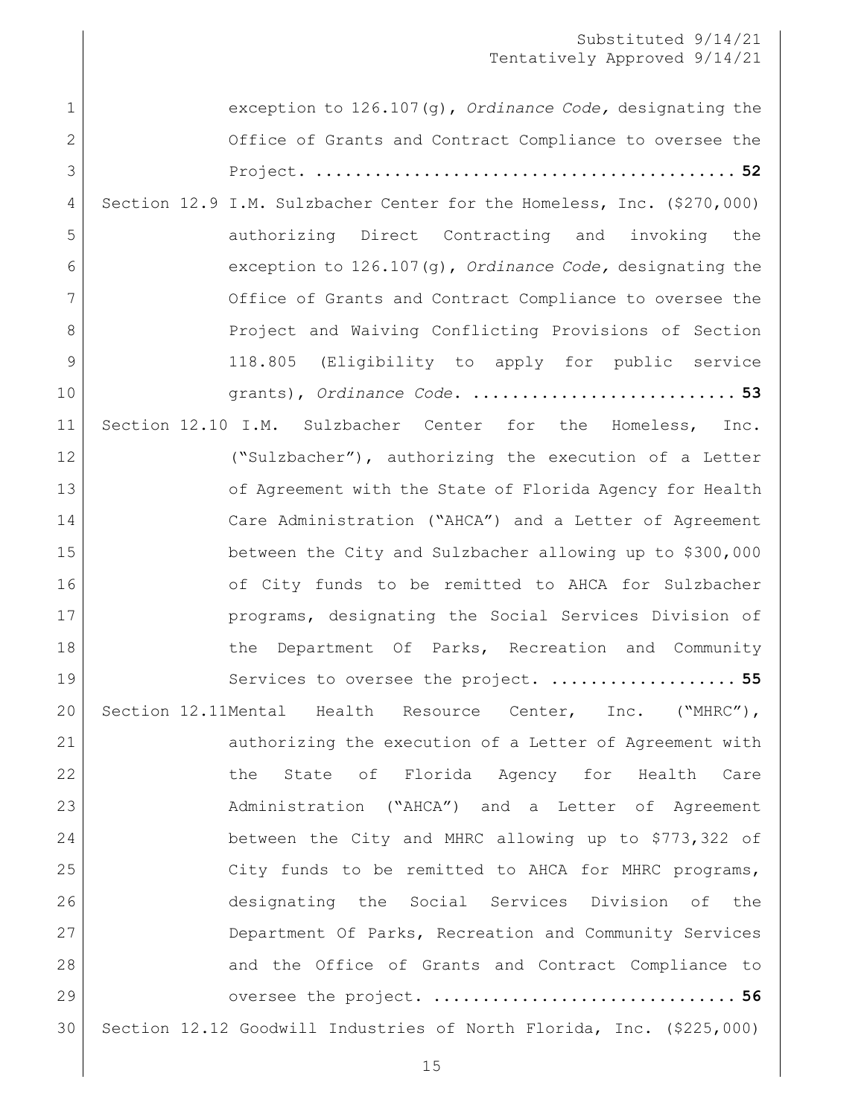| $\mathbf 1$  | exception to $126.107(q)$ , Ordinance Code, designating the            |
|--------------|------------------------------------------------------------------------|
| $\mathbf{2}$ | Office of Grants and Contract Compliance to oversee the                |
| 3            |                                                                        |
| 4            | Section 12.9 I.M. Sulzbacher Center for the Homeless, Inc. (\$270,000) |
| 5            | authorizing Direct Contracting and invoking the                        |
| 6            | exception to $126.107(q)$ , Ordinance Code, designating the            |
| 7            | Office of Grants and Contract Compliance to oversee the                |
| 8            | Project and Waiving Conflicting Provisions of Section                  |
| 9            | 118.805 (Eligibility to apply for public service                       |
| 10           | grants), Ordinance Code.  53                                           |
| 11           | Section 12.10 I.M. Sulzbacher Center for the Homeless,<br>Inc.         |
| 12           | ("Sulzbacher"), authorizing the execution of a Letter                  |
| 13           | of Agreement with the State of Florida Agency for Health               |
| 14           | Care Administration ("AHCA") and a Letter of Agreement                 |
| 15           | between the City and Sulzbacher allowing up to \$300,000               |
| 16           | of City funds to be remitted to AHCA for Sulzbacher                    |
| 17           | programs, designating the Social Services Division of                  |
| 18           | the Department Of Parks, Recreation and Community                      |
| 19           | Services to oversee the project.  55                                   |
| 20           | Section 12.11Mental Health Resource Center, Inc. ("MHRC"),             |
| 21           | authorizing the execution of a Letter of Agreement with                |
| 22           | State of Florida Agency for Health Care<br>the                         |
| 23           | Administration ("AHCA") and a Letter of Agreement                      |
| 24           | between the City and MHRC allowing up to \$773,322 of                  |
| 25           | City funds to be remitted to AHCA for MHRC programs,                   |
| 26           | designating the Social Services Division of the                        |
| 27           | Department Of Parks, Recreation and Community Services                 |
| 28           | and the Office of Grants and Contract Compliance to                    |
| 29           | oversee the project.  56                                               |
| 30           | Section 12.12 Goodwill Industries of North Florida, Inc. (\$225,000)   |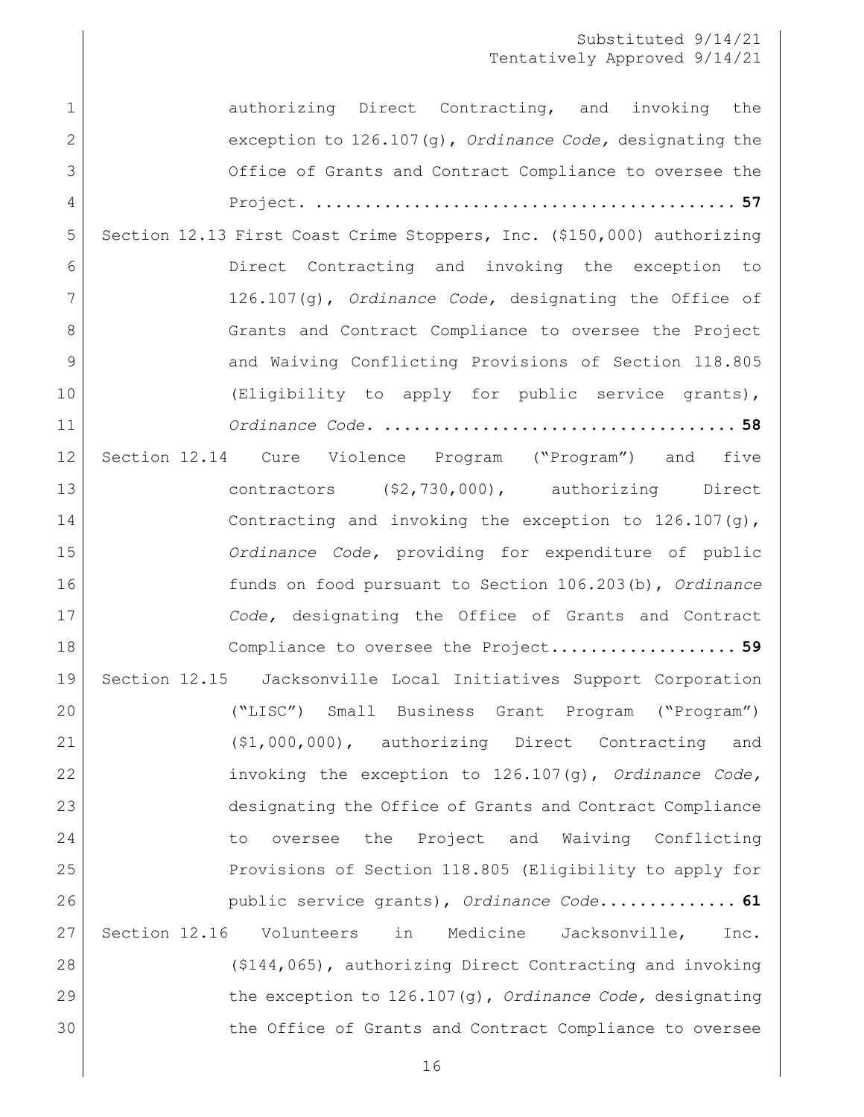1 authorizing Direct Contracting, and invoking the [exception to 126.107\(g\),](#page-56-0) *Ordinance Code,* designating the [Office of Grants and Contract Compliance to oversee the](#page-56-0)  Project. **[...........................................](#page-56-0) 57** [Section 12.13 First Coast Crime Stoppers, Inc. \(\\$150,000\) authorizing](#page-57-0)  **Direct** Contracting and invoking the exception to 126.107(g), *Ordinance Code,* [designating the Office of](#page-57-0)  8 Grants and Contract Compliance to oversee the Project 9 and Waiving Conflicting Provisions of Section 118.805 [\(Eligibility to apply for public service grants\),](#page-57-0) *Ordinance Code*. **[....................................](#page-57-0) 58** Section 12.14 [Cure Violence Program \("Program"\) and five](#page-58-0)  [contractors \(\\$2,730,000\), authorizing Direct](#page-58-0)  14 Contracting and invoking the exception to 126.107(g), *Ordinance Code,* [providing for expenditure of public](#page-58-0)  [funds on food pursuant to Section 106.203\(b\),](#page-58-0) *Ordinance Code,* [designating the Office of Grants and Contract](#page-58-0)  [Compliance to oversee the Project.](#page-58-0)**.................. 59** [Section 12.15 Jacksonville Local Initiatives Support Corporation](#page-60-0)  [\("LISC"\) Small Business Grant Program \("Program"\)](#page-60-0)  [\(\\$1,000,000\), authorizing Direct Contracting and](#page-60-0)  [invoking the exception to 126.107\(g\),](#page-60-0) *Ordinance Code,*  [designating the Office of Grants and Contract Compliance](#page-60-0)  [to oversee the Project and Waiving Conflicting](#page-60-0)  [Provisions of Section 118.805 \(Eligibility to apply for](#page-60-0)  [public service grants\),](#page-60-0) *Ordinance Code*.**............. 61** [Section 12.16 Volunteers in Medicine Jacksonville, Inc.](#page-61-0)  [\(\\$144,065\), authorizing Direct Contracting and invoking](#page-61-0)  [the exception to 126.107\(g\),](#page-61-0) *Ordinance Code,* designating 30 the Office of Grants and Contract Compliance to oversee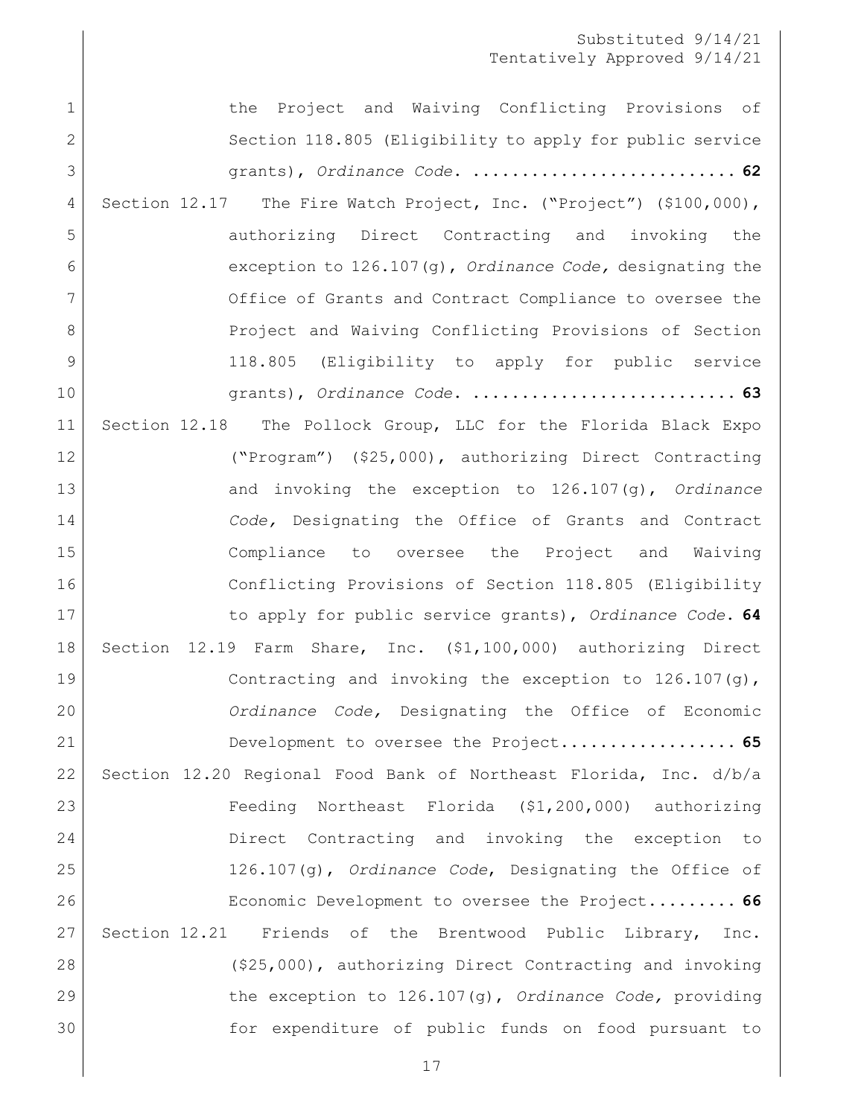1 1 the Project and Waiving Conflicting Provisions of 2 Section 118.805 (Eligibility to apply for public service grants), *Ordinance Code*. **[...........................](#page-61-0) 62** 4 Section 12.17 The Fire Watch Project, Inc. ("Project") (\$100,000), [authorizing Direct Contracting and invoking the](#page-62-0)  [exception to 126.107\(g\),](#page-62-0) *Ordinance Code,* designating the 7 Office of Grants and Contract Compliance to oversee the 8 Project and Waiving Conflicting Provisions of Section [118.805 \(Eligibility to apply for public service](#page-62-0)  grants), *Ordinance Code*. **[...........................](#page-62-0) 63** [Section 12.18 The Pollock Group, LLC for the Florida Black Expo](#page-63-0)  [\("Program"\) \(\\$25,000\), authorizing Direct Contracting](#page-63-0)  [and invoking the exception to 126.107\(g\),](#page-63-0) *Ordinance Code,* [Designating the Office of Grants and Contract](#page-63-0)  [Compliance to oversee the Project and Waiving](#page-63-0)  [Conflicting Provisions of Section 118.805 \(Eligibility](#page-63-0)  [to apply for public service grants\),](#page-63-0) *Ordinance Code*. **64** [Section 12.19 Farm Share, Inc. \(\\$1,100,000\) authorizing Direct](#page-64-0)  19 Contracting and invoking the exception to 126.107(g), *Ordinance Code,* [Designating the Office of Economic](#page-64-0)  [Development to oversee the Project.](#page-64-0)**................. 65** [Section 12.20 Regional Food Bank of Northeast Florida, Inc. d/b/a](#page-65-0)  [Feeding Northeast Florida \(\\$1,200,000\) authorizing](#page-65-0)  [Direct Contracting and invoking](#page-65-0) the exception to 126.107(g), *Ordinance Code*[, Designating the Office of](#page-65-0)  [Economic Development to oversee the Project.](#page-65-0)**........ 66** [Section 12.21 Friends of the Brentwood Public Library, Inc.](#page-66-0)  [\(\\$25,000\), authorizing Direct Contracting and invoking](#page-66-0)  [the exception to 126.107\(g\),](#page-66-0) *Ordinance Code,* providing [for expenditure of public funds on food pursuant to](#page-66-0)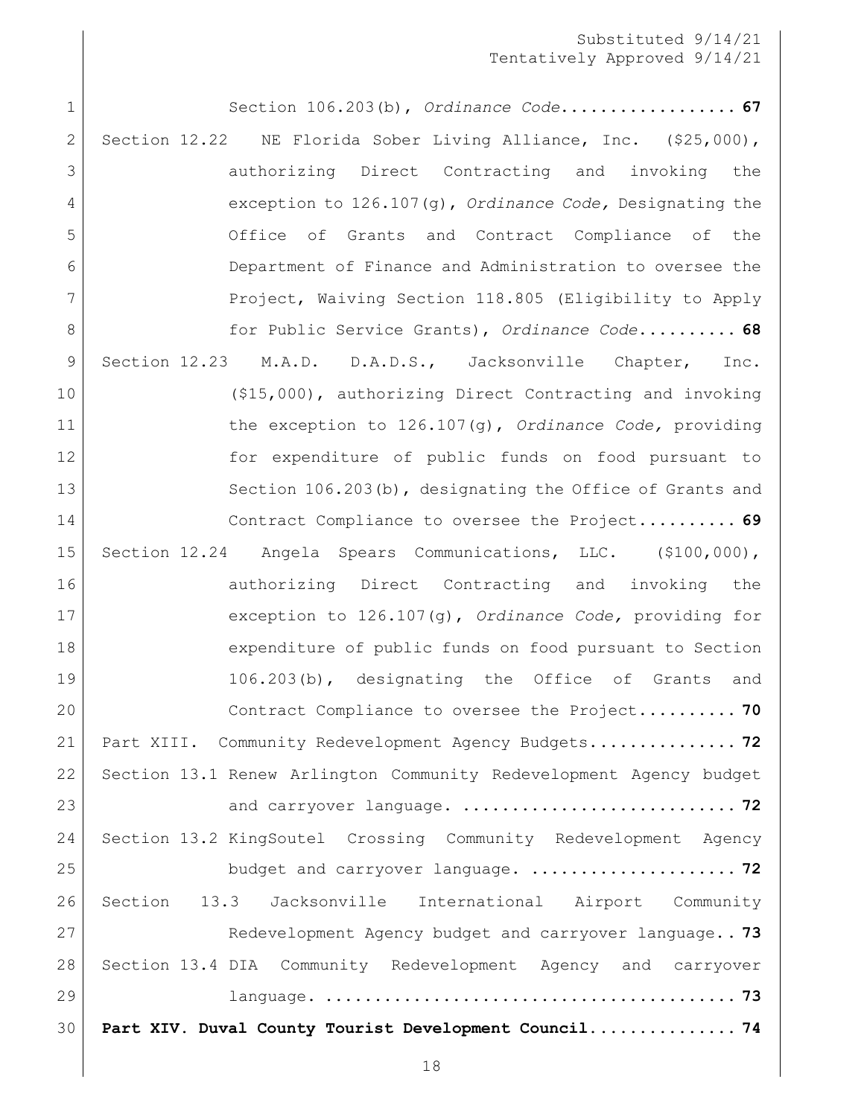[Section 106.203\(b\),](#page-66-0) *Ordinance Code*.**................. 67** [Section 12.22 NE Florida Sober Living Alliance, Inc. \(\\$25,000\),](#page-67-0)  [authorizing Direct Contracting and invoking the](#page-67-0)  exception to 126.107(g), *[Ordinance Code,](#page-67-0)* Designating the [Office of Grants and Contract Compliance of the](#page-67-0)  [Department of Finance and Administration to oversee the](#page-67-0)  [Project, Waiving Section 118.805 \(Eligibility to Apply](#page-67-0)  [for Public Service Grants\),](#page-67-0) *Ordinance Code*.**......... 68** [Section 12.23 M.A.D. D.A.D.S., Jacksonville Chapter, Inc.](#page-68-0)  [\(\\$15,000\), authorizing Direct Contracting and invoking](#page-68-0)  [the exception to 126.107\(g\),](#page-68-0) *Ordinance Code,* providing 12 for expenditure of public funds on food pursuant to 13 Section 106.203(b), designating the Office of Grants and [Contract Compliance to oversee the Project.](#page-68-0)**......... 69** [Section 12.24 Angela Spears Communications, LLC. \(\\$100,000\),](#page-69-0)  16 authorizing Direct Contracting and invoking the [exception to 126.107\(g\),](#page-69-0) *Ordinance Code,* providing for [expenditure of public funds on food pursuant to Section](#page-69-0)  [106.203\(b\), designating the Office of Grants and](#page-69-0)  [Contract Compliance to oversee the Project.](#page-69-0)**......... 70** [Part XIII. Community Redevelopment Agency Budgets.](#page-71-0)**.............. 72** [Section 13.1 Renew Arlington Community Redevelopment Agency budget](#page-71-1)  and carryover language. **[............................](#page-71-1) 72** [Section 13.2 KingSoutel Crossing Community Redevelopment Agency](#page-71-2)  [budget and carryover language.](#page-71-2) **..................... 72** [Section 13.3 Jacksonville International Airport Community](#page-72-0)  [Redevelopment Agency budget and carryover language.](#page-72-0)**. 73** [Section 13.4 DIA Community Redevelopment Agency and carryover](#page-72-1)  language. **[..........................................](#page-72-1) 73 [Part XIV. Duval County Tourist Development Council...............](#page-73-0) 74**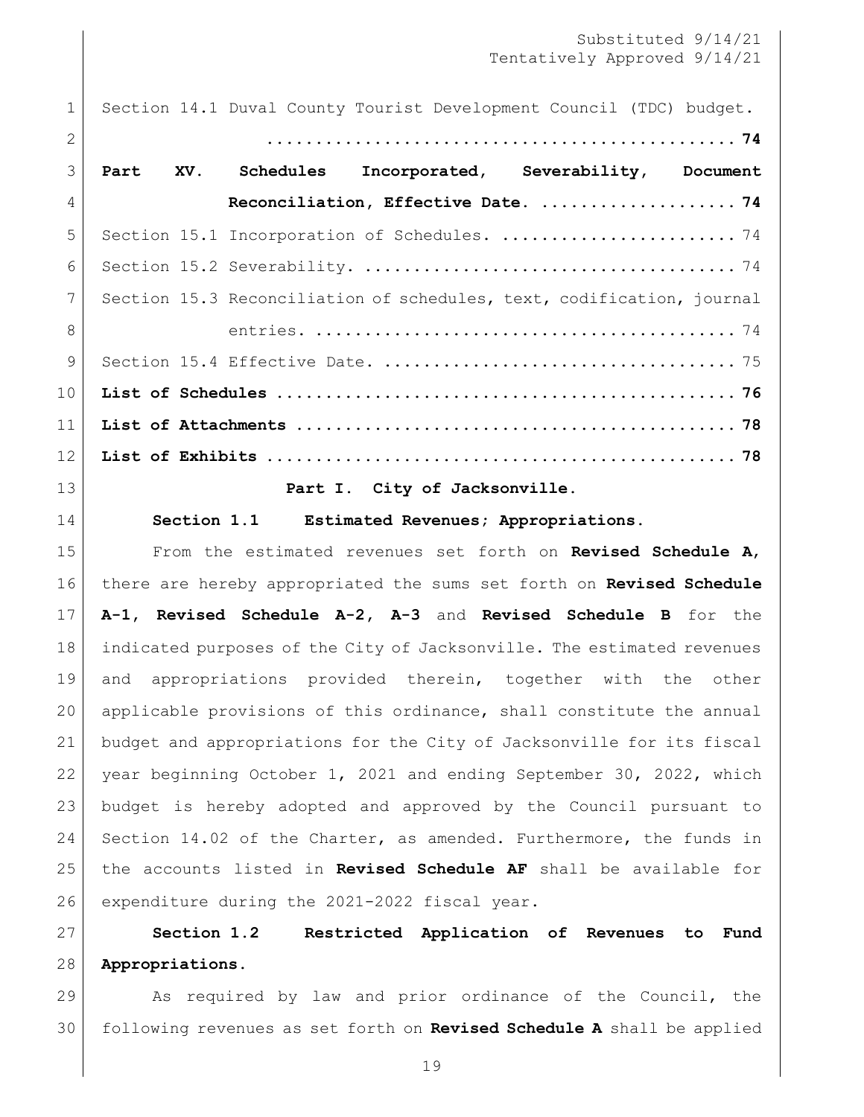Section 14.1 [Duval County Tourist Development Council \(TDC\) budget.](#page-73-1)

| $\mathcal{L}$   |                                                                       |  |
|-----------------|-----------------------------------------------------------------------|--|
| $\mathcal{E}$   | Part XV. Schedules Incorporated, Severability, Document               |  |
| $\overline{4}$  | Reconciliation, Effective Date.  74                                   |  |
| 5               | Section 15.1 Incorporation of Schedules.  74                          |  |
| 6               |                                                                       |  |
| $\overline{7}$  | Section 15.3 Reconciliation of schedules, text, codification, journal |  |
| $\mathcal{B}$   |                                                                       |  |
| $\mathcal{Q}$   |                                                                       |  |
| 10              |                                                                       |  |
| 11              |                                                                       |  |
| 12 <sup>°</sup> |                                                                       |  |
| $\sim$          |                                                                       |  |

**Part I. City of Jacksonville.**

<span id="page-18-1"></span><span id="page-18-0"></span>

**Section 1.1 Estimated Revenues; Appropriations.**

 From the estimated revenues set forth on **Revised Schedule A**, there are hereby appropriated the sums set forth on **Revised Schedule A-1, Revised Schedule A-2, A-3** and **Revised Schedule B** for the indicated purposes of the City of Jacksonville. The estimated revenues and appropriations provided therein, together with the other applicable provisions of this ordinance, shall constitute the annual budget and appropriations for the City of Jacksonville for its fiscal year beginning October 1, 2021 and ending September 30, 2022, which budget is hereby adopted and approved by the Council pursuant to 24 Section 14.02 of the Charter, as amended. Furthermore, the funds in the accounts listed in **Revised Schedule AF** shall be available for 26 expenditure during the 2021-2022 fiscal year.

<span id="page-18-2"></span> **Section 1.2 Restricted Application of Revenues to Fund Appropriations.**

29 As required by law and prior ordinance of the Council, the following revenues as set forth on **Revised Schedule A** shall be applied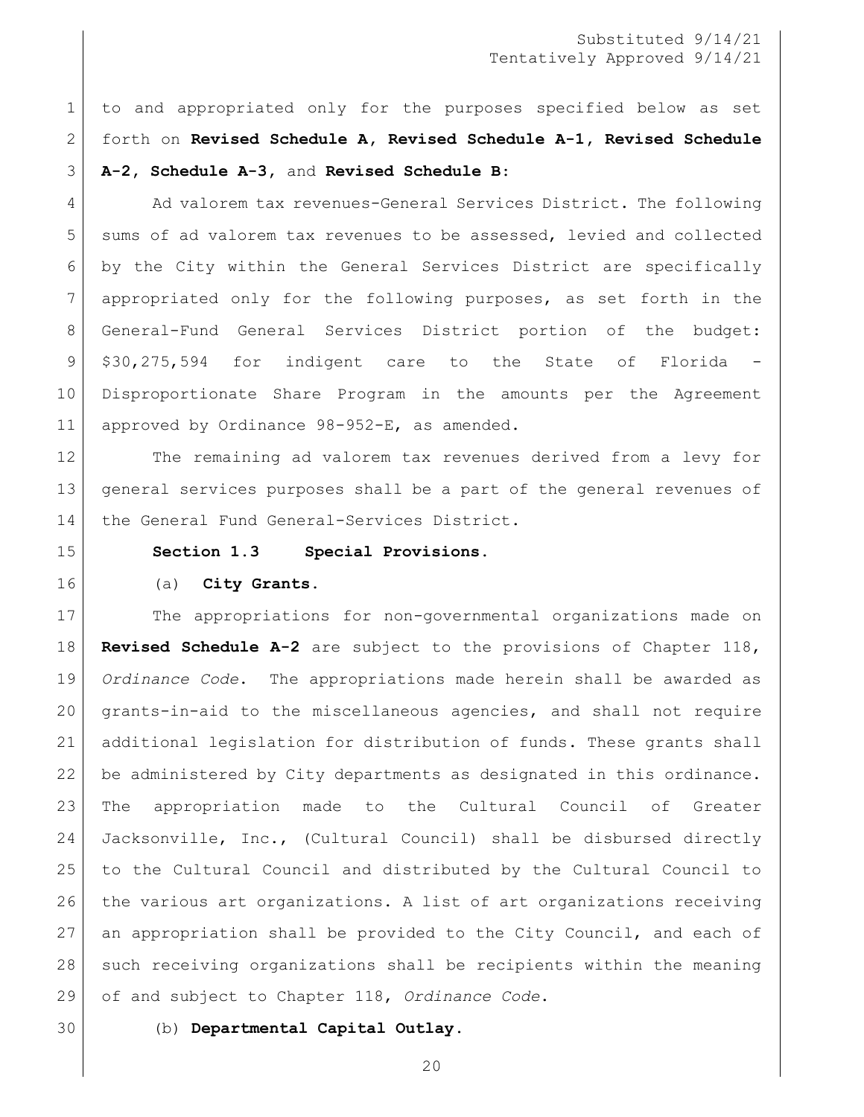to and appropriated only for the purposes specified below as set forth on **Revised Schedule A, Revised Schedule A-1, Revised Schedule A-2, Schedule A-3,** and **Revised Schedule B**:

4 Ad valorem tax revenues-General Services District. The following 5 sums of ad valorem tax revenues to be assessed, levied and collected by the City within the General Services District are specifically appropriated only for the following purposes, as set forth in the General-Fund General Services District portion of the budget: 9 \$30,275,594 for indigent care to the State of Florida Disproportionate Share Program in the amounts per the Agreement approved by Ordinance 98-952-E, as amended.

 The remaining ad valorem tax revenues derived from a levy for general services purposes shall be a part of the general revenues of 14 | the General Fund General-Services District.

<span id="page-19-0"></span>

#### **Section 1.3 Special Provisions.**

#### (a) **City Grants.**

17 The appropriations for non-governmental organizations made on **Revised Schedule A-2** are subject to the provisions of Chapter 118, *Ordinance Code*. The appropriations made herein shall be awarded as grants-in-aid to the miscellaneous agencies, and shall not require additional legislation for distribution of funds. These grants shall be administered by City departments as designated in this ordinance. The appropriation made to the Cultural Council of Greater Jacksonville, Inc., (Cultural Council) shall be disbursed directly to the Cultural Council and distributed by the Cultural Council to the various art organizations. A list of art organizations receiving an appropriation shall be provided to the City Council, and each of such receiving organizations shall be recipients within the meaning of and subject to Chapter 118, *Ordinance Code*.

(b) **Departmental Capital Outlay**.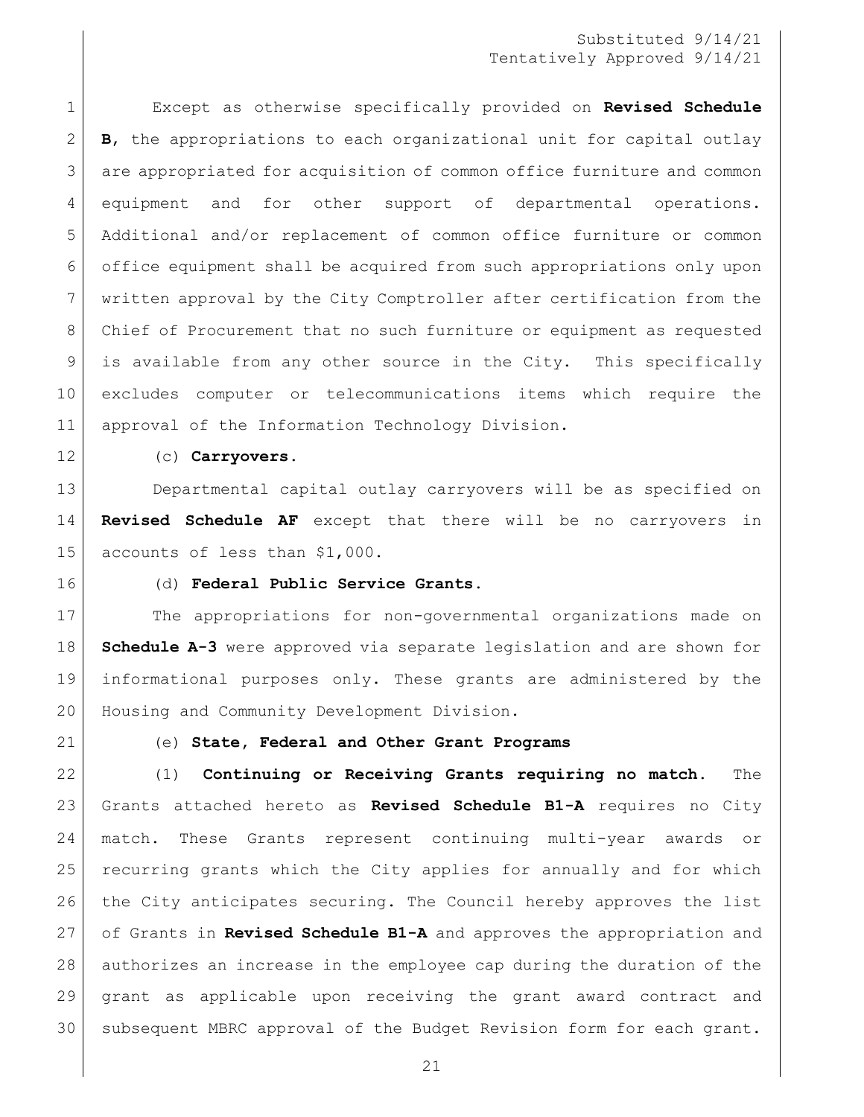Except as otherwise specifically provided on **Revised Schedule B**, the appropriations to each organizational unit for capital outlay are appropriated for acquisition of common office furniture and common equipment and for other support of departmental operations. Additional and/or replacement of common office furniture or common office equipment shall be acquired from such appropriations only upon written approval by the City Comptroller after certification from the Chief of Procurement that no such furniture or equipment as requested is available from any other source in the City. This specifically excludes computer or telecommunications items which require the approval of the Information Technology Division.

#### (c) **Carryovers**.

 Departmental capital outlay carryovers will be as specified on **Revised Schedule AF** except that there will be no carryovers in accounts of less than \$1,000.

(d) **Federal Public Service Grants.**

17 The appropriations for non-governmental organizations made on **Schedule A-3** were approved via separate legislation and are shown for informational purposes only. These grants are administered by the Housing and Community Development Division.

#### (e) **State, Federal and Other Grant Programs**

 (1) **Continuing or Receiving Grants requiring no match.** The Grants attached hereto as **Revised Schedule B1-A** requires no City match. These Grants represent continuing multi-year awards or recurring grants which the City applies for annually and for which the City anticipates securing. The Council hereby approves the list of Grants in **Revised Schedule B1-A** and approves the appropriation and authorizes an increase in the employee cap during the duration of the grant as applicable upon receiving the grant award contract and subsequent MBRC approval of the Budget Revision form for each grant.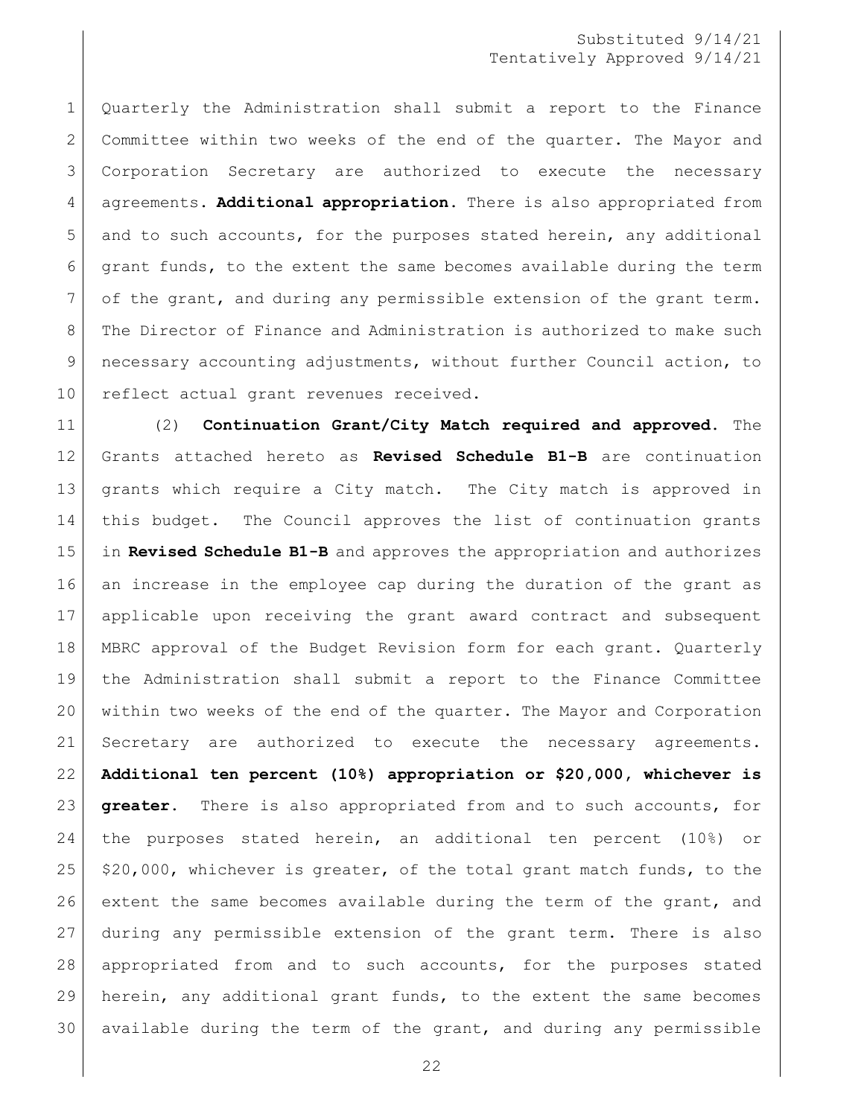Quarterly the Administration shall submit a report to the Finance 2 Committee within two weeks of the end of the quarter. The Mayor and Corporation Secretary are authorized to execute the necessary agreements. **Additional appropriation.** There is also appropriated from 5 and to such accounts, for the purposes stated herein, any additional grant funds, to the extent the same becomes available during the term 7 of the grant, and during any permissible extension of the grant term. 8 The Director of Finance and Administration is authorized to make such necessary accounting adjustments, without further Council action, to 10 reflect actual grant revenues received.

 (2) **Continuation Grant/City Match required and approved.** The Grants attached hereto as **Revised Schedule B1-B** are continuation grants which require a City match. The City match is approved in this budget. The Council approves the list of continuation grants in **Revised Schedule B1-B** and approves the appropriation and authorizes an increase in the employee cap during the duration of the grant as applicable upon receiving the grant award contract and subsequent MBRC approval of the Budget Revision form for each grant. Quarterly the Administration shall submit a report to the Finance Committee within two weeks of the end of the quarter. The Mayor and Corporation Secretary are authorized to execute the necessary agreements. **Additional ten percent (10%) appropriation or \$20,000, whichever is greater.** There is also appropriated from and to such accounts, for the purposes stated herein, an additional ten percent (10%) or  $\frac{1}{25}$  \$20,000, whichever is greater, of the total grant match funds, to the 26 extent the same becomes available during the term of the grant, and during any permissible extension of the grant term. There is also appropriated from and to such accounts, for the purposes stated herein, any additional grant funds, to the extent the same becomes available during the term of the grant, and during any permissible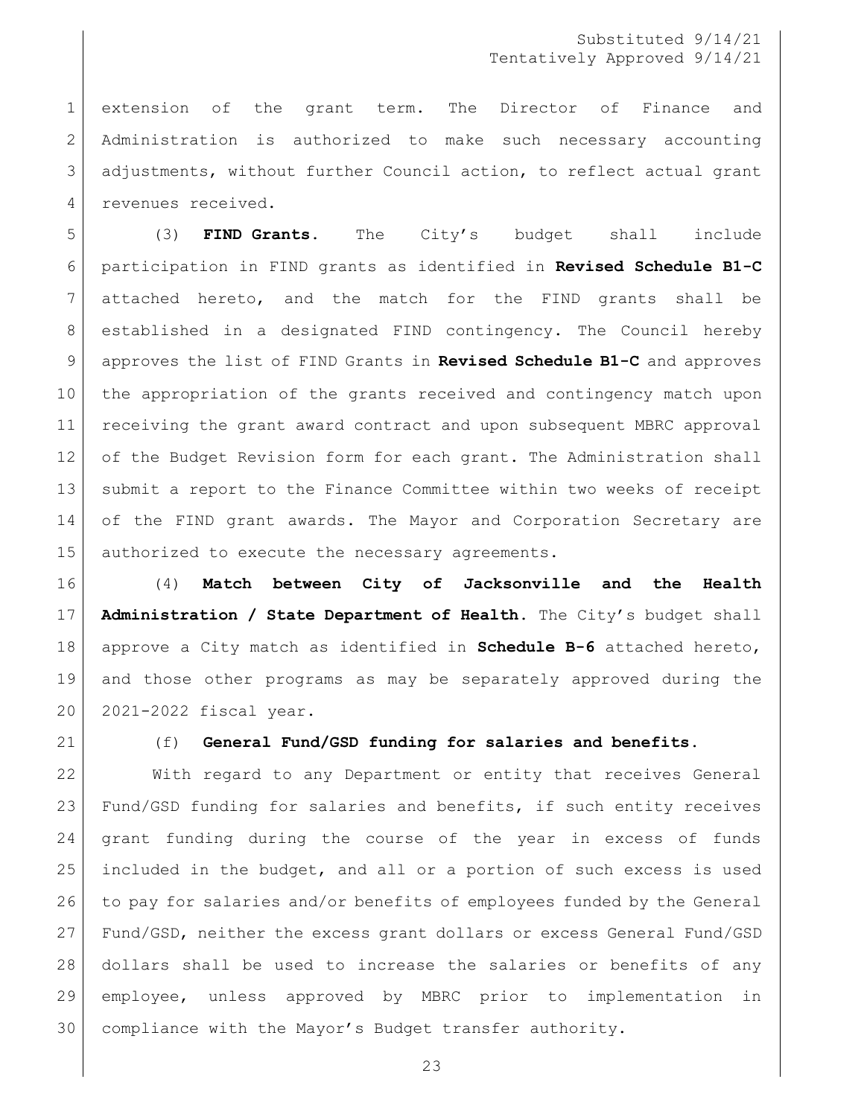extension of the grant term. The Director of Finance and Administration is authorized to make such necessary accounting adjustments, without further Council action, to reflect actual grant 4 revenues received.

 (3) **FIND Grants.** The City's budget shall include participation in FIND grants as identified in **Revised Schedule B1-C** attached hereto, and the match for the FIND grants shall be established in a designated FIND contingency. The Council hereby approves the list of FIND Grants in **Revised Schedule B1-C** and approves the appropriation of the grants received and contingency match upon receiving the grant award contract and upon subsequent MBRC approval of the Budget Revision form for each grant. The Administration shall submit a report to the Finance Committee within two weeks of receipt 14 of the FIND grant awards. The Mayor and Corporation Secretary are 15 authorized to execute the necessary agreements.

 (4) **Match between City of Jacksonville and the Health Administration / State Department of Health.** The City's budget shall approve a City match as identified in **Schedule B-6** attached hereto, and those other programs as may be separately approved during the 2021-2022 fiscal year.

#### (f) **General Fund/GSD funding for salaries and benefits.**

 With regard to any Department or entity that receives General Fund/GSD funding for salaries and benefits, if such entity receives grant funding during the course of the year in excess of funds included in the budget, and all or a portion of such excess is used to pay for salaries and/or benefits of employees funded by the General Fund/GSD, neither the excess grant dollars or excess General Fund/GSD dollars shall be used to increase the salaries or benefits of any employee, unless approved by MBRC prior to implementation in compliance with the Mayor's Budget transfer authority.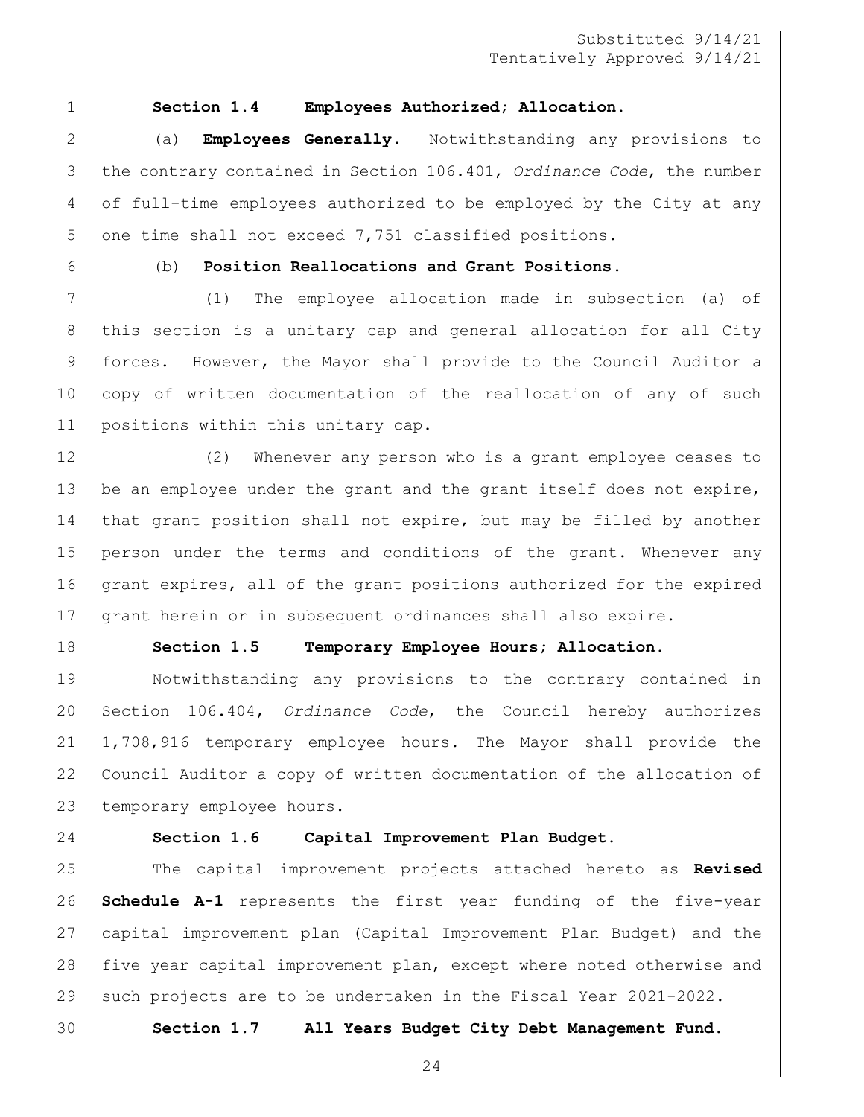<span id="page-23-0"></span>

#### **Section 1.4 Employees Authorized; Allocation.**

 (a) **Employees Generally**. Notwithstanding any provisions to the contrary contained in Section 106.401, *Ordinance Code*, the number of full-time employees authorized to be employed by the City at any one time shall not exceed 7,751 classified positions.

### (b) **Position Reallocations and Grant Positions**.

 (1) The employee allocation made in subsection (a) of this section is a unitary cap and general allocation for all City forces. However, the Mayor shall provide to the Council Auditor a copy of written documentation of the reallocation of any of such 11 positions within this unitary cap.

 (2) Whenever any person who is a grant employee ceases to 13 be an employee under the grant and the grant itself does not expire, that grant position shall not expire, but may be filled by another person under the terms and conditions of the grant. Whenever any grant expires, all of the grant positions authorized for the expired grant herein or in subsequent ordinances shall also expire.

<span id="page-23-1"></span>

#### **Section 1.5 Temporary Employee Hours; Allocation.**

 Notwithstanding any provisions to the contrary contained in Section 106.404, *Ordinance Code*, the Council hereby authorizes 1,708,916 temporary employee hours. The Mayor shall provide the Council Auditor a copy of written documentation of the allocation of 23 temporary employee hours.

<span id="page-23-2"></span>

#### **Section 1.6 Capital Improvement Plan Budget.**

 The capital improvement projects attached hereto as **Revised Schedule A-1** represents the first year funding of the five-year capital improvement plan (Capital Improvement Plan Budget) and the five year capital improvement plan, except where noted otherwise and such projects are to be undertaken in the Fiscal Year 2021-2022.

<span id="page-23-3"></span>**Section 1.7 All Years Budget City Debt Management Fund.**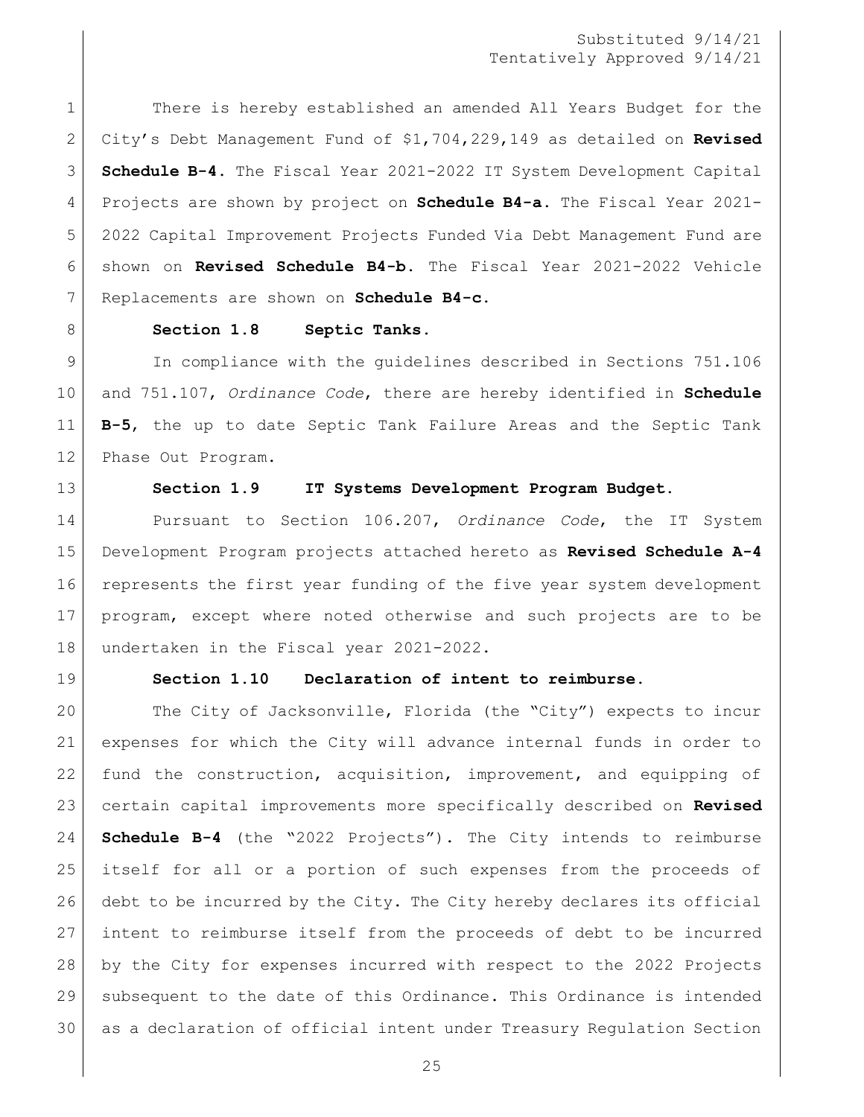1 There is hereby established an amended All Years Budget for the City's Debt Management Fund of \$1,704,229,149 as detailed on **Revised Schedule B-4.** The Fiscal Year 2021-2022 IT System Development Capital Projects are shown by project on **Schedule B4-a.** The Fiscal Year 2021- 2022 Capital Improvement Projects Funded Via Debt Management Fund are shown on **Revised Schedule B4-b.** The Fiscal Year 2021-2022 Vehicle Replacements are shown on **Schedule B4-c.**

#### <span id="page-24-0"></span>8 Section 1.8 Septic Tanks.

 In compliance with the guidelines described in Sections 751.106 and 751.107, *Ordinance Code*, there are hereby identified in **Schedule B-5**, the up to date Septic Tank Failure Areas and the Septic Tank 12 Phase Out Program.

<span id="page-24-1"></span>

#### **Section 1.9 IT Systems Development Program Budget.**

 Pursuant to Section 106.207, *Ordinance Code*, the IT System Development Program projects attached hereto as **Revised Schedule A-4** represents the first year funding of the five year system development program, except where noted otherwise and such projects are to be 18 undertaken in the Fiscal year 2021-2022.

<span id="page-24-2"></span>

#### **Section 1.10 Declaration of intent to reimburse.**

 The City of Jacksonville, Florida (the "City") expects to incur expenses for which the City will advance internal funds in order to 22 fund the construction, acquisition, improvement, and equipping of certain capital improvements more specifically described on **Revised Schedule B-4** (the "2022 Projects"). The City intends to reimburse itself for all or a portion of such expenses from the proceeds of debt to be incurred by the City. The City hereby declares its official intent to reimburse itself from the proceeds of debt to be incurred by the City for expenses incurred with respect to the 2022 Projects subsequent to the date of this Ordinance. This Ordinance is intended as a declaration of official intent under Treasury Regulation Section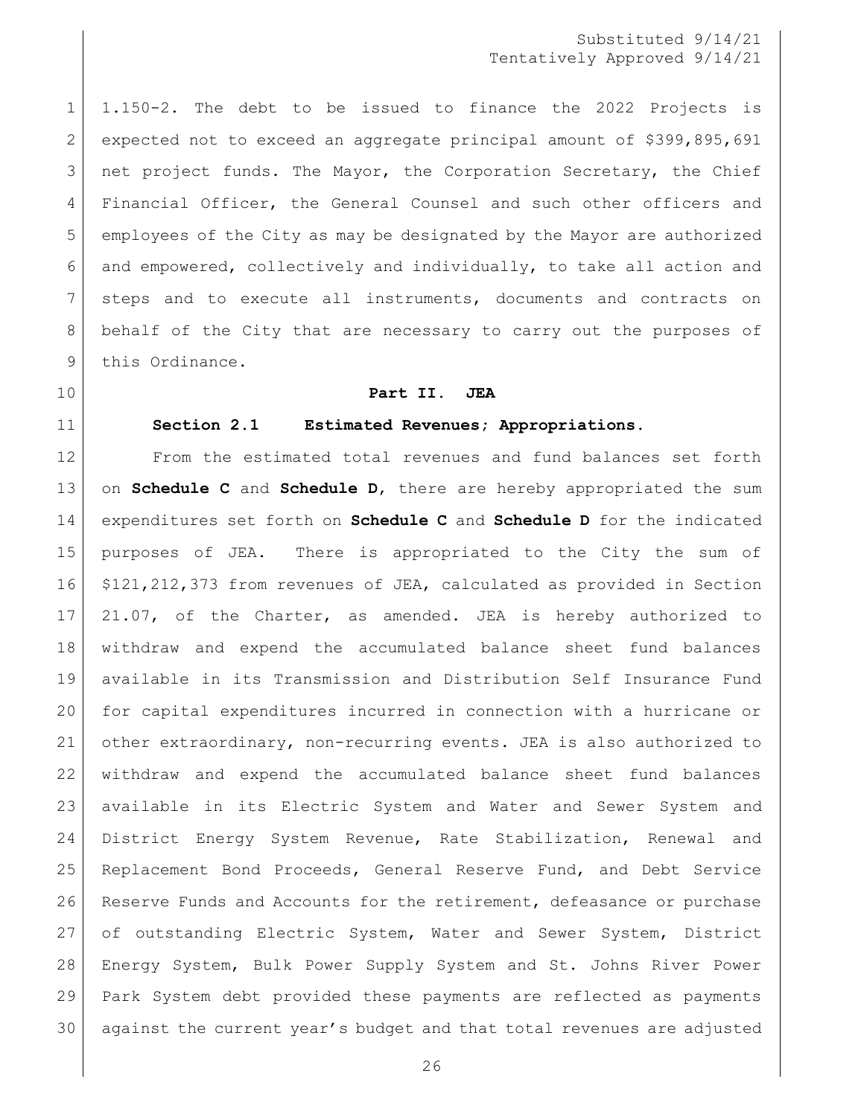1.150-2. The debt to be issued to finance the 2022 Projects is expected not to exceed an aggregate principal amount of \$399,895,691 3 net project funds. The Mayor, the Corporation Secretary, the Chief Financial Officer, the General Counsel and such other officers and employees of the City as may be designated by the Mayor are authorized 6 and empowered, collectively and individually, to take all action and steps and to execute all instruments, documents and contracts on behalf of the City that are necessary to carry out the purposes of 9 this Ordinance.

<span id="page-25-0"></span>

<span id="page-25-1"></span>

#### **Part II. JEA**

#### **Section 2.1 Estimated Revenues; Appropriations.**

 From the estimated total revenues and fund balances set forth on **Schedule C** and **Schedule D**, there are hereby appropriated the sum expenditures set forth on **Schedule C** and **Schedule D** for the indicated purposes of JEA. There is appropriated to the City the sum of \$121,212,373 from revenues of JEA, calculated as provided in Section 21.07, of the Charter, as amended. JEA is hereby authorized to withdraw and expend the accumulated balance sheet fund balances available in its Transmission and Distribution Self Insurance Fund for capital expenditures incurred in connection with a hurricane or other extraordinary, non-recurring events. JEA is also authorized to withdraw and expend the accumulated balance sheet fund balances available in its Electric System and Water and Sewer System and District Energy System Revenue, Rate Stabilization, Renewal and Replacement Bond Proceeds, General Reserve Fund, and Debt Service Reserve Funds and Accounts for the retirement, defeasance or purchase of outstanding Electric System, Water and Sewer System, District Energy System, Bulk Power Supply System and St. Johns River Power Park System debt provided these payments are reflected as payments 30 against the current year's budget and that total revenues are adjusted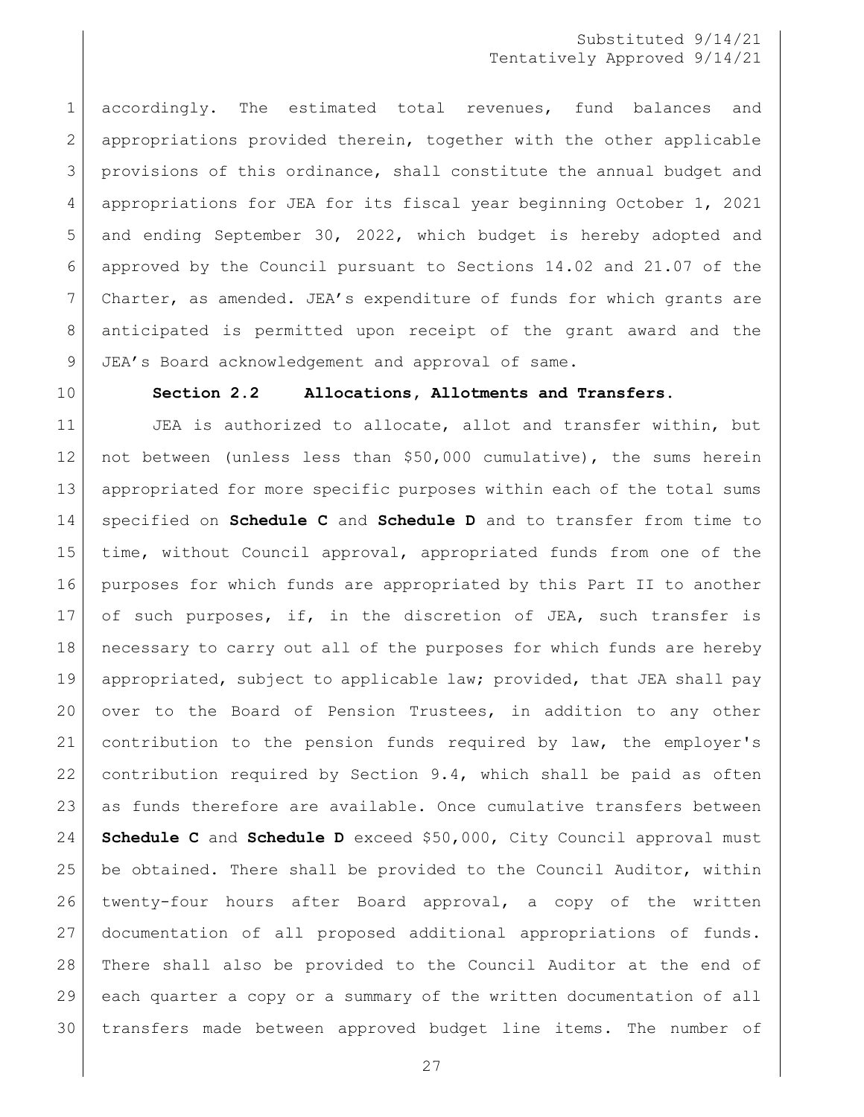accordingly. The estimated total revenues, fund balances and appropriations provided therein, together with the other applicable provisions of this ordinance, shall constitute the annual budget and appropriations for JEA for its fiscal year beginning October 1, 2021 and ending September 30, 2022, which budget is hereby adopted and approved by the Council pursuant to Sections 14.02 and 21.07 of the Charter, as amended. JEA's expenditure of funds for which grants are anticipated is permitted upon receipt of the grant award and the 9 JEA's Board acknowledgement and approval of same.

#### <span id="page-26-0"></span>**Section 2.2 Allocations, Allotments and Transfers.**

11 | JEA is authorized to allocate, allot and transfer within, but not between (unless less than \$50,000 cumulative), the sums herein appropriated for more specific purposes within each of the total sums specified on **Schedule C** and **Schedule D** and to transfer from time to time, without Council approval, appropriated funds from one of the purposes for which funds are appropriated by this Part II to another of such purposes, if, in the discretion of JEA, such transfer is necessary to carry out all of the purposes for which funds are hereby appropriated, subject to applicable law; provided, that JEA shall pay over to the Board of Pension Trustees, in addition to any other contribution to the pension funds required by law, the employer's contribution required by Section 9.4, which shall be paid as often as funds therefore are available. Once cumulative transfers between **Schedule C** and **Schedule D** exceed \$50,000, City Council approval must be obtained. There shall be provided to the Council Auditor, within twenty-four hours after Board approval, a copy of the written documentation of all proposed additional appropriations of funds. There shall also be provided to the Council Auditor at the end of each quarter a copy or a summary of the written documentation of all transfers made between approved budget line items. The number of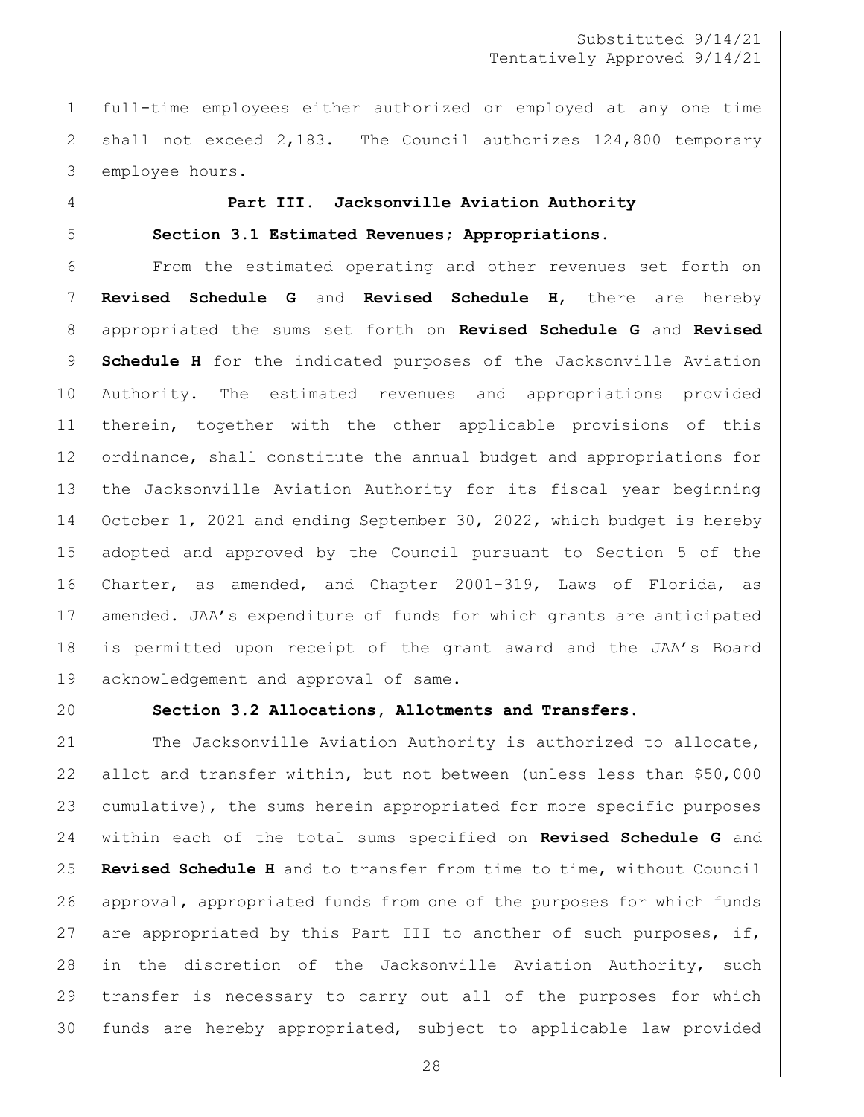full-time employees either authorized or employed at any one time shall not exceed 2,183. The Council authorizes 124,800 temporary employee hours.

### <span id="page-27-0"></span>**Part III. Jacksonville Aviation Authority**

#### <span id="page-27-1"></span>**Section 3.1 Estimated Revenues; Appropriations.**

 From the estimated operating and other revenues set forth on **Revised Schedule G** and **Revised Schedule H**, there are hereby appropriated the sums set forth on **Revised Schedule G** and **Revised Schedule H** for the indicated purposes of the Jacksonville Aviation Authority. The estimated revenues and appropriations provided therein, together with the other applicable provisions of this ordinance, shall constitute the annual budget and appropriations for the Jacksonville Aviation Authority for its fiscal year beginning October 1, 2021 and ending September 30, 2022, which budget is hereby adopted and approved by the Council pursuant to Section 5 of the Charter, as amended, and Chapter 2001-319, Laws of Florida, as amended. JAA's expenditure of funds for which grants are anticipated is permitted upon receipt of the grant award and the JAA's Board acknowledgement and approval of same.

<span id="page-27-2"></span>

#### **Section 3.2 Allocations, Allotments and Transfers.**

21 The Jacksonville Aviation Authority is authorized to allocate, allot and transfer within, but not between (unless less than \$50,000 cumulative), the sums herein appropriated for more specific purposes within each of the total sums specified on **Revised Schedule G** and **Revised Schedule H** and to transfer from time to time, without Council approval, appropriated funds from one of the purposes for which funds 27 are appropriated by this Part III to another of such purposes, if, in the discretion of the Jacksonville Aviation Authority, such transfer is necessary to carry out all of the purposes for which funds are hereby appropriated, subject to applicable law provided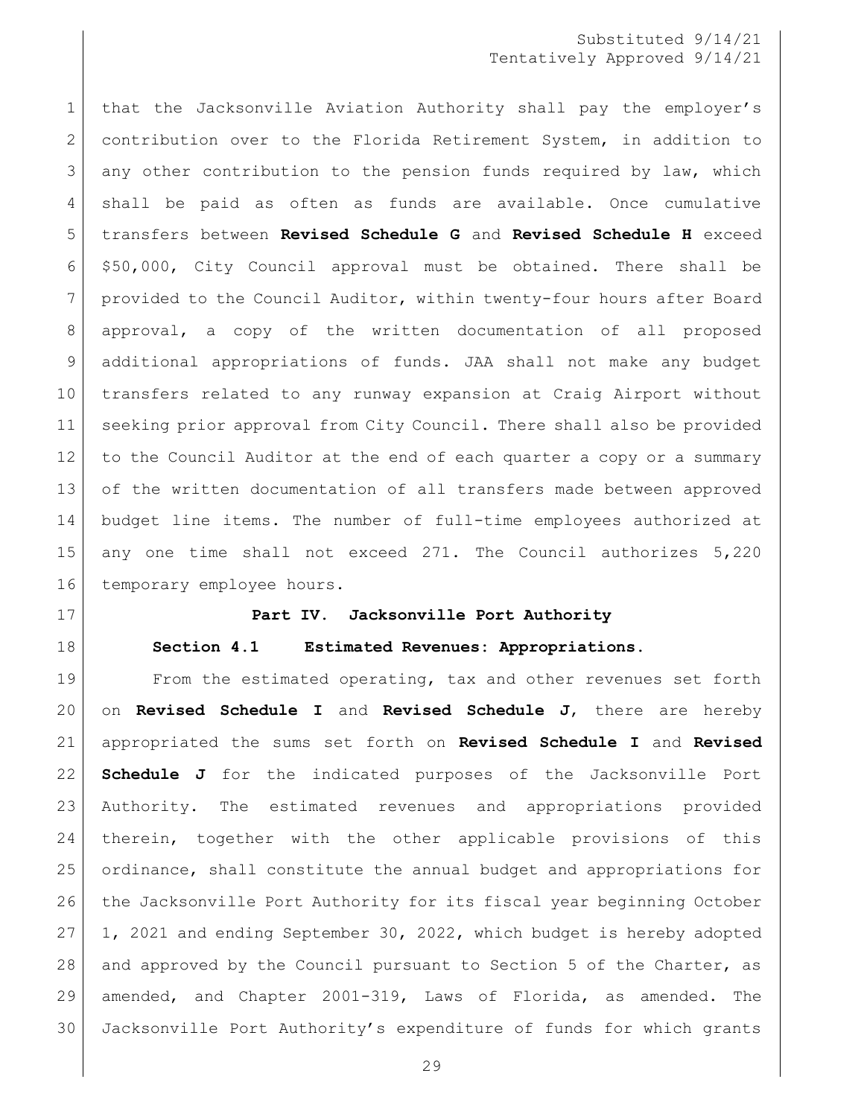1 that the Jacksonville Aviation Authority shall pay the employer's 2 contribution over to the Florida Retirement System, in addition to any other contribution to the pension funds required by law, which shall be paid as often as funds are available. Once cumulative transfers between **Revised Schedule G** and **Revised Schedule H** exceed \$50,000, City Council approval must be obtained. There shall be provided to the Council Auditor, within twenty-four hours after Board approval, a copy of the written documentation of all proposed additional appropriations of funds. JAA shall not make any budget transfers related to any runway expansion at Craig Airport without seeking prior approval from City Council. There shall also be provided to the Council Auditor at the end of each quarter a copy or a summary 13 of the written documentation of all transfers made between approved budget line items. The number of full-time employees authorized at any one time shall not exceed 271. The Council authorizes 5,220 16 temporary employee hours.

<span id="page-28-1"></span><span id="page-28-0"></span>

#### **Part IV. Jacksonville Port Authority**

**Section 4.1 Estimated Revenues: Appropriations.** 

 From the estimated operating, tax and other revenues set forth on **Revised Schedule I** and **Revised Schedule J**, there are hereby appropriated the sums set forth on **Revised Schedule I** and **Revised Schedule J** for the indicated purposes of the Jacksonville Port Authority. The estimated revenues and appropriations provided therein, together with the other applicable provisions of this ordinance, shall constitute the annual budget and appropriations for the Jacksonville Port Authority for its fiscal year beginning October 1, 2021 and ending September 30, 2022, which budget is hereby adopted 28 and approved by the Council pursuant to Section 5 of the Charter, as amended, and Chapter 2001-319, Laws of Florida, as amended. The Jacksonville Port Authority's expenditure of funds for which grants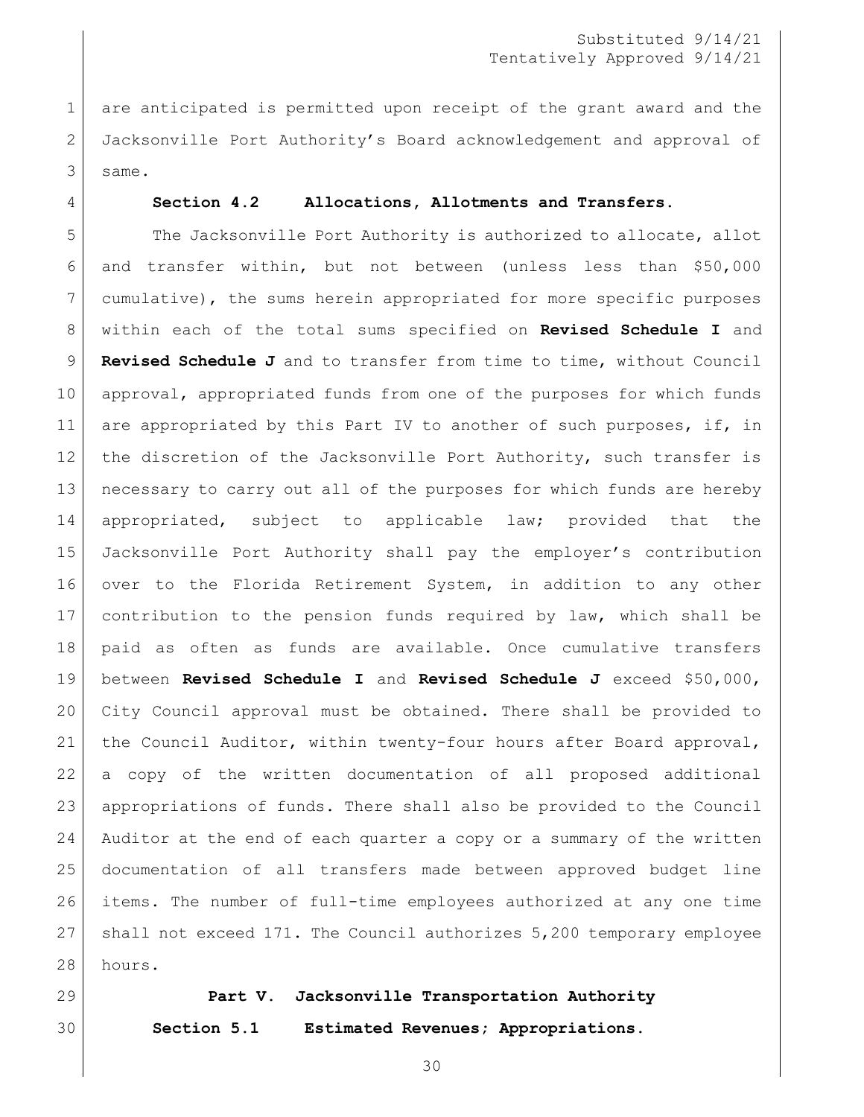1 are anticipated is permitted upon receipt of the grant award and the Jacksonville Port Authority's Board acknowledgement and approval of same.

#### <span id="page-29-0"></span>**Section 4.2 Allocations, Allotments and Transfers.**

5 The Jacksonville Port Authority is authorized to allocate, allot and transfer within, but not between (unless less than \$50,000 cumulative), the sums herein appropriated for more specific purposes within each of the total sums specified on **Revised Schedule I** and **Revised Schedule J** and to transfer from time to time, without Council approval, appropriated funds from one of the purposes for which funds 11 are appropriated by this Part IV to another of such purposes, if, in 12 the discretion of the Jacksonville Port Authority, such transfer is necessary to carry out all of the purposes for which funds are hereby appropriated, subject to applicable law; provided that the Jacksonville Port Authority shall pay the employer's contribution over to the Florida Retirement System, in addition to any other contribution to the pension funds required by law, which shall be paid as often as funds are available. Once cumulative transfers between **Revised Schedule I** and **Revised Schedule J** exceed \$50,000, City Council approval must be obtained. There shall be provided to 21 the Council Auditor, within twenty-four hours after Board approval, a copy of the written documentation of all proposed additional appropriations of funds. There shall also be provided to the Council Auditor at the end of each quarter a copy or a summary of the written documentation of all transfers made between approved budget line items. The number of full-time employees authorized at any one time shall not exceed 171. The Council authorizes 5,200 temporary employee 28 hours.

<span id="page-29-2"></span><span id="page-29-1"></span>

### **Part V. Jacksonville Transportation Authority**

**Section 5.1 Estimated Revenues; Appropriations.**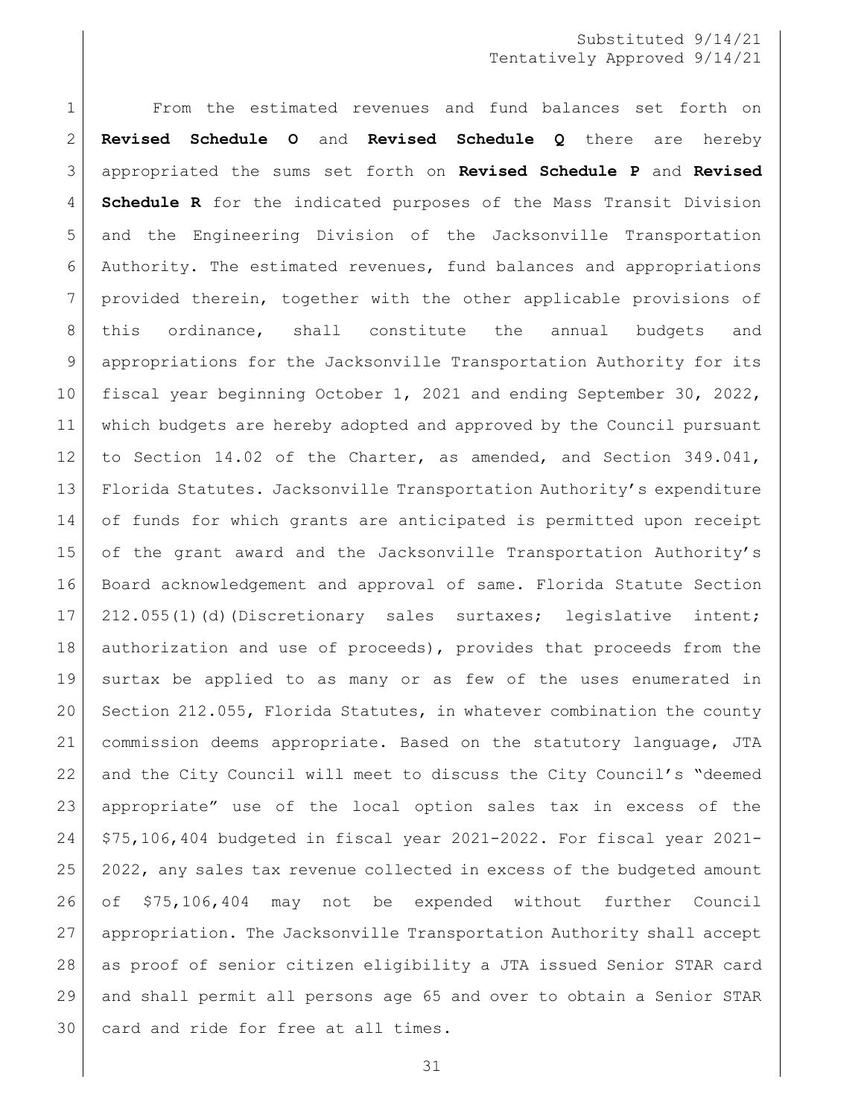From the estimated revenues and fund balances set forth on **Revised Schedule O** and **Revised Schedule Q** there are hereby appropriated the sums set forth on **Revised Schedule P** and **Revised Schedule R** for the indicated purposes of the Mass Transit Division and the Engineering Division of the Jacksonville Transportation Authority. The estimated revenues, fund balances and appropriations provided therein, together with the other applicable provisions of 8 | this ordinance, shall constitute the annual budgets and appropriations for the Jacksonville Transportation Authority for its fiscal year beginning October 1, 2021 and ending September 30, 2022, which budgets are hereby adopted and approved by the Council pursuant to Section 14.02 of the Charter, as amended, and Section 349.041, Florida Statutes. Jacksonville Transportation Authority's expenditure of funds for which grants are anticipated is permitted upon receipt 15 of the grant award and the Jacksonville Transportation Authority's Board acknowledgement and approval of same. Florida Statute Section 17 212.055(1)(d)(Discretionary sales surtaxes; legislative intent; 18 authorization and use of proceeds), provides that proceeds from the surtax be applied to as many or as few of the uses enumerated in Section 212.055, Florida Statutes, in whatever combination the county commission deems appropriate. Based on the statutory language, JTA and the City Council will meet to discuss the City Council's "deemed appropriate" use of the local option sales tax in excess of the \$75,106,404 budgeted in fiscal year 2021-2022. For fiscal year 2021- 2022, any sales tax revenue collected in excess of the budgeted amount of \$75,106,404 may not be expended without further Council appropriation. The Jacksonville Transportation Authority shall accept as proof of senior citizen eligibility a JTA issued Senior STAR card and shall permit all persons age 65 and over to obtain a Senior STAR card and ride for free at all times.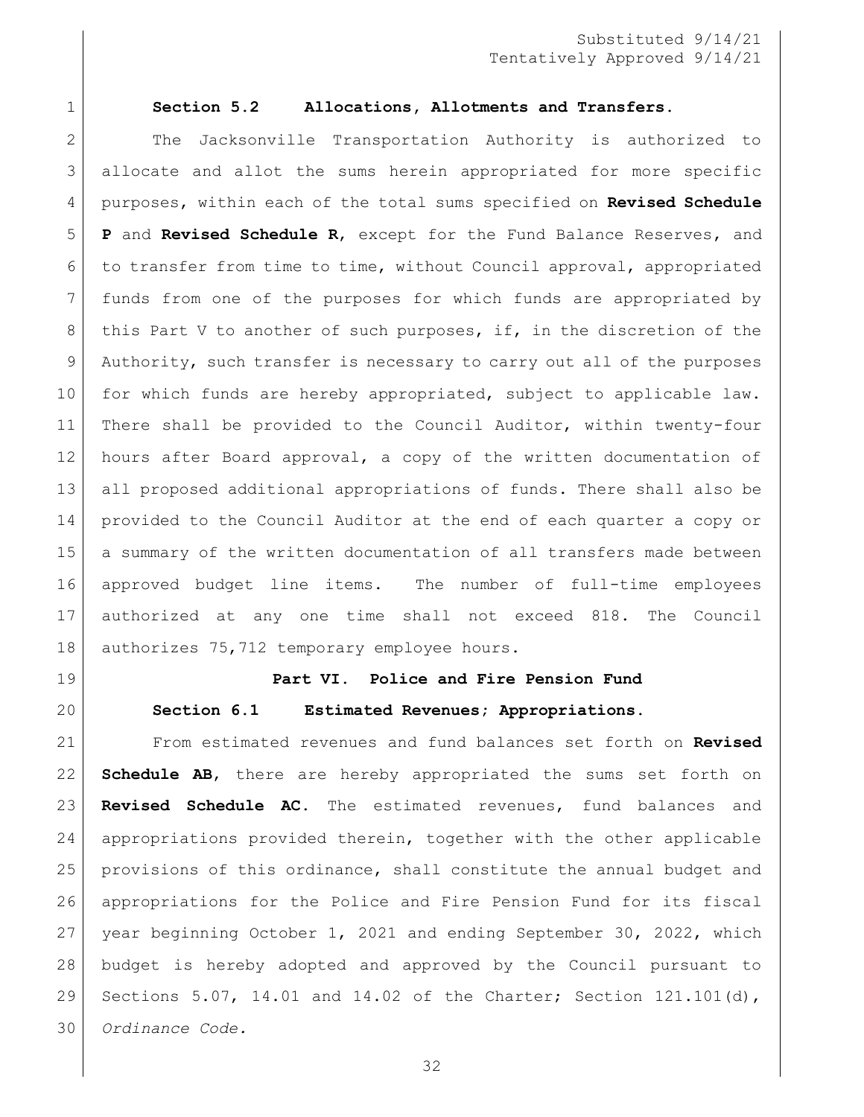<span id="page-31-0"></span>

#### **Section 5.2 Allocations, Allotments and Transfers.**

2 | The Jacksonville Transportation Authority is authorized to allocate and allot the sums herein appropriated for more specific purposes, within each of the total sums specified on **Revised Schedule P** and **Revised Schedule R**, except for the Fund Balance Reserves, and to transfer from time to time, without Council approval, appropriated funds from one of the purposes for which funds are appropriated by 8 this Part V to another of such purposes, if, in the discretion of the Authority, such transfer is necessary to carry out all of the purposes 10 for which funds are hereby appropriated, subject to applicable law. There shall be provided to the Council Auditor, within twenty-four hours after Board approval, a copy of the written documentation of all proposed additional appropriations of funds. There shall also be provided to the Council Auditor at the end of each quarter a copy or a summary of the written documentation of all transfers made between approved budget line items. The number of full-time employees authorized at any one time shall not exceed 818. The Council 18 | authorizes 75,712 temporary employee hours.

<span id="page-31-2"></span><span id="page-31-1"></span>

# **Part VI. Police and Fire Pension Fund Section 6.1 Estimated Revenues; Appropriations.**

 From estimated revenues and fund balances set forth on **Revised Schedule AB**, there are hereby appropriated the sums set forth on **Revised Schedule AC**. The estimated revenues, fund balances and appropriations provided therein, together with the other applicable provisions of this ordinance, shall constitute the annual budget and appropriations for the Police and Fire Pension Fund for its fiscal year beginning October 1, 2021 and ending September 30, 2022, which budget is hereby adopted and approved by the Council pursuant to Sections 5.07, 14.01 and 14.02 of the Charter; Section 121.101(d), *Ordinance Code.*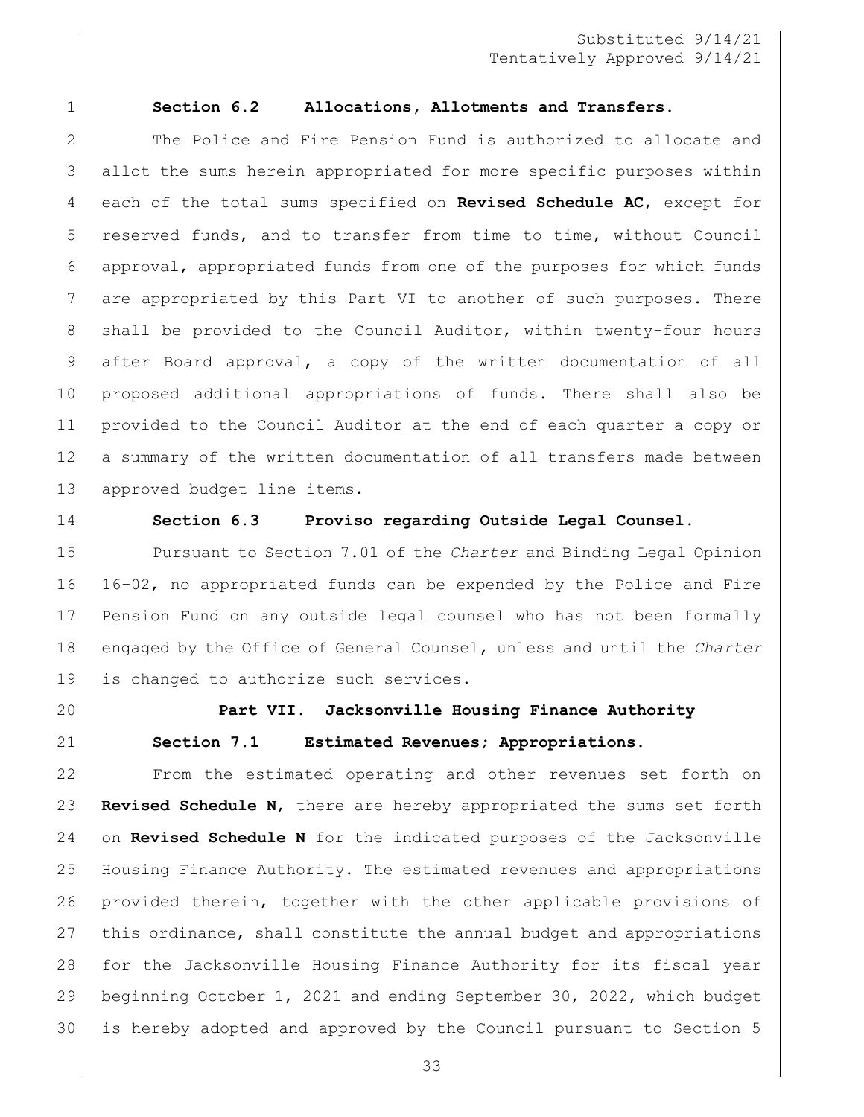#### <span id="page-32-0"></span>**Section 6.2 Allocations, Allotments and Transfers.**

2 The Police and Fire Pension Fund is authorized to allocate and allot the sums herein appropriated for more specific purposes within each of the total sums specified on **Revised Schedule AC**, except for reserved funds, and to transfer from time to time, without Council approval, appropriated funds from one of the purposes for which funds are appropriated by this Part VI to another of such purposes. There 8 | shall be provided to the Council Auditor, within twenty-four hours after Board approval, a copy of the written documentation of all proposed additional appropriations of funds. There shall also be provided to the Council Auditor at the end of each quarter a copy or a summary of the written documentation of all transfers made between approved budget line items.

<span id="page-32-1"></span>

#### **Section 6.3 Proviso regarding Outside Legal Counsel.**

 Pursuant to Section 7.01 of the *Charter* and Binding Legal Opinion 16-02, no appropriated funds can be expended by the Police and Fire Pension Fund on any outside legal counsel who has not been formally engaged by the Office of General Counsel, unless and until the *Charter* is changed to authorize such services.

<span id="page-32-3"></span><span id="page-32-2"></span>

# **Part VII. Jacksonville Housing Finance Authority Section 7.1 Estimated Revenues; Appropriations.**

 From the estimated operating and other revenues set forth on **Revised Schedule N**, there are hereby appropriated the sums set forth on **Revised Schedule N** for the indicated purposes of the Jacksonville Housing Finance Authority. The estimated revenues and appropriations provided therein, together with the other applicable provisions of this ordinance, shall constitute the annual budget and appropriations for the Jacksonville Housing Finance Authority for its fiscal year beginning October 1, 2021 and ending September 30, 2022, which budget is hereby adopted and approved by the Council pursuant to Section 5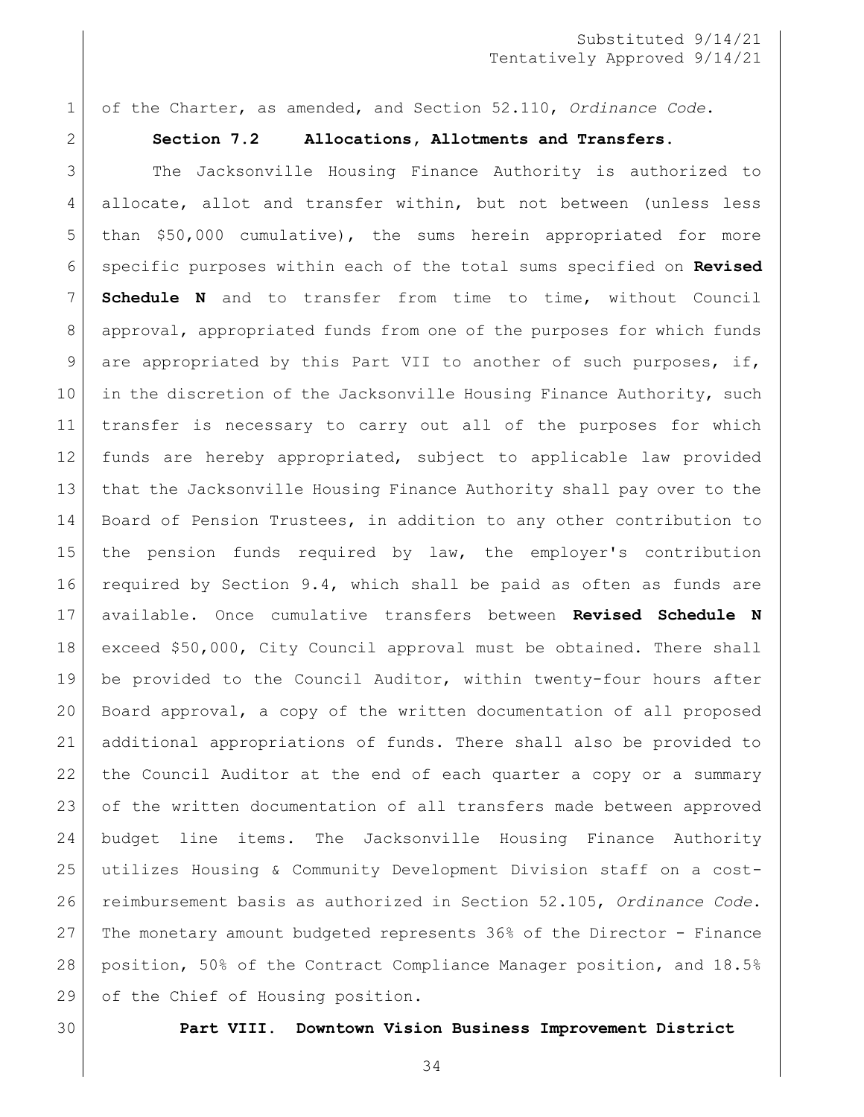of the Charter, as amended, and Section 52.110, *Ordinance Code*.

<span id="page-33-0"></span>

#### **Section 7.2 Allocations, Allotments and Transfers.**

 The Jacksonville Housing Finance Authority is authorized to allocate, allot and transfer within, but not between (unless less than \$50,000 cumulative), the sums herein appropriated for more specific purposes within each of the total sums specified on **Revised Schedule N** and to transfer from time to time, without Council approval, appropriated funds from one of the purposes for which funds 9 are appropriated by this Part VII to another of such purposes, if, 10 in the discretion of the Jacksonville Housing Finance Authority, such transfer is necessary to carry out all of the purposes for which funds are hereby appropriated, subject to applicable law provided that the Jacksonville Housing Finance Authority shall pay over to the 14 Board of Pension Trustees, in addition to any other contribution to the pension funds required by law, the employer's contribution required by Section 9.4, which shall be paid as often as funds are available. Once cumulative transfers between **Revised Schedule N** exceed \$50,000, City Council approval must be obtained. There shall be provided to the Council Auditor, within twenty-four hours after Board approval, a copy of the written documentation of all proposed additional appropriations of funds. There shall also be provided to the Council Auditor at the end of each quarter a copy or a summary of the written documentation of all transfers made between approved budget line items. The Jacksonville Housing Finance Authority utilizes Housing & Community Development Division staff on a cost- reimbursement basis as authorized in Section 52.105, *Ordinance Code*. The monetary amount budgeted represents 36% of the Director - Finance position, 50% of the Contract Compliance Manager position, and 18.5% 29 of the Chief of Housing position.

<span id="page-33-1"></span>

**Part VIII. Downtown Vision Business Improvement District**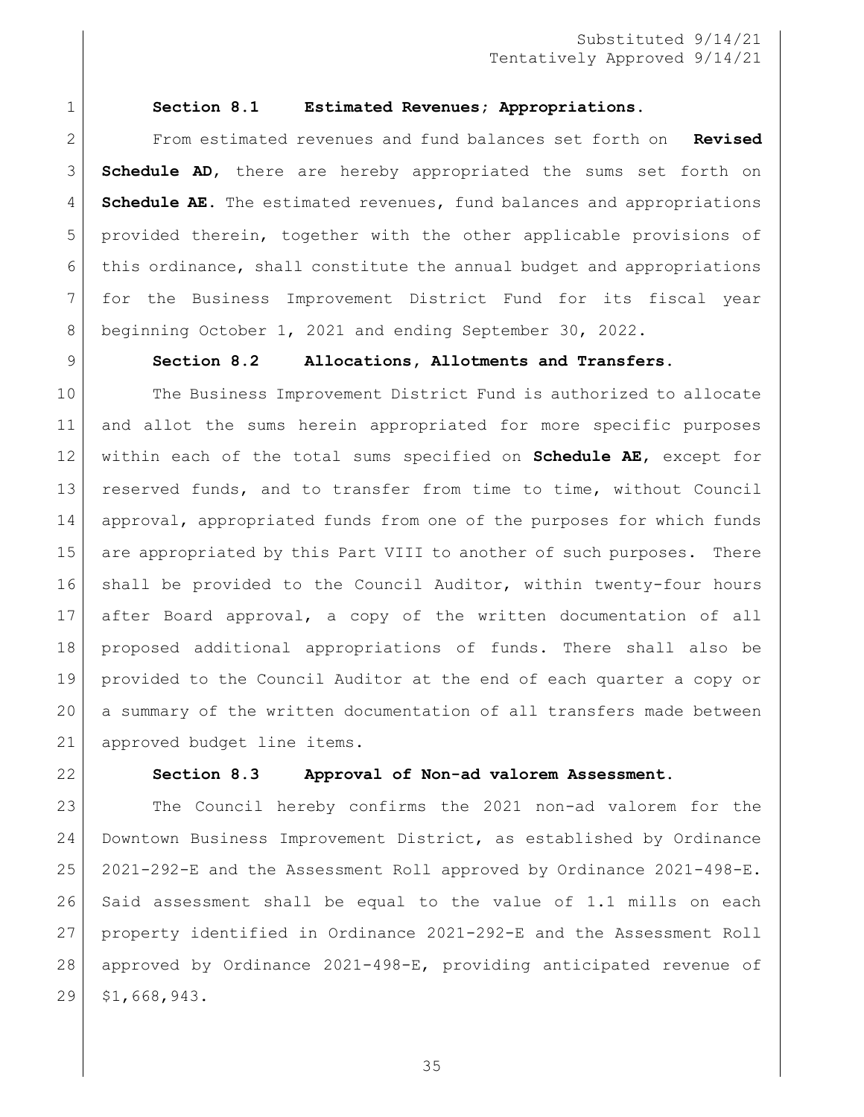<span id="page-34-0"></span>

#### **Section 8.1 Estimated Revenues; Appropriations.**

 From estimated revenues and fund balances set forth on **Revised Schedule AD**, there are hereby appropriated the sums set forth on **Schedule AE**. The estimated revenues, fund balances and appropriations provided therein, together with the other applicable provisions of this ordinance, shall constitute the annual budget and appropriations for the Business Improvement District Fund for its fiscal year beginning October 1, 2021 and ending September 30, 2022.

#### <span id="page-34-1"></span>**Section 8.2 Allocations, Allotments and Transfers.**

 The Business Improvement District Fund is authorized to allocate and allot the sums herein appropriated for more specific purposes within each of the total sums specified on **Schedule AE**, except for reserved funds, and to transfer from time to time, without Council approval, appropriated funds from one of the purposes for which funds 15 are appropriated by this Part VIII to another of such purposes. There shall be provided to the Council Auditor, within twenty-four hours after Board approval, a copy of the written documentation of all proposed additional appropriations of funds. There shall also be provided to the Council Auditor at the end of each quarter a copy or a summary of the written documentation of all transfers made between 21 approved budget line items.

<span id="page-34-2"></span>

#### **Section 8.3 Approval of Non-ad valorem Assessment.**

 The Council hereby confirms the 2021 non-ad valorem for the Downtown Business Improvement District, as established by Ordinance 2021-292-E and the Assessment Roll approved by Ordinance 2021-498-E. Said assessment shall be equal to the value of 1.1 mills on each property identified in Ordinance 2021-292-E and the Assessment Roll approved by Ordinance 2021-498-E, providing anticipated revenue of \$1,668,943.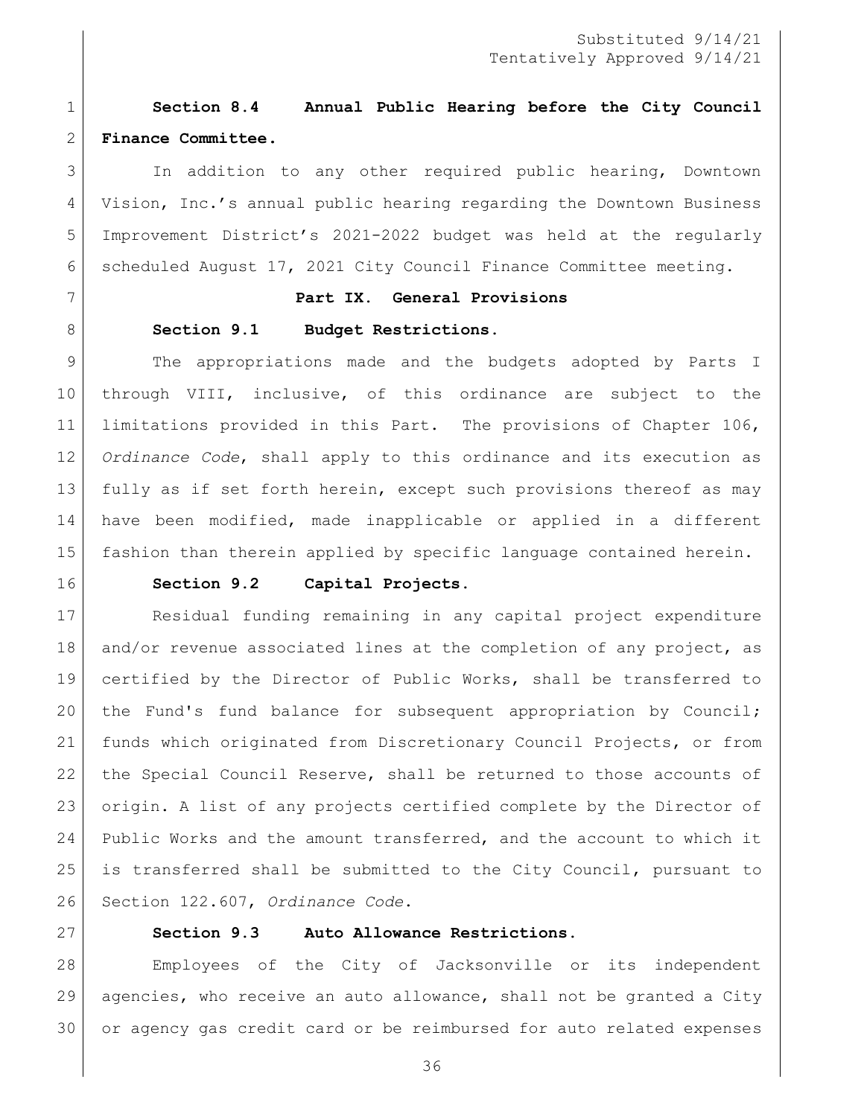# <span id="page-35-0"></span> **Section 8.4 Annual Public Hearing before the City Council Finance Committee.**

 In addition to any other required public hearing, Downtown Vision, Inc.'s annual public hearing regarding the Downtown Business Improvement District's 2021-2022 budget was held at the regularly scheduled August 17, 2021 City Council Finance Committee meeting.

### <span id="page-35-1"></span>**Part IX. General Provisions**

#### <span id="page-35-2"></span>8 Section 9.1 Budget Restrictions.

 The appropriations made and the budgets adopted by Parts I through VIII, inclusive, of this ordinance are subject to the limitations provided in this Part. The provisions of Chapter 106, *Ordinance Code*, shall apply to this ordinance and its execution as fully as if set forth herein, except such provisions thereof as may have been modified, made inapplicable or applied in a different fashion than therein applied by specific language contained herein.

<span id="page-35-3"></span>

#### **Section 9.2 Capital Projects.**

 Residual funding remaining in any capital project expenditure 18 and/or revenue associated lines at the completion of any project, as certified by the Director of Public Works, shall be transferred to the Fund's fund balance for subsequent appropriation by Council; funds which originated from Discretionary Council Projects, or from the Special Council Reserve, shall be returned to those accounts of origin. A list of any projects certified complete by the Director of Public Works and the amount transferred, and the account to which it is transferred shall be submitted to the City Council, pursuant to Section 122.607, *Ordinance Code*.

<span id="page-35-4"></span>

### **Section 9.3 Auto Allowance Restrictions.**

 Employees of the City of Jacksonville or its independent agencies, who receive an auto allowance, shall not be granted a City or agency gas credit card or be reimbursed for auto related expenses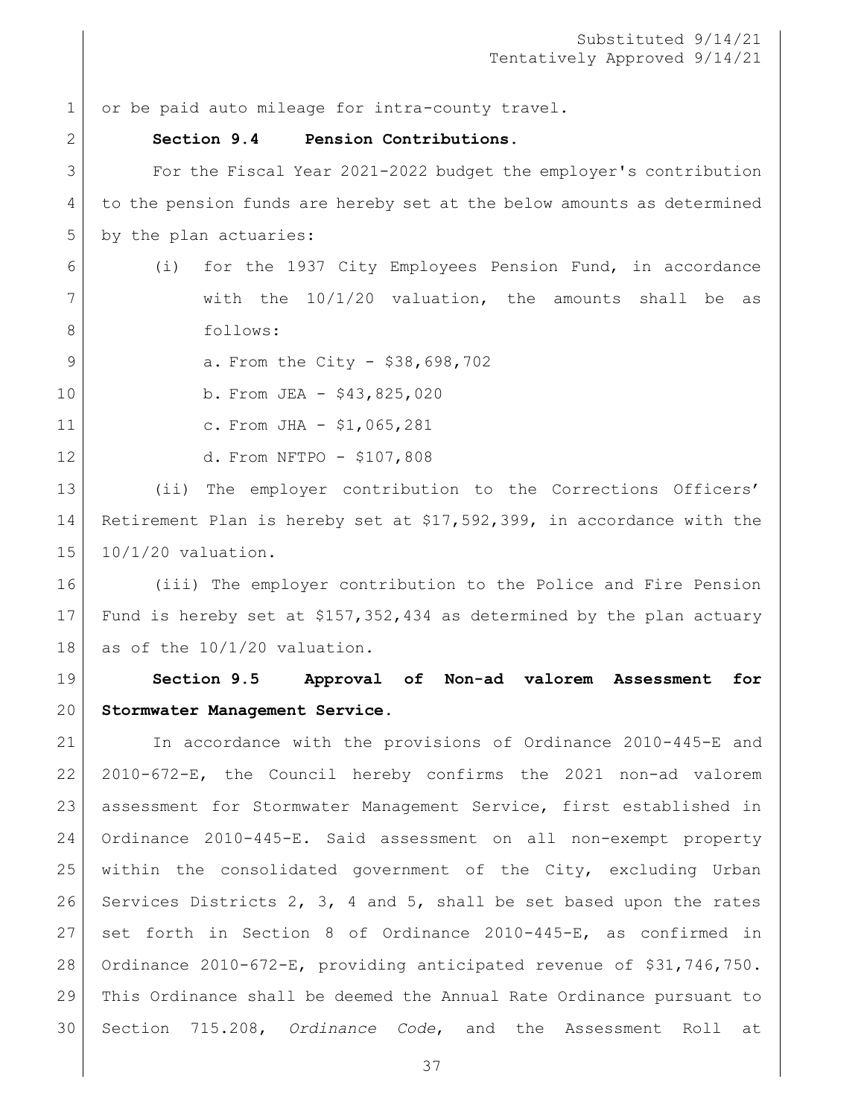1 or be paid auto mileage for intra-county travel.

## **Section 9.4 Pension Contributions.**

 For the Fiscal Year 2021-2022 budget the employer's contribution to the pension funds are hereby set at the below amounts as determined 5 by the plan actuaries:

- (i) for the 1937 City Employees Pension Fund, in accordance 7 | with the 10/1/20 valuation, the amounts shall be as 8 follows:
- 9 a. From the City \$38,698,702
- b. From JEA \$43,825,020
- 

11 | C. From JHA - \$1,065,281

d. From NFTPO - \$107,808

13 (ii) The employer contribution to the Corrections Officers' Retirement Plan is hereby set at \$17,592,399, in accordance with the 10/1/20 valuation.

 (iii) The employer contribution to the Police and Fire Pension Fund is hereby set at \$157,352,434 as determined by the plan actuary 18 as of the  $10/1/20$  valuation.

 **Section 9.5 Approval of Non-ad valorem Assessment for Stormwater Management Service.**

 In accordance with the provisions of Ordinance 2010-445-E and 2010-672-E, the Council hereby confirms the 2021 non-ad valorem assessment for Stormwater Management Service, first established in Ordinance 2010-445-E. Said assessment on all non-exempt property within the consolidated government of the City, excluding Urban Services Districts 2, 3, 4 and 5, shall be set based upon the rates set forth in Section 8 of Ordinance 2010-445-E, as confirmed in Ordinance 2010-672-E, providing anticipated revenue of \$31,746,750. This Ordinance shall be deemed the Annual Rate Ordinance pursuant to Section 715.208, *Ordinance Code*, and the Assessment Roll at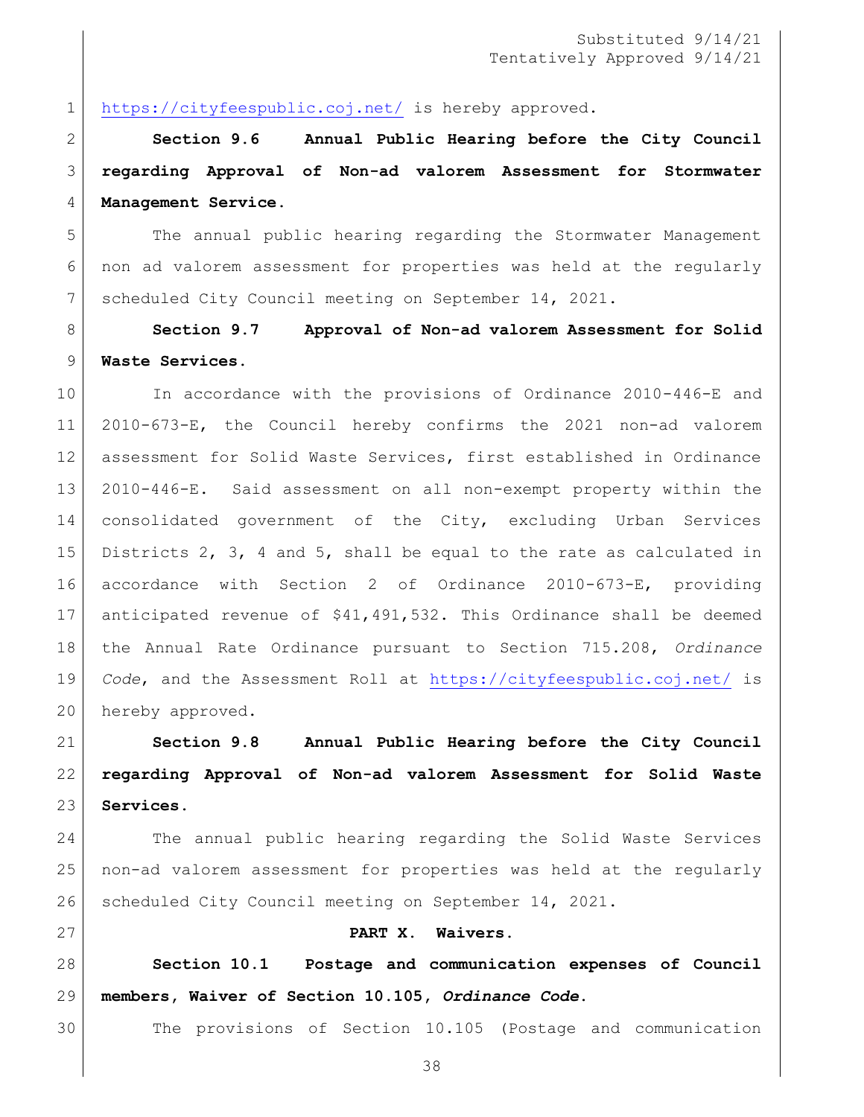<https://cityfeespublic.coj.net/> is hereby approved.

 **Section 9.6 Annual Public Hearing before the City Council regarding Approval of Non-ad valorem Assessment for Stormwater Management Service.**

 The annual public hearing regarding the Stormwater Management non ad valorem assessment for properties was held at the regularly scheduled City Council meeting on September 14, 2021.

 **Section 9.7 Approval of Non-ad valorem Assessment for Solid Waste Services.**

 In accordance with the provisions of Ordinance 2010-446-E and 2010-673-E, the Council hereby confirms the 2021 non-ad valorem assessment for Solid Waste Services, first established in Ordinance 2010-446-E. Said assessment on all non-exempt property within the consolidated government of the City, excluding Urban Services Districts 2, 3, 4 and 5, shall be equal to the rate as calculated in accordance with Section 2 of Ordinance 2010-673-E, providing anticipated revenue of \$41,491,532**.** This Ordinance shall be deemed the Annual Rate Ordinance pursuant to Section 715.208, *Ordinance Code*, and the Assessment Roll at<https://cityfeespublic.coj.net/> is 20 hereby approved.

 **Section 9.8 Annual Public Hearing before the City Council regarding Approval of Non-ad valorem Assessment for Solid Waste Services.**

 The annual public hearing regarding the Solid Waste Services non-ad valorem assessment for properties was held at the regularly scheduled City Council meeting on September 14, 2021.

### **PART X. Waivers.**

 **Section 10.1 Postage and communication expenses of Council members, Waiver of Section 10.105,** *Ordinance Code***.**

The provisions of Section 10.105 (Postage and communication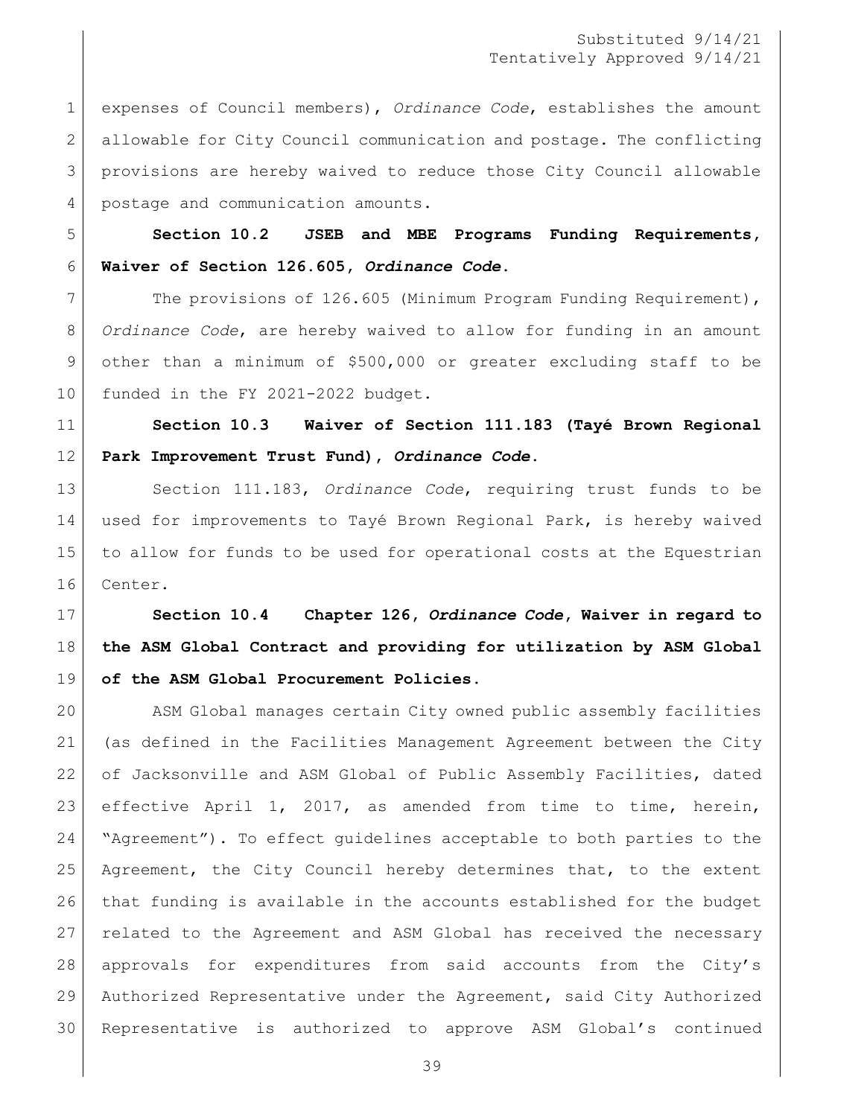expenses of Council members), *Ordinance Code*, establishes the amount allowable for City Council communication and postage. The conflicting provisions are hereby waived to reduce those City Council allowable 4 postage and communication amounts.

 **Section 10.2 JSEB and MBE Programs Funding Requirements, Waiver of Section 126.605,** *Ordinance Code***.**

7 The provisions of 126.605 (Minimum Program Funding Requirement), *Ordinance Code*, are hereby waived to allow for funding in an amount other than a minimum of \$500,000 or greater excluding staff to be 10 funded in the FY 2021-2022 budget.

 **Section 10.3 Waiver of Section 111.183 (Tayé Brown Regional Park Improvement Trust Fund),** *Ordinance Code***.**

 Section 111.183, *Ordinance Code*, requiring trust funds to be used for improvements to Tayé Brown Regional Park, is hereby waived to allow for funds to be used for operational costs at the Equestrian Center.

 **Section 10.4 Chapter 126,** *Ordinance Code***, Waiver in regard to the ASM Global Contract and providing for utilization by ASM Global of the ASM Global Procurement Policies.** 

 ASM Global manages certain City owned public assembly facilities (as defined in the Facilities Management Agreement between the City 22 of Jacksonville and ASM Global of Public Assembly Facilities, dated effective April 1, 2017, as amended from time to time, herein, "Agreement"). To effect guidelines acceptable to both parties to the Agreement, the City Council hereby determines that, to the extent that funding is available in the accounts established for the budget related to the Agreement and ASM Global has received the necessary approvals for expenditures from said accounts from the City's Authorized Representative under the Agreement, said City Authorized Representative is authorized to approve ASM Global's continued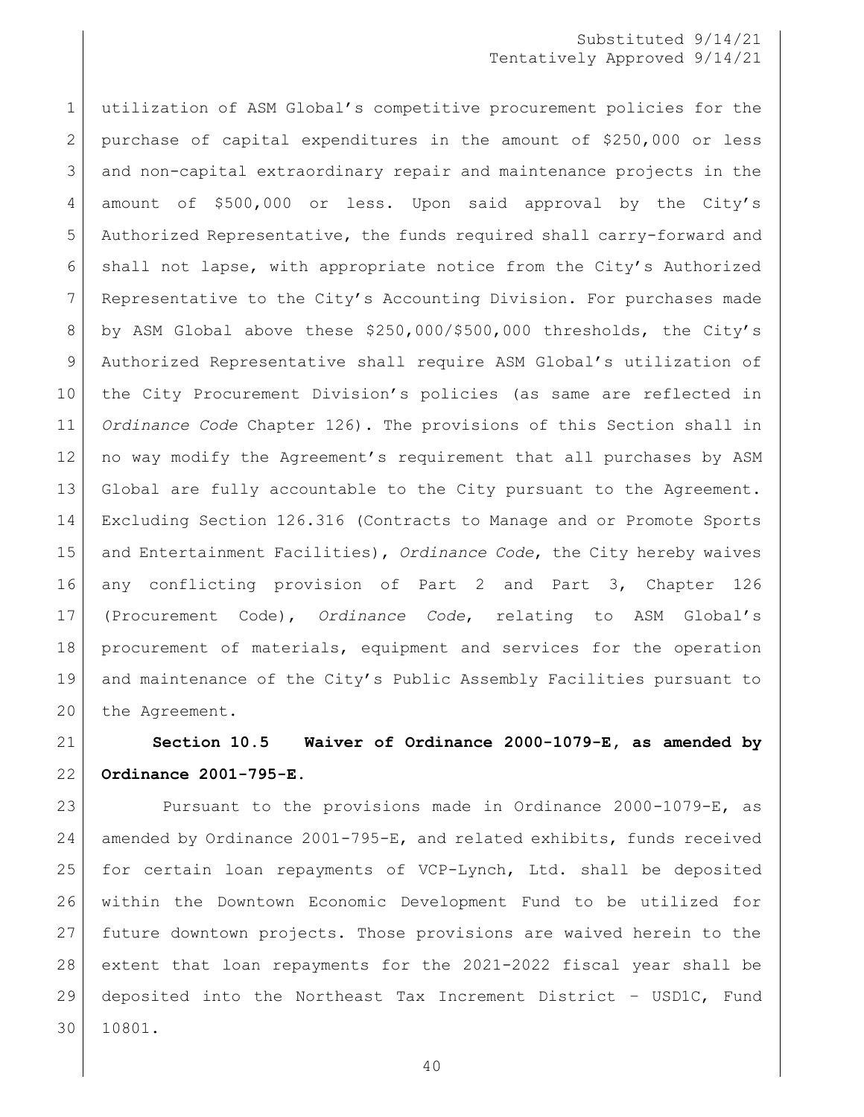# Substituted 9/14/21 Tentatively Approved 9/14/21

 utilization of ASM Global's competitive procurement policies for the purchase of capital expenditures in the amount of \$250,000 or less and non-capital extraordinary repair and maintenance projects in the amount of \$500,000 or less. Upon said approval by the City's Authorized Representative, the funds required shall carry-forward and shall not lapse, with appropriate notice from the City's Authorized Representative to the City's Accounting Division. For purchases made by ASM Global above these \$250,000/\$500,000 thresholds, the City's Authorized Representative shall require ASM Global's utilization of the City Procurement Division's policies (as same are reflected in *Ordinance Code* Chapter 126). The provisions of this Section shall in no way modify the Agreement's requirement that all purchases by ASM Global are fully accountable to the City pursuant to the Agreement. Excluding Section 126.316 (Contracts to Manage and or Promote Sports and Entertainment Facilities), *Ordinance Code*, the City hereby waives any conflicting provision of Part 2 and Part 3, Chapter 126 (Procurement Code), *Ordinance Code*, relating to ASM Global's procurement of materials, equipment and services for the operation and maintenance of the City's Public Assembly Facilities pursuant to 20 the Agreement.

 **Section 10.5 Waiver of Ordinance 2000-1079-E, as amended by Ordinance 2001-795-E.**

 Pursuant to the provisions made in Ordinance 2000-1079-E, as amended by Ordinance 2001-795-E, and related exhibits, funds received for certain loan repayments of VCP-Lynch, Ltd. shall be deposited within the Downtown Economic Development Fund to be utilized for future downtown projects. Those provisions are waived herein to the extent that loan repayments for the 2021-2022 fiscal year shall be deposited into the Northeast Tax Increment District – USD1C, Fund 10801.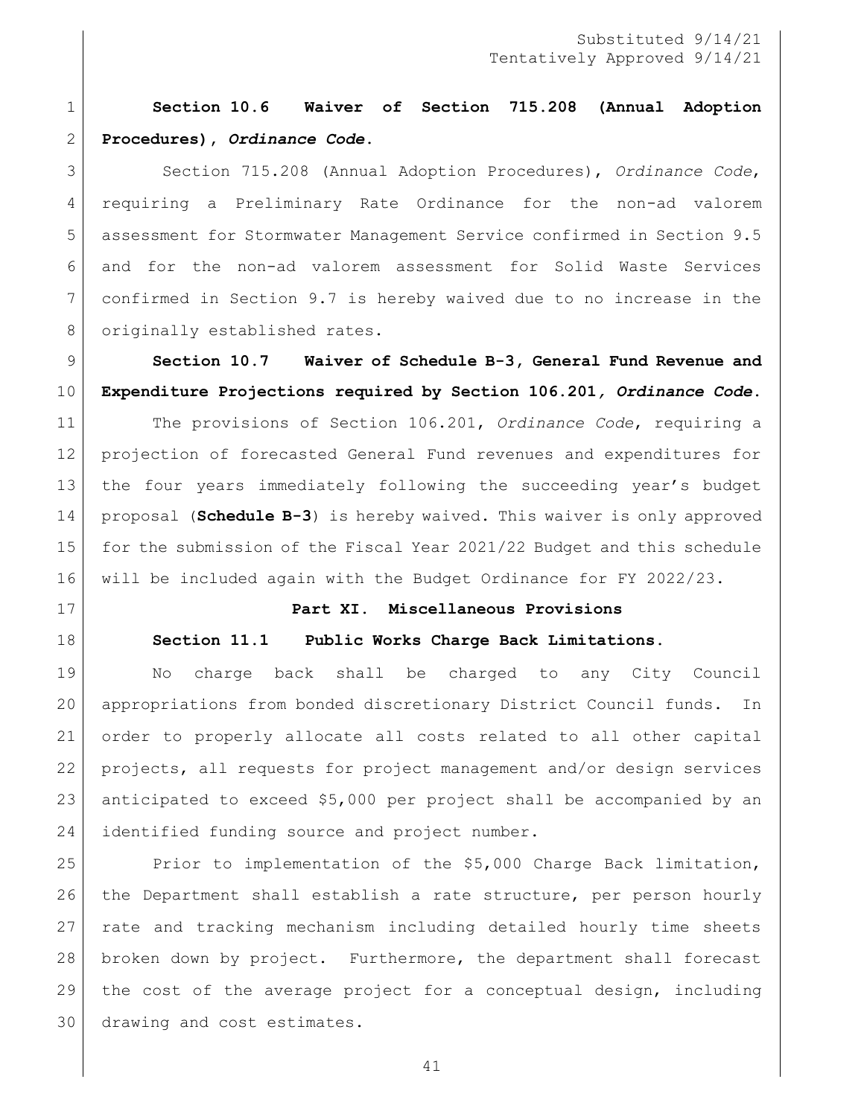**Section 10.6 Waiver of Section 715.208 (Annual Adoption Procedures),** *Ordinance Code***.**

 Section 715.208 (Annual Adoption Procedures), *Ordinance Code*, requiring a Preliminary Rate Ordinance for the non-ad valorem assessment for Stormwater Management Service confirmed in Section 9.5 and for the non-ad valorem assessment for Solid Waste Services confirmed in Section 9.7 is hereby waived due to no increase in the 8 originally established rates.

 **Section 10.7 Waiver of Schedule B-3, General Fund Revenue and Expenditure Projections required by Section 106.201***, Ordinance Code***.** 

 The provisions of Section 106.201, *Ordinance Code*, requiring a projection of forecasted General Fund revenues and expenditures for the four years immediately following the succeeding year's budget proposal (**Schedule B-3**) is hereby waived. This waiver is only approved for the submission of the Fiscal Year 2021/22 Budget and this schedule will be included again with the Budget Ordinance for FY 2022/23.

# **Part XI. Miscellaneous Provisions**

## **Section 11.1 Public Works Charge Back Limitations.**

 No charge back shall be charged to any City Council appropriations from bonded discretionary District Council funds. In order to properly allocate all costs related to all other capital projects, all requests for project management and/or design services anticipated to exceed \$5,000 per project shall be accompanied by an 24 identified funding source and project number.

 Prior to implementation of the \$5,000 Charge Back limitation, the Department shall establish a rate structure, per person hourly rate and tracking mechanism including detailed hourly time sheets broken down by project. Furthermore, the department shall forecast the cost of the average project for a conceptual design, including drawing and cost estimates.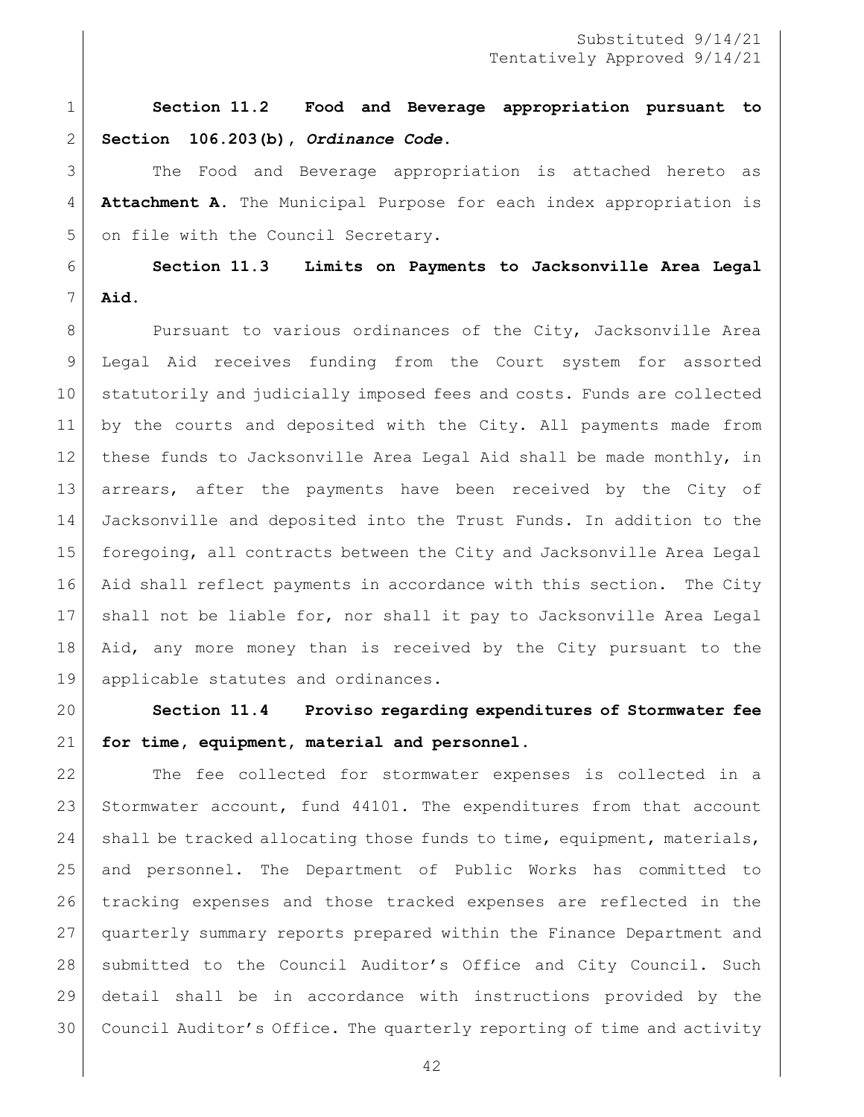**Section 11.2 Food and Beverage appropriation pursuant to Section 106.203(b),** *Ordinance Code***.** 

 The Food and Beverage appropriation is attached hereto as **Attachment A**. The Municipal Purpose for each index appropriation is 5 on file with the Council Secretary.

 **Section 11.3 Limits on Payments to Jacksonville Area Legal Aid.**

8 Pursuant to various ordinances of the City, Jacksonville Area Legal Aid receives funding from the Court system for assorted 10 statutorily and judicially imposed fees and costs. Funds are collected by the courts and deposited with the City. All payments made from these funds to Jacksonville Area Legal Aid shall be made monthly, in arrears, after the payments have been received by the City of Jacksonville and deposited into the Trust Funds. In addition to the foregoing, all contracts between the City and Jacksonville Area Legal Aid shall reflect payments in accordance with this section. The City shall not be liable for, nor shall it pay to Jacksonville Area Legal 18 | Aid, any more money than is received by the City pursuant to the 19 applicable statutes and ordinances.

 **Section 11.4 Proviso regarding expenditures of Stormwater fee for time, equipment, material and personnel.**

 The fee collected for stormwater expenses is collected in a 23 Stormwater account, fund 44101. The expenditures from that account 24 shall be tracked allocating those funds to time, equipment, materials, and personnel. The Department of Public Works has committed to tracking expenses and those tracked expenses are reflected in the quarterly summary reports prepared within the Finance Department and 28 | submitted to the Council Auditor's Office and City Council. Such detail shall be in accordance with instructions provided by the Council Auditor's Office. The quarterly reporting of time and activity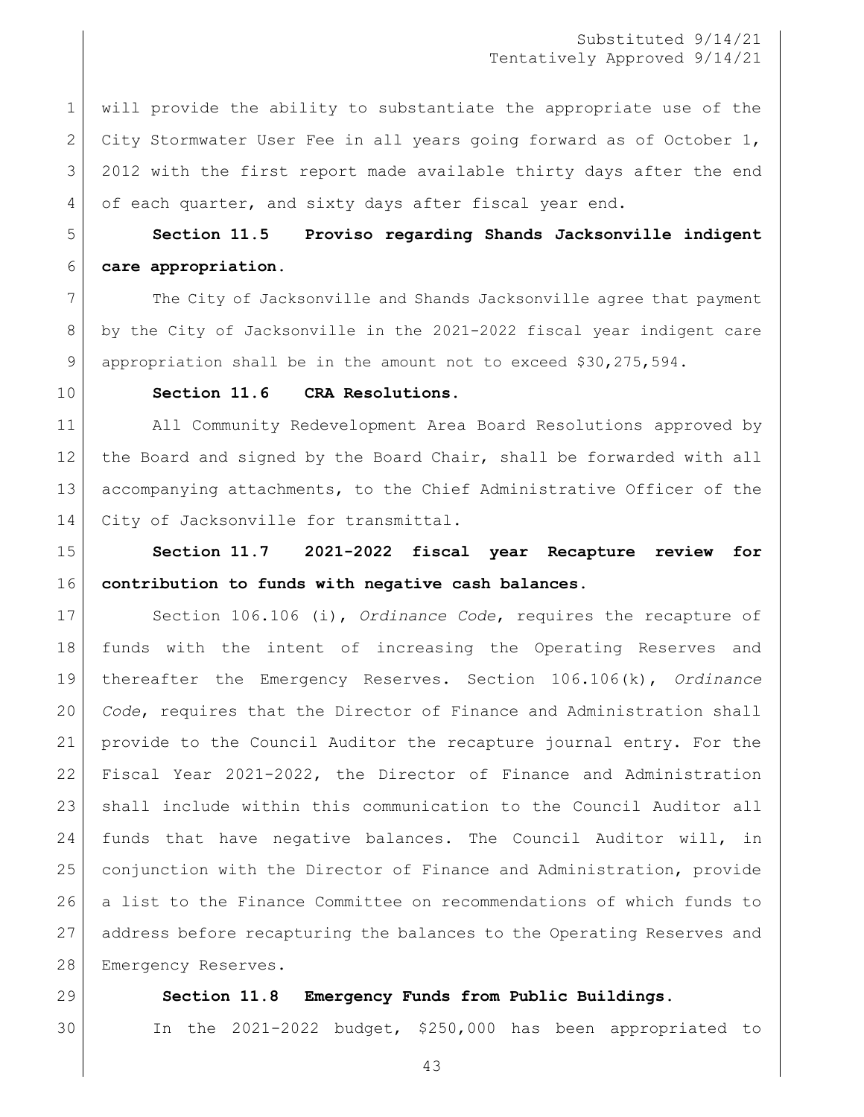# Substituted 9/14/21 Tentatively Approved 9/14/21

 will provide the ability to substantiate the appropriate use of the 2 City Stormwater User Fee in all years going forward as of October 1, 2012 with the first report made available thirty days after the end 4 of each quarter, and sixty days after fiscal year end.

 **Section 11.5 Proviso regarding Shands Jacksonville indigent care appropriation.** 

7 The City of Jacksonville and Shands Jacksonville agree that payment by the City of Jacksonville in the 2021-2022 fiscal year indigent care appropriation shall be in the amount not to exceed \$30,275,594.

# **Section 11.6 CRA Resolutions.**

 All Community Redevelopment Area Board Resolutions approved by 12 the Board and signed by the Board Chair, shall be forwarded with all accompanying attachments, to the Chief Administrative Officer of the 14 City of Jacksonville for transmittal.

 **Section 11.7 2021-2022 fiscal year Recapture review for contribution to funds with negative cash balances.** 

 Section 106.106 (i), *Ordinance Code*, requires the recapture of funds with the intent of increasing the Operating Reserves and thereafter the Emergency Reserves. Section 106.106(k), *Ordinance Code*, requires that the Director of Finance and Administration shall provide to the Council Auditor the recapture journal entry. For the Fiscal Year 2021-2022, the Director of Finance and Administration shall include within this communication to the Council Auditor all funds that have negative balances. The Council Auditor will, in conjunction with the Director of Finance and Administration, provide a list to the Finance Committee on recommendations of which funds to address before recapturing the balances to the Operating Reserves and 28 Emergency Reserves.

#### **Section 11.8 Emergency Funds from Public Buildings.**

# In the 2021-2022 budget, \$250,000 has been appropriated to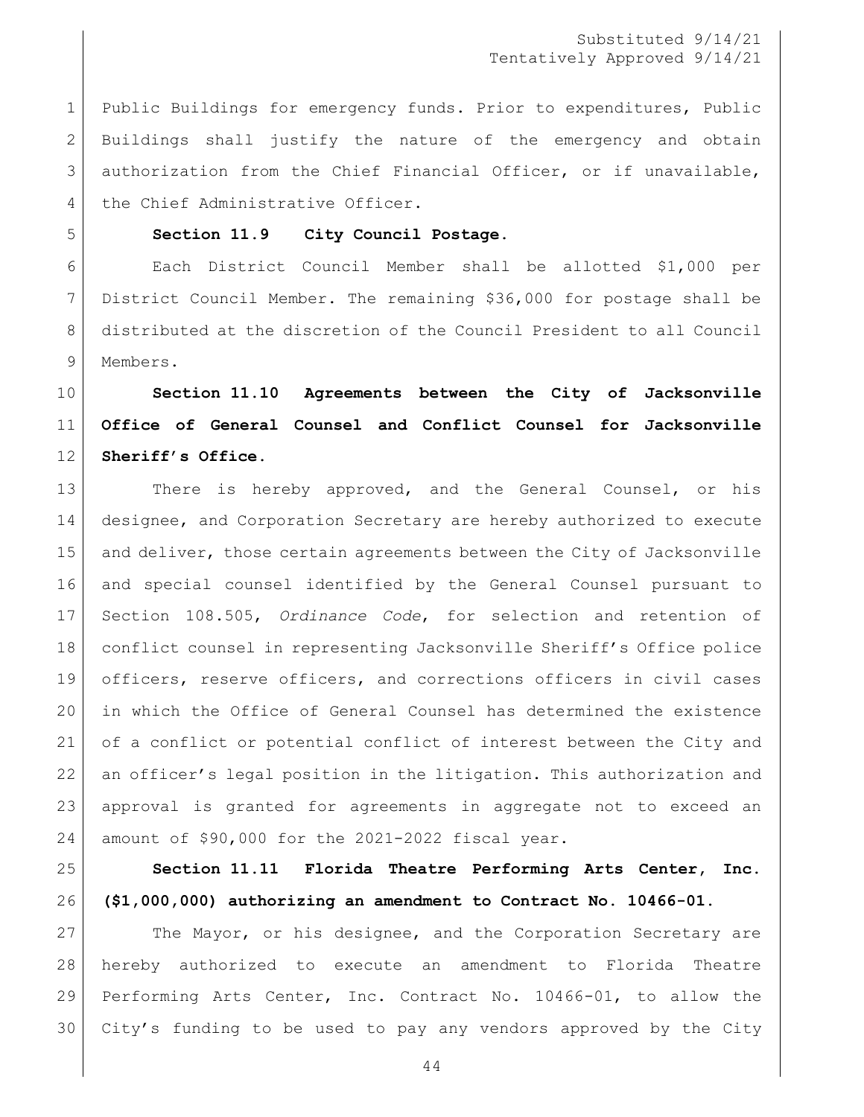Public Buildings for emergency funds. Prior to expenditures, Public Buildings shall justify the nature of the emergency and obtain 3 authorization from the Chief Financial Officer, or if unavailable, 4 the Chief Administrative Officer.

# **Section 11.9 City Council Postage.**

 Each District Council Member shall be allotted \$1,000 per District Council Member. The remaining \$36,000 for postage shall be distributed at the discretion of the Council President to all Council 9 Members.

# **Section 11.10 Agreements between the City of Jacksonville Office of General Counsel and Conflict Counsel for Jacksonville Sheriff's Office.**

13 There is hereby approved, and the General Counsel, or his designee, and Corporation Secretary are hereby authorized to execute 15 and deliver, those certain agreements between the City of Jacksonville and special counsel identified by the General Counsel pursuant to Section 108.505, *Ordinance Code*, for selection and retention of conflict counsel in representing Jacksonville Sheriff's Office police officers, reserve officers, and corrections officers in civil cases in which the Office of General Counsel has determined the existence of a conflict or potential conflict of interest between the City and an officer's legal position in the litigation. This authorization and approval is granted for agreements in aggregate not to exceed an amount of \$90,000 for the 2021-2022 fiscal year.

 **Section 11.11 Florida Theatre Performing Arts Center, Inc. (\$1,000,000) authorizing an amendment to Contract No. 10466-01.**

27 The Mayor, or his designee, and the Corporation Secretary are hereby authorized to execute an amendment to Florida Theatre Performing Arts Center, Inc. Contract No. 10466-01, to allow the City's funding to be used to pay any vendors approved by the City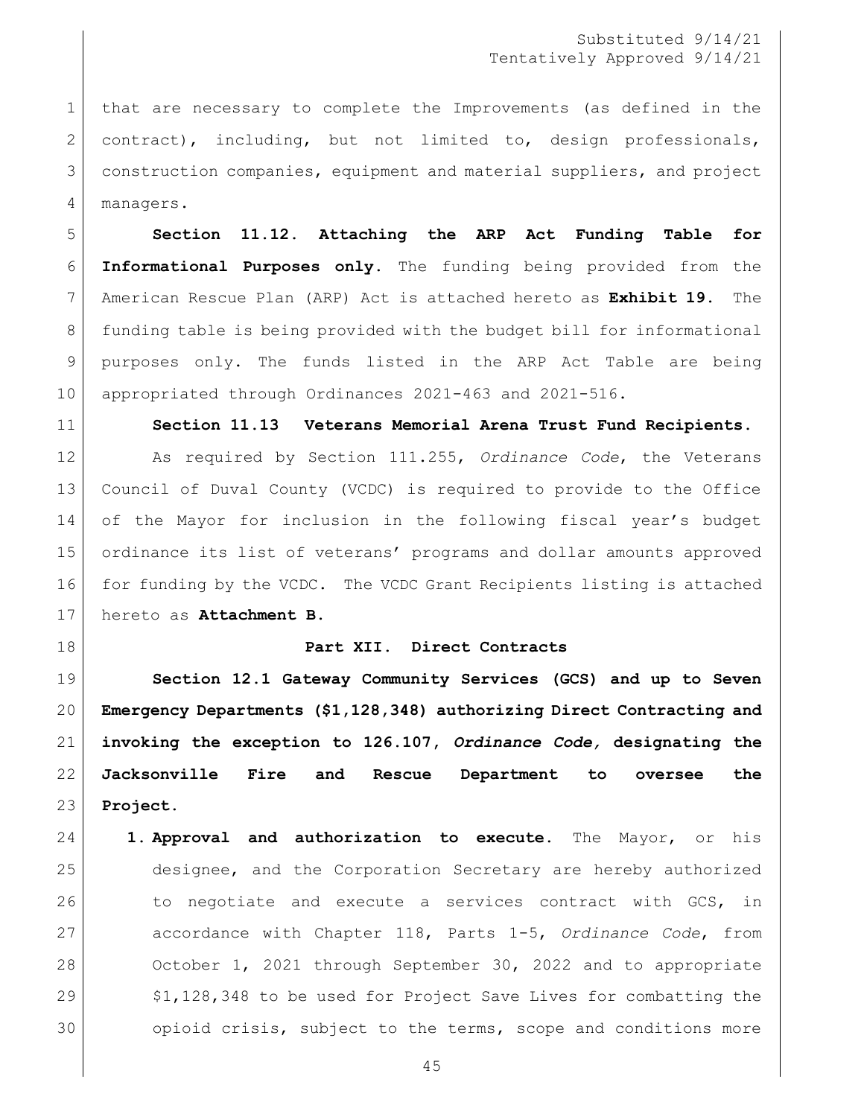that are necessary to complete the Improvements (as defined in the 2 contract), including, but not limited to, design professionals, construction companies, equipment and material suppliers, and project managers.

 **Section 11.12. Attaching the ARP Act Funding Table for Informational Purposes only.** The funding being provided from the American Rescue Plan (ARP) Act is attached hereto as **Exhibit 19.** The funding table is being provided with the budget bill for informational purposes only. The funds listed in the ARP Act Table are being appropriated through Ordinances 2021-463 and 2021-516.

**Section 11.13 Veterans Memorial Arena Trust Fund Recipients.**

 As required by Section 111.255, *Ordinance Code*, the Veterans Council of Duval County (VCDC) is required to provide to the Office of the Mayor for inclusion in the following fiscal year's budget ordinance its list of veterans' programs and dollar amounts approved for funding by the VCDC. The VCDC Grant Recipients listing is attached hereto as **Attachment B**.

**Part XII. Direct Contracts**

 **Section 12.1 Gateway Community Services (GCS) and up to Seven Emergency Departments (\$1,128,348) authorizing Direct Contracting and invoking the exception to 126.107,** *Ordinance Code,* **designating the Jacksonville Fire and Rescue Department to oversee the Project.** 

 **1. Approval and authorization to execute.** The Mayor, or his designee, and the Corporation Secretary are hereby authorized 26 to negotiate and execute a services contract with GCS, in accordance with Chapter 118, Parts 1-5, *Ordinance Code*, from 28 October 1, 2021 through September 30, 2022 and to appropriate  $\sim$  \$1,128,348 to be used for Project Save Lives for combatting the 30 opioid crisis, subject to the terms, scope and conditions more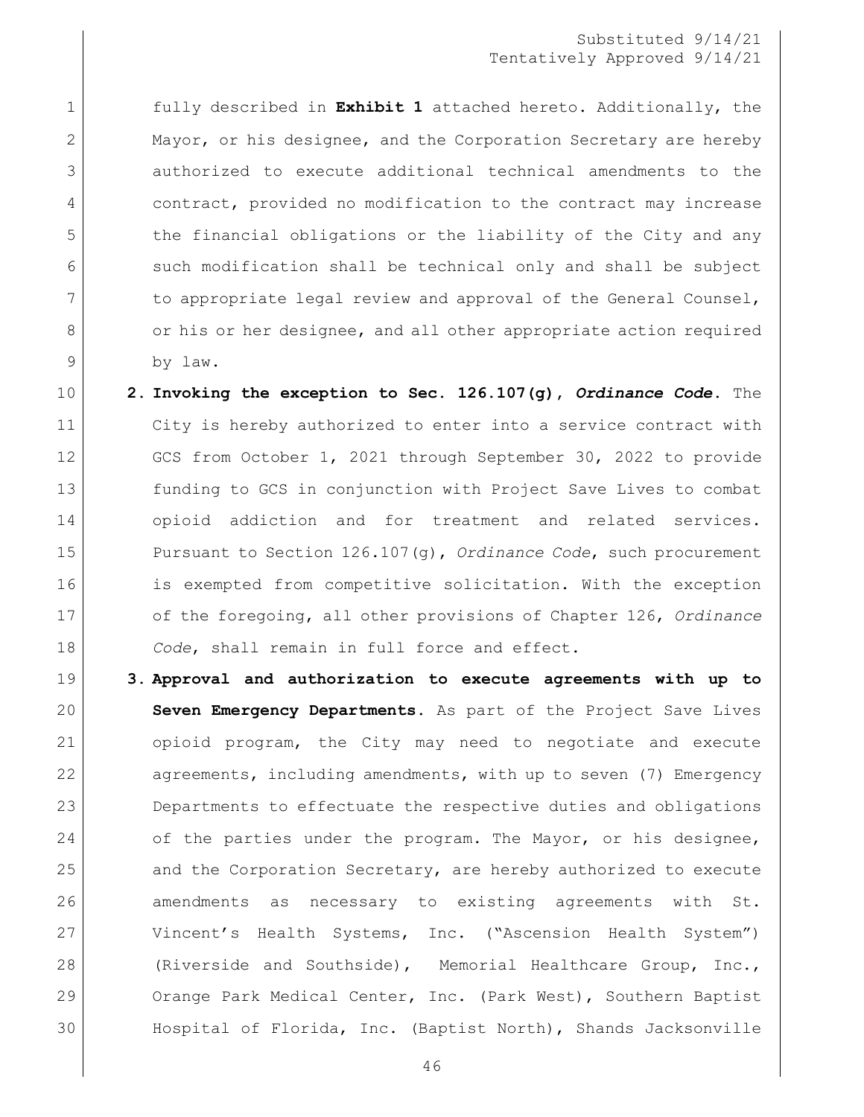# Substituted 9/14/21 Tentatively Approved 9/14/21

 fully described in **Exhibit 1** attached hereto. Additionally, the 2 Mayor, or his designee, and the Corporation Secretary are hereby authorized to execute additional technical amendments to the contract, provided no modification to the contract may increase 5 the financial obligations or the liability of the City and any 6 such modification shall be technical only and shall be subject 7 to appropriate legal review and approval of the General Counsel, 8 or his or her designee, and all other appropriate action required by law.

- **2. Invoking the exception to Sec. 126.107(g),** *Ordinance Code***.** The City is hereby authorized to enter into a service contract with 12 GCS from October 1, 2021 through September 30, 2022 to provide funding to GCS in conjunction with Project Save Lives to combat 14 opioid addiction and for treatment and related services. Pursuant to Section 126.107(g), *Ordinance Code*, such procurement is exempted from competitive solicitation. With the exception of the foregoing, all other provisions of Chapter 126, *Ordinance Code*, shall remain in full force and effect.
- **3. Approval and authorization to execute agreements with up to Seven Emergency Departments.** As part of the Project Save Lives opioid program, the City may need to negotiate and execute 22 agreements, including amendments, with up to seven (7) Emergency Departments to effectuate the respective duties and obligations 24 of the parties under the program. The Mayor, or his designee, 25 and the Corporation Secretary, are hereby authorized to execute amendments as necessary to existing agreements with St. Vincent's Health Systems, Inc. ("Ascension Health System") (Riverside and Southside), Memorial Healthcare Group, Inc., 29 Orange Park Medical Center, Inc. (Park West), Southern Baptist Hospital of Florida, Inc. (Baptist North), Shands Jacksonville
	-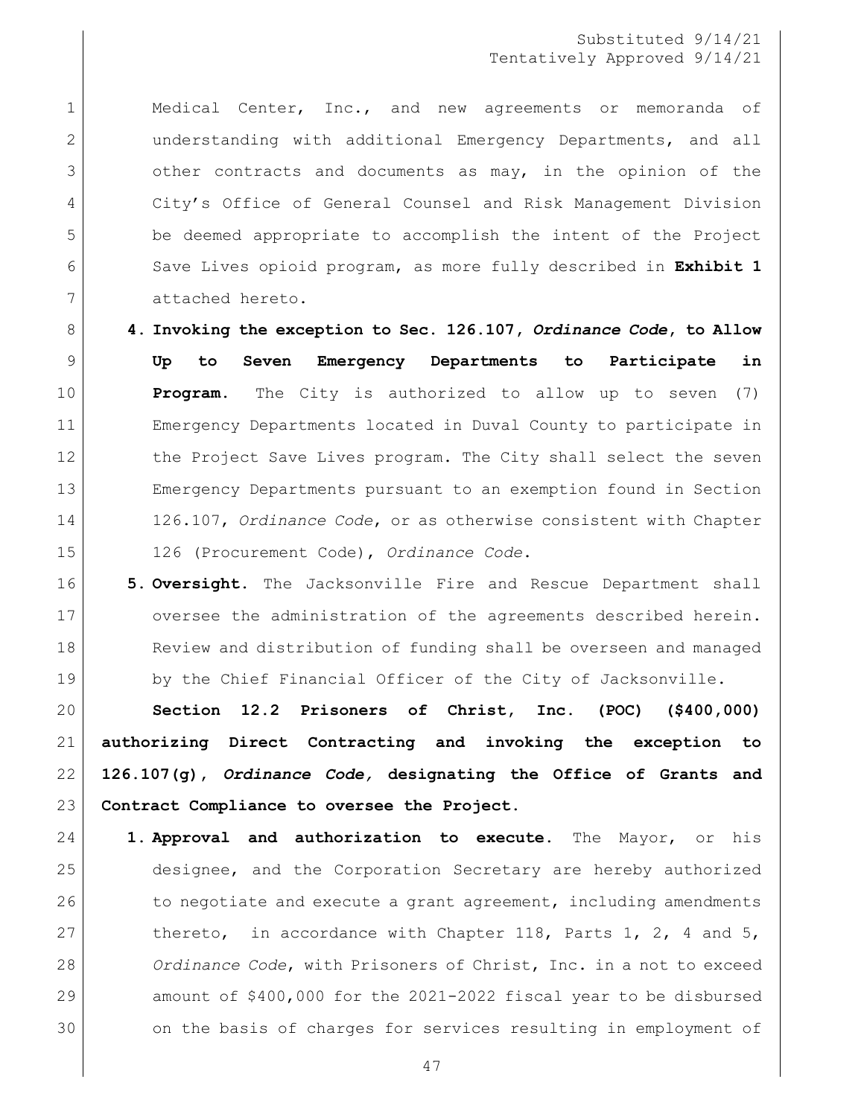# Substituted 9/14/21 Tentatively Approved 9/14/21

1 | Medical Center, Inc., and new agreements or memoranda of 2 | understanding with additional Emergency Departments, and all 3 3 other contracts and documents as may, in the opinion of the City's Office of General Counsel and Risk Management Division be deemed appropriate to accomplish the intent of the Project Save Lives opioid program, as more fully described in **Exhibit 1** attached hereto.

 **4. Invoking the exception to Sec. 126.107,** *Ordinance Code***, to Allow Up to Seven Emergency Departments to Participate in Program.** The City is authorized to allow up to seven (7) Emergency Departments located in Duval County to participate in 12 the Project Save Lives program. The City shall select the seven Emergency Departments pursuant to an exemption found in Section 126.107, *Ordinance Code*, or as otherwise consistent with Chapter 126 (Procurement Code), *Ordinance Code*.

 **5. Oversight.** The Jacksonville Fire and Rescue Department shall 17 oversee the administration of the agreements described herein. 18 Review and distribution of funding shall be overseen and managed 19 by the Chief Financial Officer of the City of Jacksonville.

 **Section 12.2 Prisoners of Christ, Inc. (POC) (\$400,000) authorizing Direct Contracting and invoking the exception to 126.107(g),** *Ordinance Code,* **designating the Office of Grants and Contract Compliance to oversee the Project.** 

 **1. Approval and authorization to execute.** The Mayor, or his designee, and the Corporation Secretary are hereby authorized 26 to negotiate and execute a grant agreement, including amendments 27 thereto, in accordance with Chapter 118, Parts 1, 2, 4 and 5, *Ordinance Code*, with Prisoners of Christ, Inc. in a not to exceed amount of \$400,000 for the 2021-2022 fiscal year to be disbursed 30 on the basis of charges for services resulting in employment of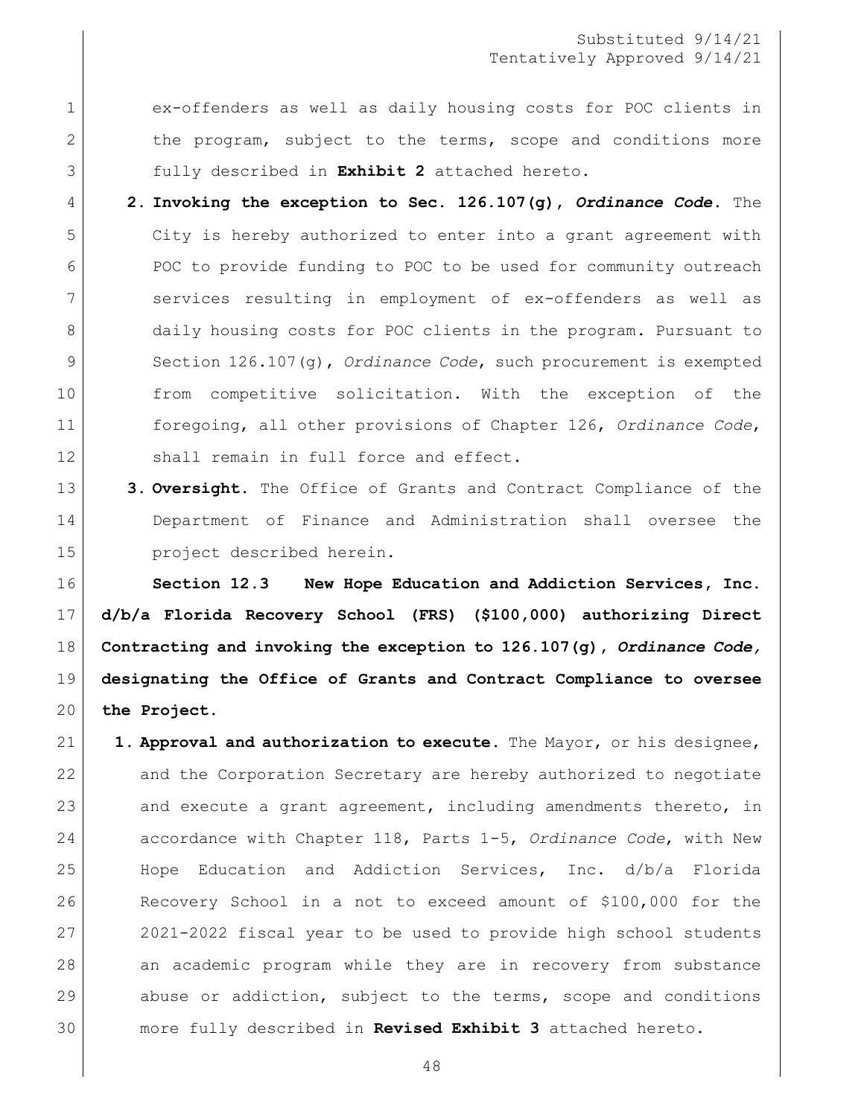ex-offenders as well as daily housing costs for POC clients in 2 the program, subject to the terms, scope and conditions more fully described in **Exhibit 2** attached hereto.

 **2. Invoking the exception to Sec. 126.107(g),** *Ordinance Code***.** The City is hereby authorized to enter into a grant agreement with POC to provide funding to POC to be used for community outreach services resulting in employment of ex-offenders as well as 8 daily housing costs for POC clients in the program. Pursuant to Section 126.107(g), *Ordinance Code*, such procurement is exempted 10 | from competitive solicitation. With the exception of the foregoing, all other provisions of Chapter 126, *Ordinance Code*, 12 Shall remain in full force and effect.

 **3. Oversight.** The Office of Grants and Contract Compliance of the Department of Finance and Administration shall oversee the project described herein.

 **Section 12.3 New Hope Education and Addiction Services, Inc. d/b/a Florida Recovery School (FRS) (\$100,000) authorizing Direct Contracting and invoking the exception to 126.107(g),** *Ordinance Code,*  **designating the Office of Grants and Contract Compliance to oversee the Project.** 

 **1. Approval and authorization to execute.** The Mayor, or his designee, and the Corporation Secretary are hereby authorized to negotiate 23 and execute a grant agreement, including amendments thereto, in accordance with Chapter 118, Parts 1-5, *Ordinance Code*, with New Hope Education and Addiction Services, Inc. d/b/a Florida Recovery School in a not to exceed amount of \$100,000 for the 2021-2022 fiscal year to be used to provide high school students an academic program while they are in recovery from substance 29 abuse or addiction, subject to the terms, scope and conditions more fully described in **Revised Exhibit 3** attached hereto.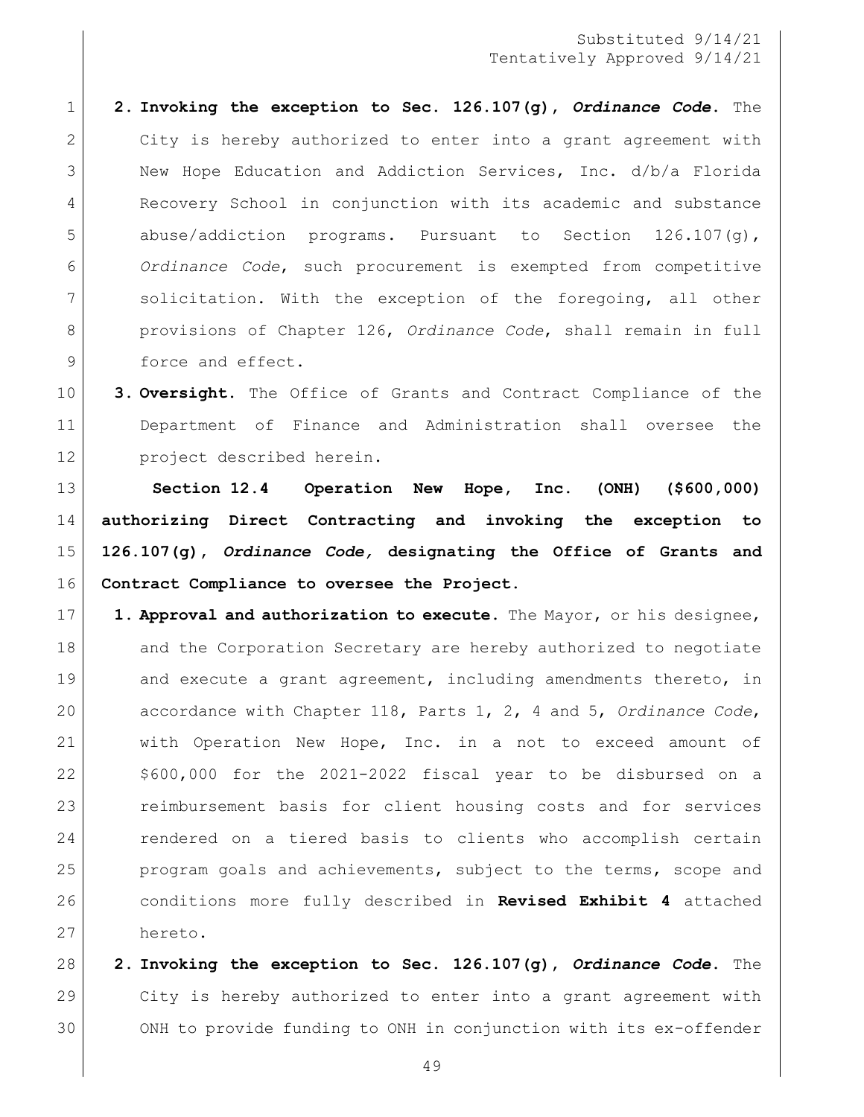**2. Invoking the exception to Sec. 126.107(g),** *Ordinance Code***.** The 2 City is hereby authorized to enter into a grant agreement with New Hope Education and Addiction Services, Inc. d/b/a Florida Recovery School in conjunction with its academic and substance 5 abuse/addiction programs. Pursuant to Section 126.107(g), *Ordinance Code*, such procurement is exempted from competitive 7 Solicitation. With the exception of the foregoing, all other provisions of Chapter 126, *Ordinance Code*, shall remain in full 9 force and effect.

 **3. Oversight.** The Office of Grants and Contract Compliance of the Department of Finance and Administration shall oversee the project described herein.

 **Section 12.4 Operation New Hope, Inc. (ONH) (\$600,000) authorizing Direct Contracting and invoking the exception to 126.107(g),** *Ordinance Code,* **designating the Office of Grants and Contract Compliance to oversee the Project.** 

 **1. Approval and authorization to execute.** The Mayor, or his designee, 18 and the Corporation Secretary are hereby authorized to negotiate 19 and execute a grant agreement, including amendments thereto, in accordance with Chapter 118, Parts 1, 2, 4 and 5, *Ordinance Code*, with Operation New Hope, Inc. in a not to exceed amount of \$600,000 for the 2021-2022 fiscal year to be disbursed on a 23 reimbursement basis for client housing costs and for services 24 rendered on a tiered basis to clients who accomplish certain 25 program goals and achievements, subject to the terms, scope and conditions more fully described in **Revised Exhibit 4** attached hereto.

 **2. Invoking the exception to Sec. 126.107(g),** *Ordinance Code***.** The City is hereby authorized to enter into a grant agreement with ONH to provide funding to ONH in conjunction with its ex-offender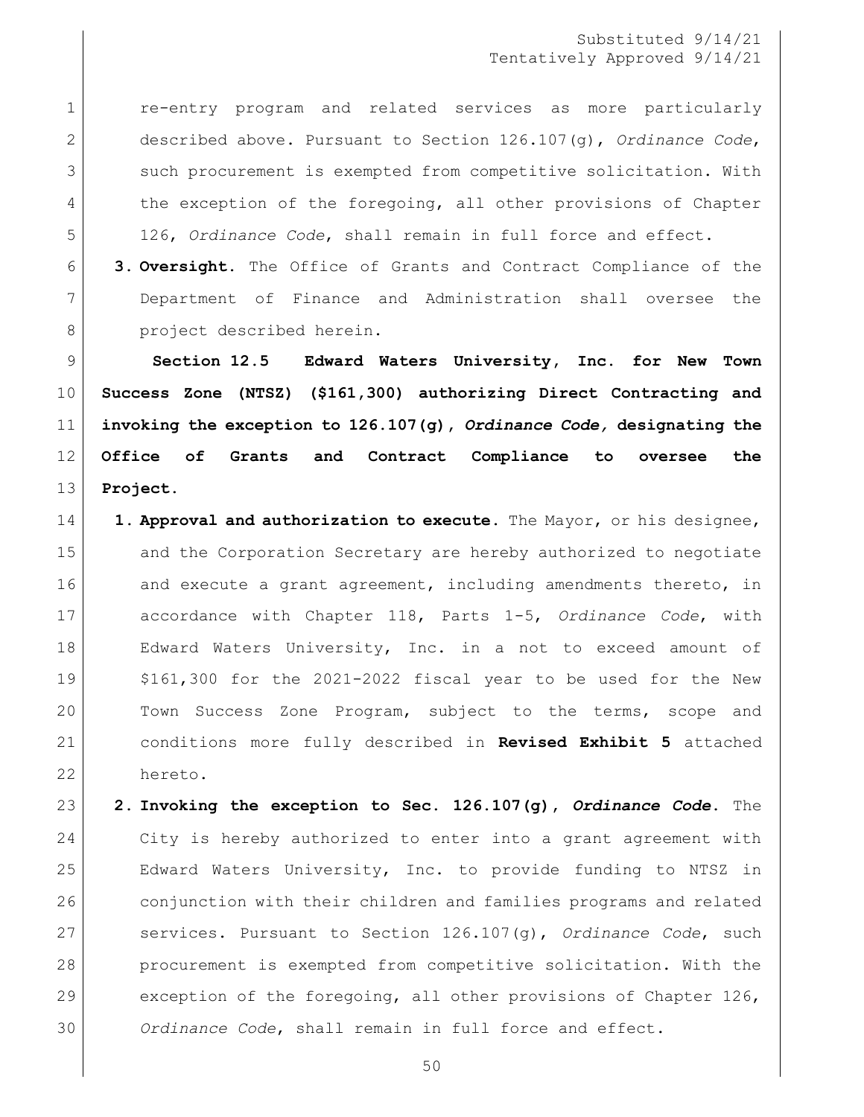re-entry program and related services as more particularly described above. Pursuant to Section 126.107(g), *Ordinance Code*, 3 Such procurement is exempted from competitive solicitation. With 4 the exception of the foregoing, all other provisions of Chapter 126, *Ordinance Code*, shall remain in full force and effect.

 **3. Oversight.** The Office of Grants and Contract Compliance of the Department of Finance and Administration shall oversee the 8 project described herein.

 **Section 12.5 Edward Waters University, Inc. for New Town Success Zone (NTSZ) (\$161,300) authorizing Direct Contracting and invoking the exception to 126.107(g),** *Ordinance Code,* **designating the Office of Grants and Contract Compliance to oversee the Project.** 

- **1. Approval and authorization to execute.** The Mayor, or his designee, 15 and the Corporation Secretary are hereby authorized to negotiate 16 and execute a grant agreement, including amendments thereto, in accordance with Chapter 118, Parts 1-5, *Ordinance Code*, with 18 | Edward Waters University, Inc. in a not to exceed amount of \$161,300 for the 2021-2022 fiscal year to be used for the New 20 Town Success Zone Program, subject to the terms, scope and conditions more fully described in **Revised Exhibit 5** attached hereto.
- **2. Invoking the exception to Sec. 126.107(g),** *Ordinance Code***.** The City is hereby authorized to enter into a grant agreement with Edward Waters University, Inc. to provide funding to NTSZ in conjunction with their children and families programs and related services. Pursuant to Section 126.107(g), *Ordinance Code*, such procurement is exempted from competitive solicitation. With the 29 exception of the foregoing, all other provisions of Chapter 126, *Ordinance Code*, shall remain in full force and effect.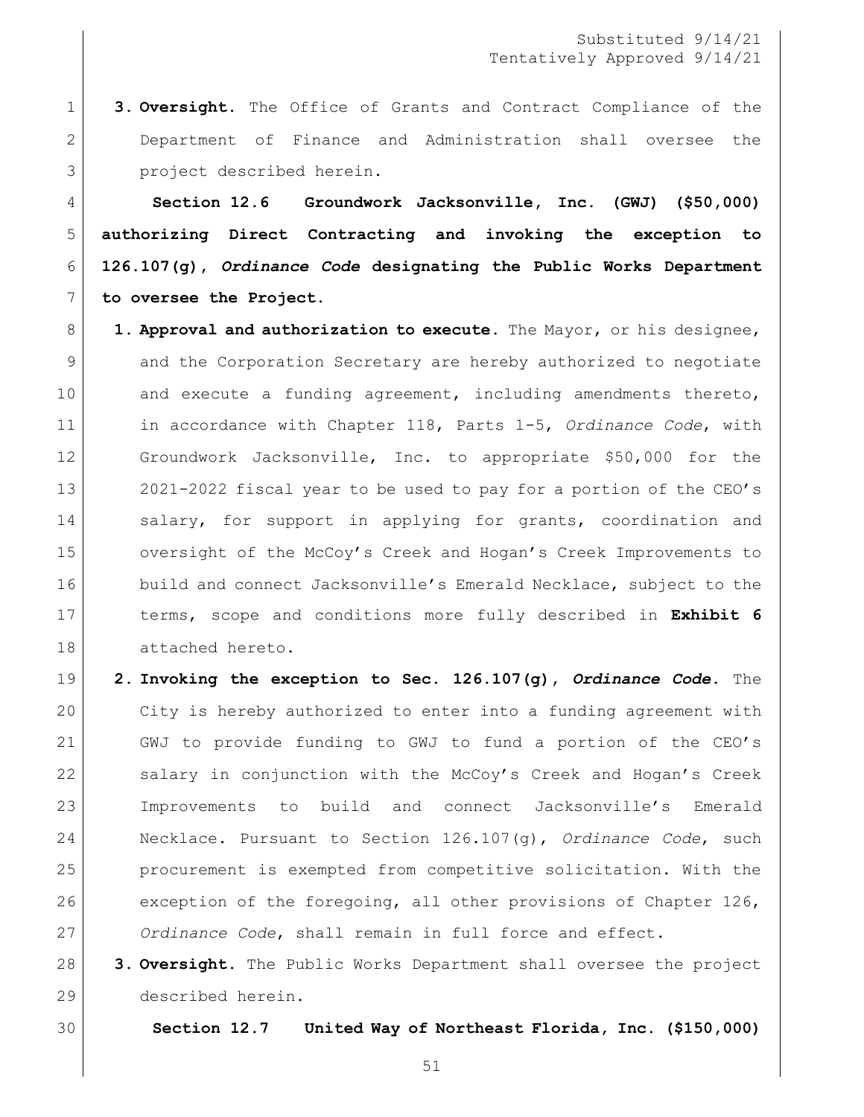**3. Oversight.** The Office of Grants and Contract Compliance of the 2 Department of Finance and Administration shall oversee the 3 project described herein.

 **Section 12.6 Groundwork Jacksonville, Inc. (GWJ) (\$50,000) authorizing Direct Contracting and invoking the exception to 126.107(g),** *Ordinance Code* **designating the Public Works Department to oversee the Project.** 

- **1. Approval and authorization to execute.** The Mayor, or his designee, 9 and the Corporation Secretary are hereby authorized to negotiate 10 and execute a funding agreement, including amendments thereto, in accordance with Chapter 118, Parts 1-5, *Ordinance Code*, with Groundwork Jacksonville, Inc. to appropriate \$50,000 for the 2021-2022 fiscal year to be used to pay for a portion of the CEO's 14 Salary, for support in applying for grants, coordination and 15 oversight of the McCoy's Creek and Hogan's Creek Improvements to 16 build and connect Jacksonville's Emerald Necklace, subject to the terms, scope and conditions more fully described in **Exhibit 6** attached hereto.
- **2. Invoking the exception to Sec. 126.107(g),** *Ordinance Code***.** The City is hereby authorized to enter into a funding agreement with GWJ to provide funding to GWJ to fund a portion of the CEO's 22 salary in conjunction with the McCoy's Creek and Hogan's Creek Improvements to build and connect Jacksonville's Emerald Necklace. Pursuant to Section 126.107(g), *Ordinance Code*, such procurement is exempted from competitive solicitation. With the exception of the foregoing, all other provisions of Chapter 126, *Ordinance Code*, shall remain in full force and effect.

 **3. Oversight.** The Public Works Department shall oversee the project described herein.

**Section 12.7 United Way of Northeast Florida, Inc. (\$150,000)**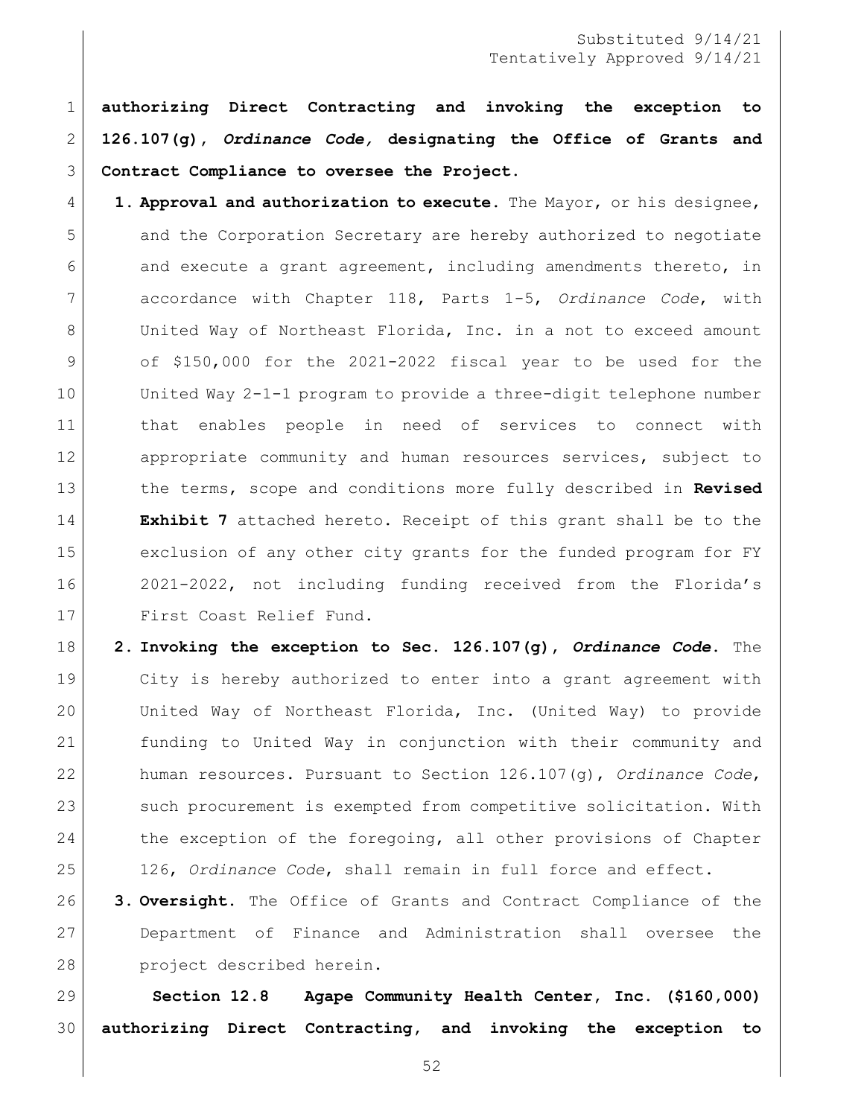**authorizing Direct Contracting and invoking the exception to 126.107(g),** *Ordinance Code,* **designating the Office of Grants and Contract Compliance to oversee the Project.** 

 **1. Approval and authorization to execute.** The Mayor, or his designee, and the Corporation Secretary are hereby authorized to negotiate and execute a grant agreement, including amendments thereto, in accordance with Chapter 118, Parts 1-5, *Ordinance Code*, with 8 United Way of Northeast Florida, Inc. in a not to exceed amount 9 of \$150,000 for the 2021-2022 fiscal year to be used for the United Way 2-1-1 program to provide a three-digit telephone number that enables people in need of services to connect with appropriate community and human resources services, subject to the terms, scope and conditions more fully described in **Revised Exhibit 7** attached hereto. Receipt of this grant shall be to the exclusion of any other city grants for the funded program for FY 2021-2022, not including funding received from the Florida's First Coast Relief Fund.

 **2. Invoking the exception to Sec. 126.107(g),** *Ordinance Code***.** The City is hereby authorized to enter into a grant agreement with United Way of Northeast Florida, Inc. (United Way) to provide funding to United Way in conjunction with their community and human resources. Pursuant to Section 126.107(g), *Ordinance Code*, 23 such procurement is exempted from competitive solicitation. With 24 the exception of the foregoing, all other provisions of Chapter 126, *Ordinance Code*, shall remain in full force and effect.

 **3. Oversight.** The Office of Grants and Contract Compliance of the Department of Finance and Administration shall oversee the 28 project described herein.

 **Section 12.8 Agape Community Health Center, Inc. (\$160,000) authorizing Direct Contracting, and invoking the exception to**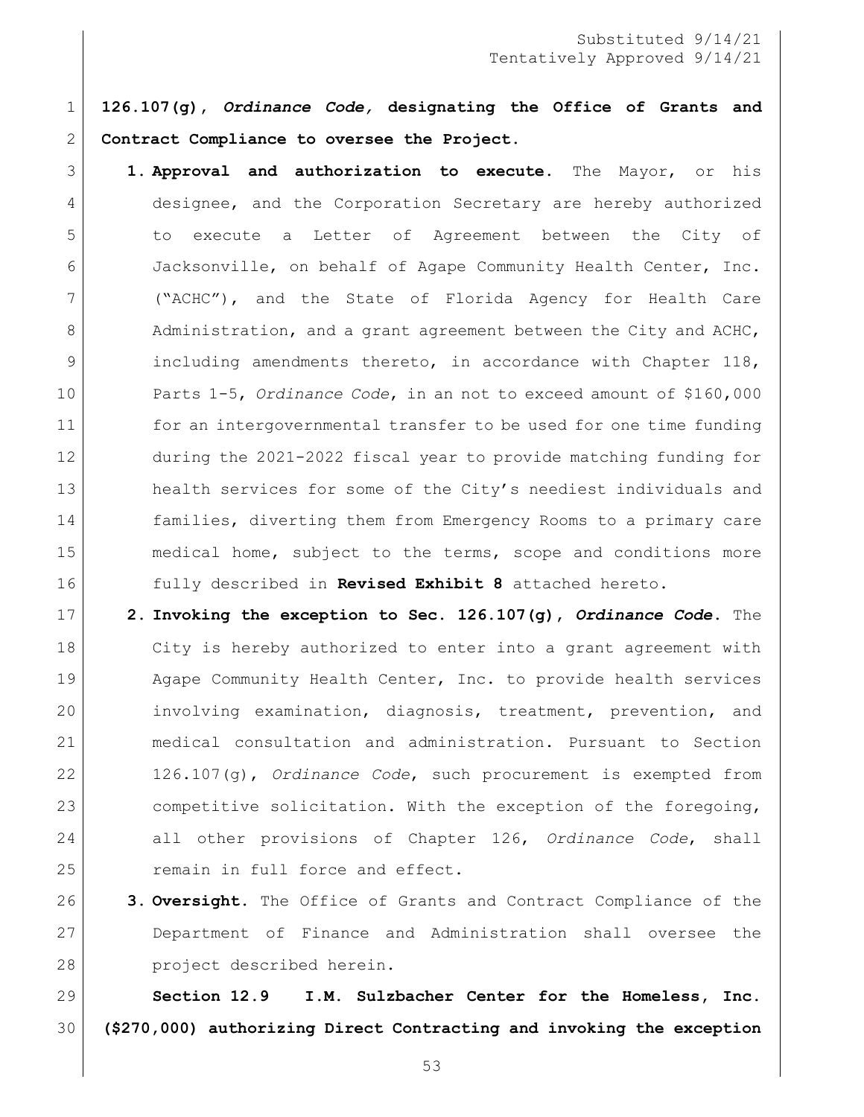**126.107(g),** *Ordinance Code,* **designating the Office of Grants and Contract Compliance to oversee the Project.** 

- **1. Approval and authorization to execute.** The Mayor, or his designee, and the Corporation Secretary are hereby authorized to execute a Letter of Agreement between the City of Jacksonville, on behalf of Agape Community Health Center, Inc. ("ACHC"), and the State of Florida Agency for Health Care 8 Administration, and a grant agreement between the City and ACHC, including amendments thereto, in accordance with Chapter 118, Parts 1-5, *Ordinance Code*, in an not to exceed amount of \$160,000 11 for an intergovernmental transfer to be used for one time funding during the 2021-2022 fiscal year to provide matching funding for 13 health services for some of the City's neediest individuals and families, diverting them from Emergency Rooms to a primary care medical home, subject to the terms, scope and conditions more fully described in **Revised Exhibit 8** attached hereto.
- **2. Invoking the exception to Sec. 126.107(g),** *Ordinance Code***.** The City is hereby authorized to enter into a grant agreement with 19 Agape Community Health Center, Inc. to provide health services involving examination, diagnosis, treatment, prevention, and medical consultation and administration. Pursuant to Section 126.107(g), *Ordinance Code*, such procurement is exempted from 23 competitive solicitation. With the exception of the foregoing, all other provisions of Chapter 126, *Ordinance Code*, shall 25 remain in full force and effect.
- **3. Oversight.** The Office of Grants and Contract Compliance of the Department of Finance and Administration shall oversee the 28 project described herein.

 **Section 12.9 I.M. Sulzbacher Center for the Homeless, Inc. (\$270,000) authorizing Direct Contracting and invoking the exception**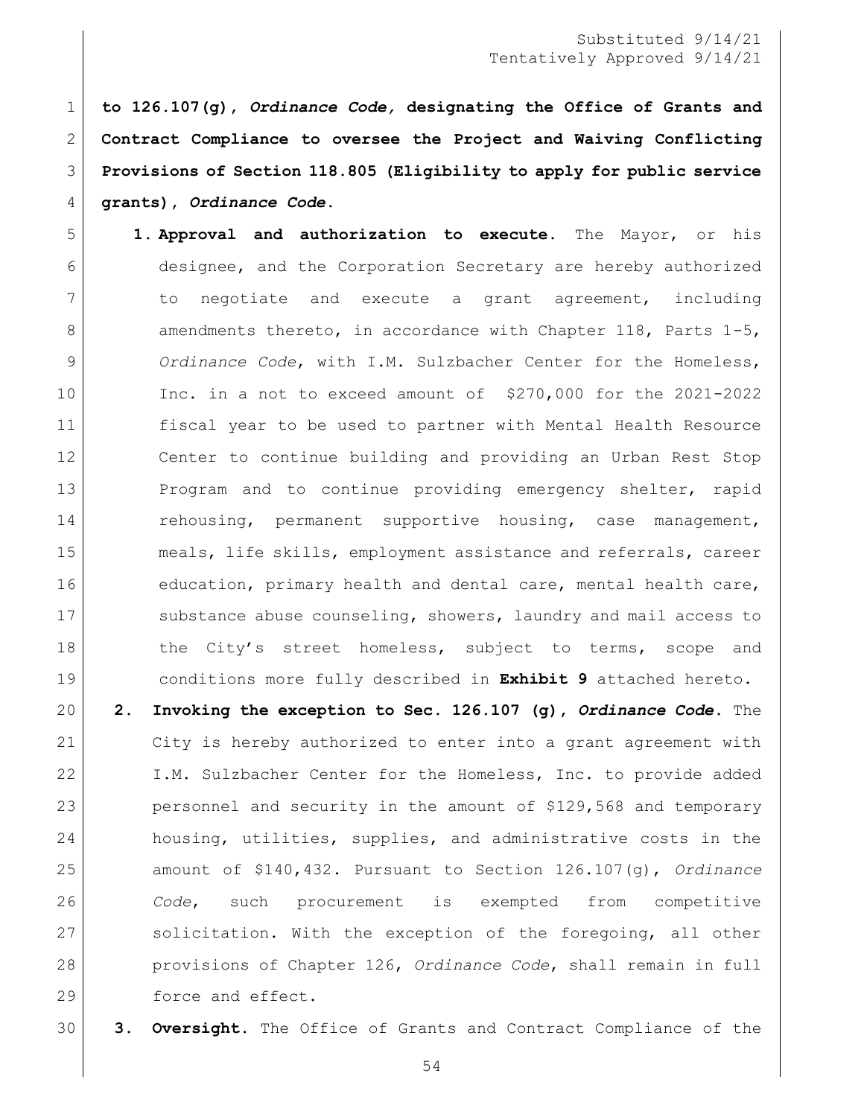**to 126.107(g),** *Ordinance Code,* **designating the Office of Grants and Contract Compliance to oversee the Project and Waiving Conflicting Provisions of Section 118.805 (Eligibility to apply for public service grants),** *Ordinance Code***.** 

- **1. Approval and authorization to execute.** The Mayor, or his designee, and the Corporation Secretary are hereby authorized to negotiate and execute a grant agreement, including 8 amendments thereto, in accordance with Chapter 118, Parts 1-5, *Ordinance Code*, with I.M. Sulzbacher Center for the Homeless, Inc. in a not to exceed amount of \$270,000 for the 2021-2022 fiscal year to be used to partner with Mental Health Resource Center to continue building and providing an Urban Rest Stop Program and to continue providing emergency shelter, rapid 14 rehousing, permanent supportive housing, case management, meals, life skills, employment assistance and referrals, career 16 education, primary health and dental care, mental health care, 17 Substance abuse counseling, showers, laundry and mail access to 18 the City's street homeless, subject to terms, scope and conditions more fully described in **Exhibit 9** attached hereto.
- **2. Invoking the exception to Sec. 126.107 (g),** *Ordinance Code***.** The City is hereby authorized to enter into a grant agreement with I.M. Sulzbacher Center for the Homeless, Inc. to provide added personnel and security in the amount of \$129,568 and temporary 24 housing, utilities, supplies, and administrative costs in the amount of \$140,432. Pursuant to Section 126.107(g), *Ordinance Code*, such procurement is exempted from competitive 27 solicitation. With the exception of the foregoing, all other provisions of Chapter 126, *Ordinance Code*, shall remain in full 29 force and effect.
- **3. Oversight.** The Office of Grants and Contract Compliance of the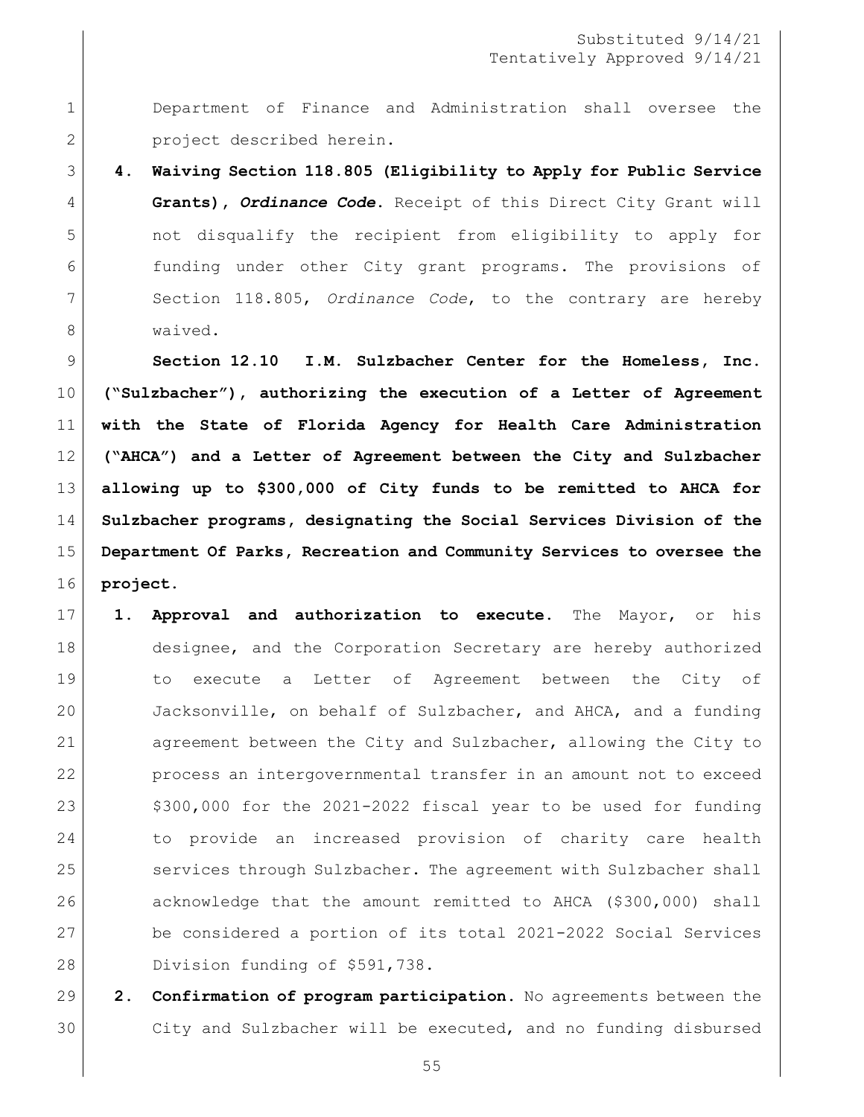Department of Finance and Administration shall oversee the 2 project described herein.

 **4. Waiving Section 118.805 (Eligibility to Apply for Public Service Grants),** *Ordinance Code***.** Receipt of this Direct City Grant will not disqualify the recipient from eligibility to apply for funding under other City grant programs. The provisions of Section 118.805, *Ordinance Code*, to the contrary are hereby waived.

 **Section 12.10 I.M. Sulzbacher Center for the Homeless, Inc. ("Sulzbacher"), authorizing the execution of a Letter of Agreement with the State of Florida Agency for Health Care Administration ("AHCA") and a Letter of Agreement between the City and Sulzbacher allowing up to \$300,000 of City funds to be remitted to AHCA for Sulzbacher programs, designating the Social Services Division of the Department Of Parks, Recreation and Community Services to oversee the project.**

- **1. Approval and authorization to execute.** The Mayor, or his 18 designee, and the Corporation Secretary are hereby authorized to execute a Letter of Agreement between the City of Jacksonville, on behalf of Sulzbacher, and AHCA, and a funding agreement between the City and Sulzbacher, allowing the City to process an intergovernmental transfer in an amount not to exceed  $\frac{23}{100}$ ,000 for the 2021-2022 fiscal year to be used for funding to provide an increased provision of charity care health 25 services through Sulzbacher. The agreement with Sulzbacher shall acknowledge that the amount remitted to AHCA (\$300,000) shall be considered a portion of its total 2021-2022 Social Services Division funding of \$591,738.
- **2. Confirmation of program participation.** No agreements between the City and Sulzbacher will be executed, and no funding disbursed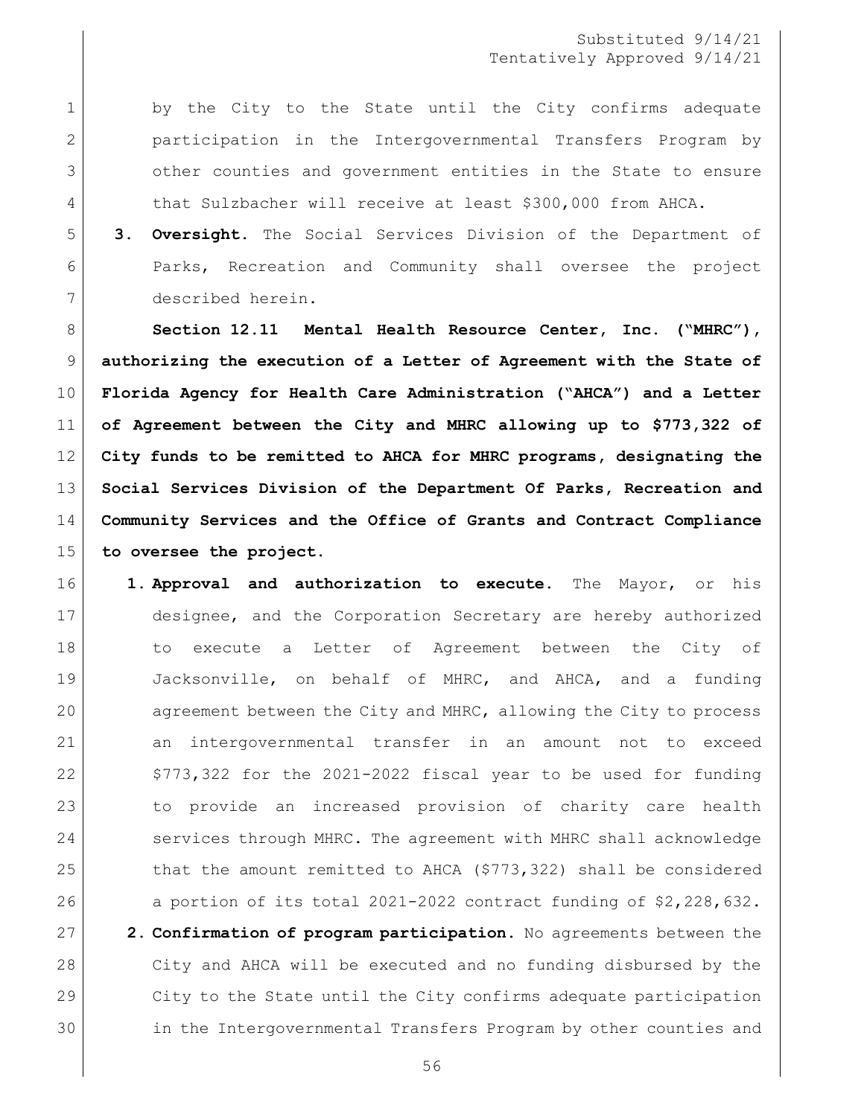1 by the City to the State until the City confirms adequate participation in the Intergovernmental Transfers Program by other counties and government entities in the State to ensure 4 that Sulzbacher will receive at least \$300,000 from AHCA.

 **3. Oversight.** The Social Services Division of the Department of Parks, Recreation and Community shall oversee the project described herein.

 **Section 12.11 Mental Health Resource Center, Inc. ("MHRC"), authorizing the execution of a Letter of Agreement with the State of Florida Agency for Health Care Administration ("AHCA") and a Letter of Agreement between the City and MHRC allowing up to \$773,322 of City funds to be remitted to AHCA for MHRC programs, designating the Social Services Division of the Department Of Parks, Recreation and Community Services and the Office of Grants and Contract Compliance to oversee the project.**

 **1. Approval and authorization to execute.** The Mayor, or his designee, and the Corporation Secretary are hereby authorized 18 18 to execute a Letter of Agreement between the City of Jacksonville, on behalf of MHRC, and AHCA, and a funding agreement between the City and MHRC, allowing the City to process an intergovernmental transfer in an amount not to exceed  $\mid$  \$773,322 for the 2021-2022 fiscal year to be used for funding to provide an increased provision of charity care health 24 services through MHRC. The agreement with MHRC shall acknowledge 25 that the amount remitted to AHCA (\$773,322) shall be considered a portion of its total 2021-2022 contract funding of \$2,228,632. **2. Confirmation of program participation.** No agreements between the City and AHCA will be executed and no funding disbursed by the City to the State until the City confirms adequate participation in the Intergovernmental Transfers Program by other counties and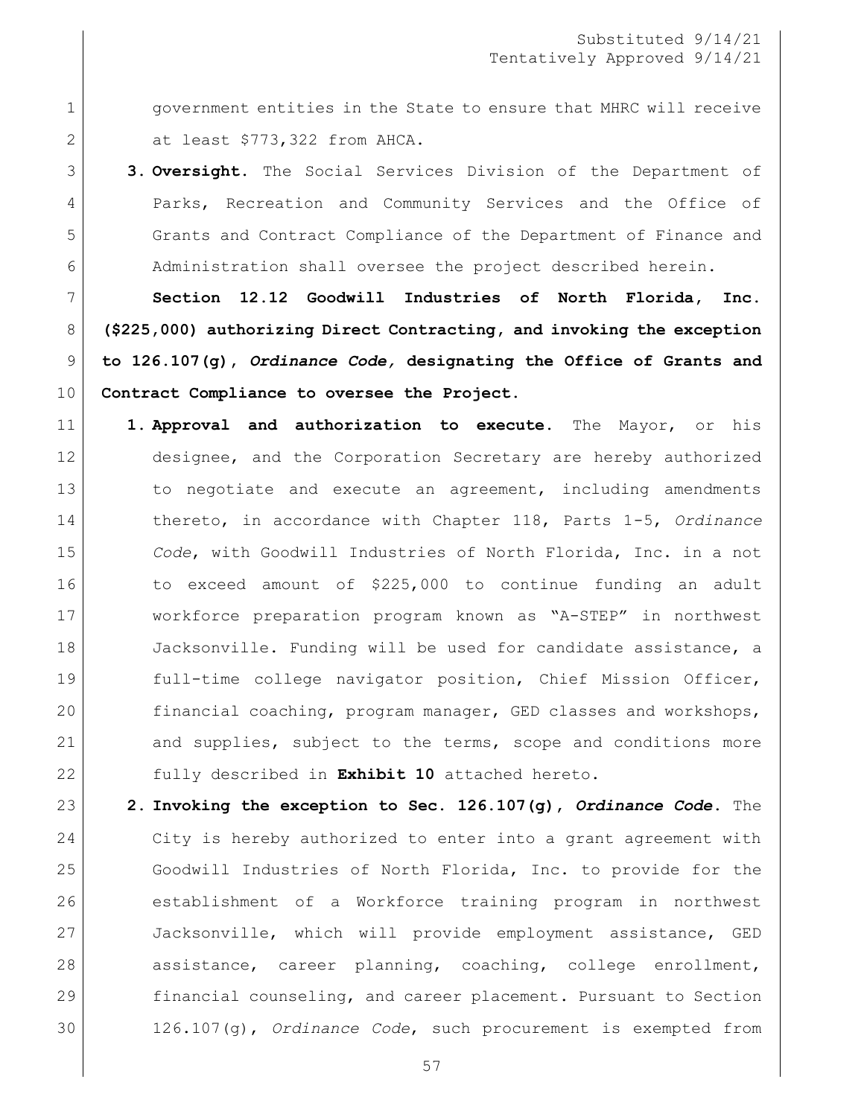**government entities in the State to ensure that MHRC will receive** at least \$773,322 from AHCA.

 **3. Oversight.** The Social Services Division of the Department of Parks, Recreation and Community Services and the Office of Grants and Contract Compliance of the Department of Finance and 6 Administration shall oversee the project described herein.

 **Section 12.12 Goodwill Industries of North Florida, Inc. (\$225,000) authorizing Direct Contracting, and invoking the exception to 126.107(g),** *Ordinance Code,* **designating the Office of Grants and Contract Compliance to oversee the Project.** 

- **1. Approval and authorization to execute.** The Mayor, or his designee, and the Corporation Secretary are hereby authorized 13 13 to negotiate and execute an agreement, including amendments thereto, in accordance with Chapter 118, Parts 1-5, *Ordinance Code*, with Goodwill Industries of North Florida, Inc. in a not to exceed amount of \$225,000 to continue funding an adult workforce preparation program known as "A-STEP" in northwest 18 Jacksonville. Funding will be used for candidate assistance, a full-time college navigator position, Chief Mission Officer, financial coaching, program manager, GED classes and workshops, 21 and supplies, subject to the terms, scope and conditions more fully described in **Exhibit 10** attached hereto.
- **2. Invoking the exception to Sec. 126.107(g),** *Ordinance Code***.** The City is hereby authorized to enter into a grant agreement with Goodwill Industries of North Florida, Inc. to provide for the establishment of a Workforce training program in northwest Jacksonville, which will provide employment assistance, GED assistance, career planning, coaching, college enrollment, financial counseling, and career placement. Pursuant to Section 126.107(g), *Ordinance Code*, such procurement is exempted from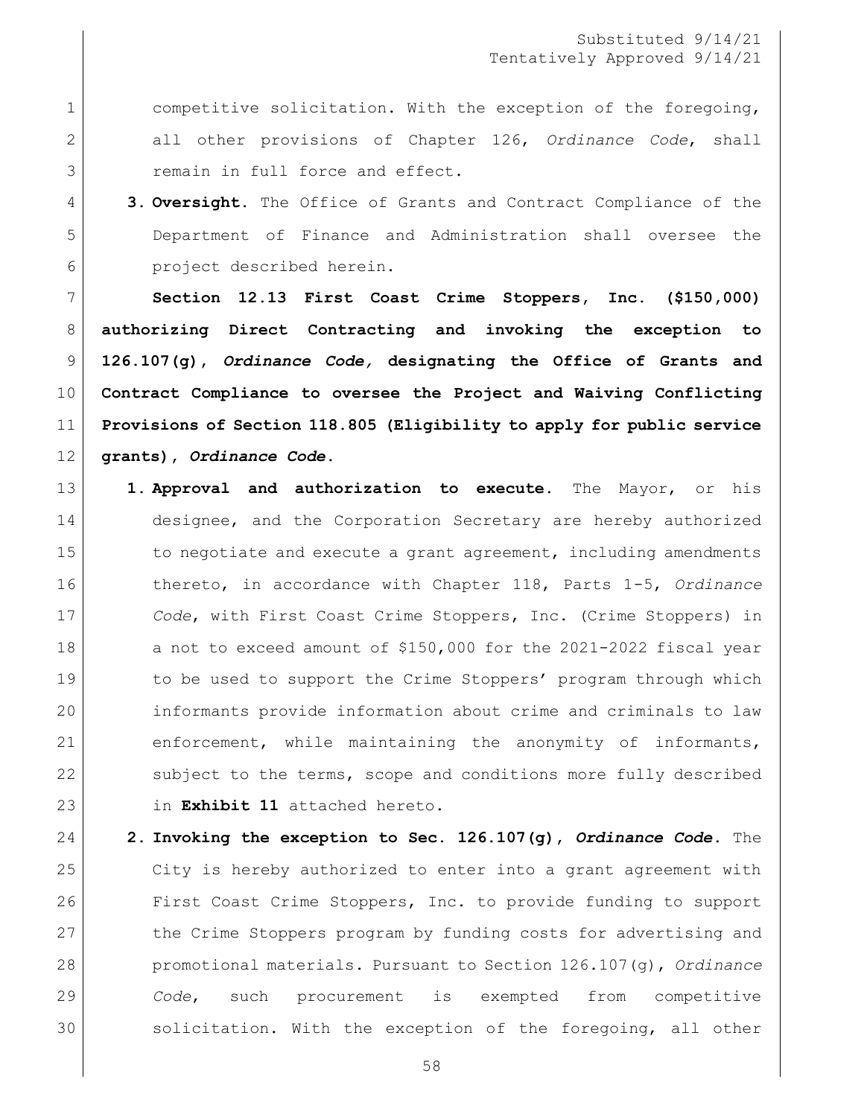1 competitive solicitation. With the exception of the foregoing, all other provisions of Chapter 126, *Ordinance Code*, shall 3 remain in full force and effect.

 **3. Oversight.** The Office of Grants and Contract Compliance of the Department of Finance and Administration shall oversee the project described herein.

 **Section 12.13 First Coast Crime Stoppers, Inc. (\$150,000) authorizing Direct Contracting and invoking the exception to 126.107(g),** *Ordinance Code,* **designating the Office of Grants and Contract Compliance to oversee the Project and Waiving Conflicting Provisions of Section 118.805 (Eligibility to apply for public service grants),** *Ordinance Code***.** 

- **1. Approval and authorization to execute.** The Mayor, or his 14 designee, and the Corporation Secretary are hereby authorized 15 to negotiate and execute a grant agreement, including amendments thereto, in accordance with Chapter 118, Parts 1-5, *Ordinance Code*, with First Coast Crime Stoppers, Inc. (Crime Stoppers) in 18 a not to exceed amount of \$150,000 for the 2021-2022 fiscal year 19 to be used to support the Crime Stoppers' program through which informants provide information about crime and criminals to law enforcement, while maintaining the anonymity of informants, 22 subject to the terms, scope and conditions more fully described in **Exhibit 11** attached hereto.
- **2. Invoking the exception to Sec. 126.107(g),** *Ordinance Code***.** The City is hereby authorized to enter into a grant agreement with First Coast Crime Stoppers, Inc. to provide funding to support 27 the Crime Stoppers program by funding costs for advertising and promotional materials. Pursuant to Section 126.107(g), *Ordinance Code*, such procurement is exempted from competitive 30 solicitation. With the exception of the foregoing, all other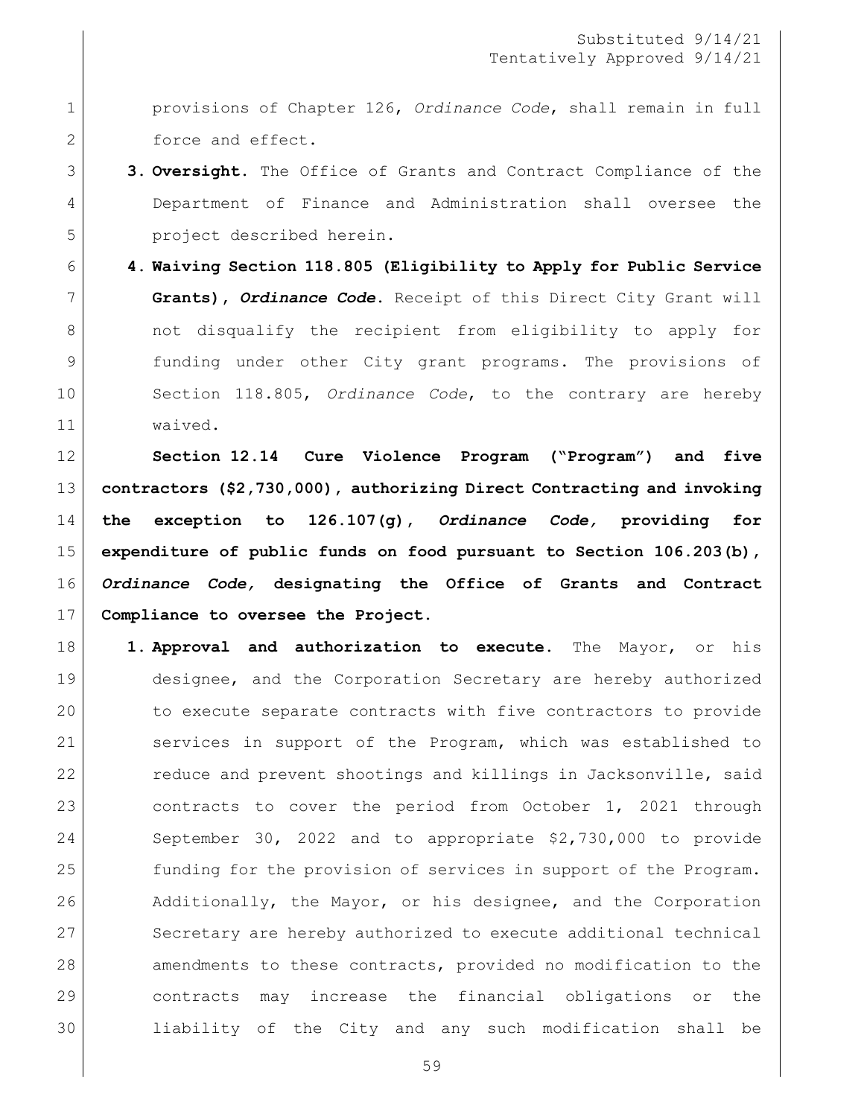provisions of Chapter 126, *Ordinance Code*, shall remain in full 2 force and effect.

# **3. Oversight.** The Office of Grants and Contract Compliance of the Department of Finance and Administration shall oversee the project described herein.

 **4. Waiving Section 118.805 (Eligibility to Apply for Public Service Grants),** *Ordinance Code***.** Receipt of this Direct City Grant will 8 and 8 not disqualify the recipient from eligibility to apply for funding under other City grant programs. The provisions of Section 118.805, *Ordinance Code*, to the contrary are hereby waived.

 **Section 12.14 Cure Violence Program ("Program") and five contractors (\$2,730,000), authorizing Direct Contracting and invoking the exception to 126.107(g),** *Ordinance Code,* **providing for expenditure of public funds on food pursuant to Section 106.203(b),** *Ordinance Code,* **designating the Office of Grants and Contract Compliance to oversee the Project.**

 **1. Approval and authorization to execute.** The Mayor, or his designee, and the Corporation Secretary are hereby authorized to execute separate contracts with five contractors to provide services in support of the Program, which was established to 22 reduce and prevent shootings and killings in Jacksonville, said 23 contracts to cover the period from October 1, 2021 through September 30, 2022 and to appropriate \$2,730,000 to provide 25 funding for the provision of services in support of the Program. 26 Additionally, the Mayor, or his designee, and the Corporation 27 Secretary are hereby authorized to execute additional technical 28 amendments to these contracts, provided no modification to the contracts may increase the financial obligations or the liability of the City and any such modification shall be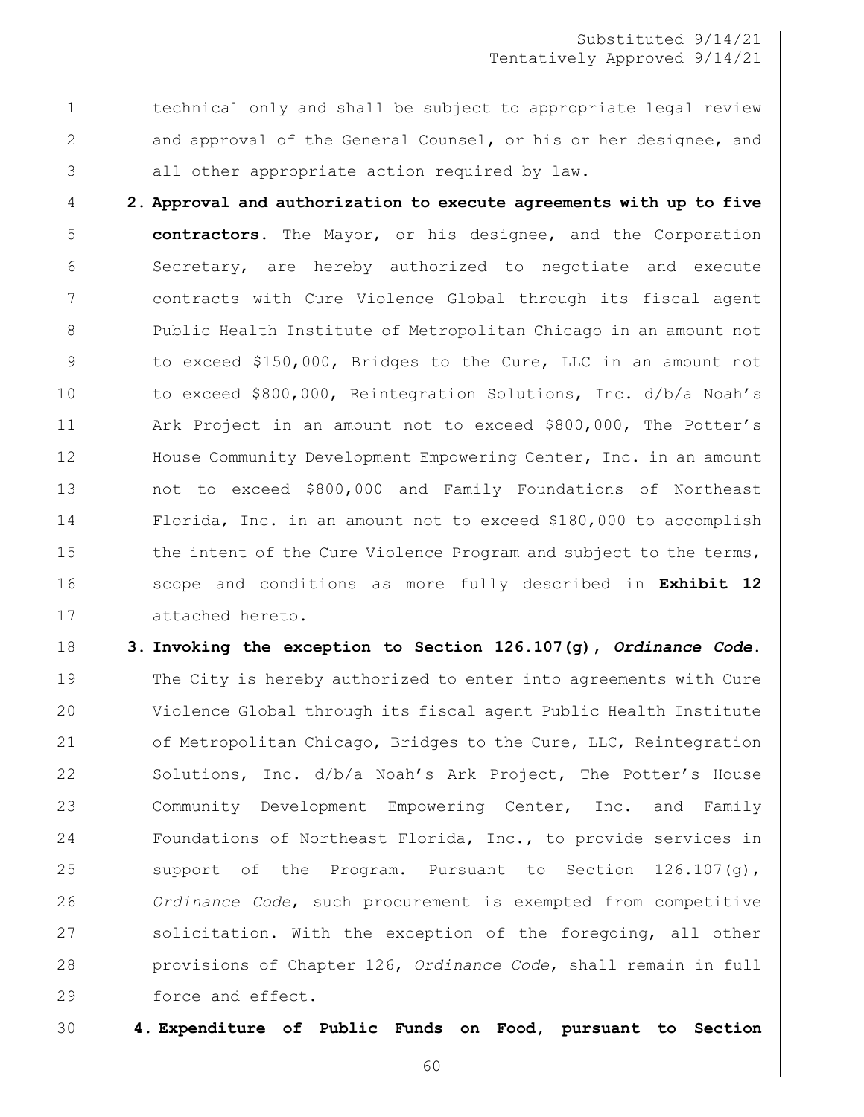1 1 technical only and shall be subject to appropriate legal review 2 and approval of the General Counsel, or his or her designee, and 3 all other appropriate action required by law.

 **2. Approval and authorization to execute agreements with up to five contractors.** The Mayor, or his designee, and the Corporation 6 Secretary, are hereby authorized to negotiate and execute contracts with Cure Violence Global through its fiscal agent 8 Public Health Institute of Metropolitan Chicago in an amount not to exceed \$150,000, Bridges to the Cure, LLC in an amount not to exceed \$800,000, Reintegration Solutions, Inc. d/b/a Noah's 11 Ark Project in an amount not to exceed \$800,000, The Potter's 12 House Community Development Empowering Center, Inc. in an amount not to exceed \$800,000 and Family Foundations of Northeast Florida, Inc. in an amount not to exceed \$180,000 to accomplish 15 the intent of the Cure Violence Program and subject to the terms, scope and conditions as more fully described in **Exhibit 12** attached hereto.

18 **3. Invoking the exception to Section 126.107(g),** *Ordinance Code***.** 19 The City is hereby authorized to enter into agreements with Cure 20 Violence Global through its fiscal agent Public Health Institute 21 of Metropolitan Chicago, Bridges to the Cure, LLC, Reintegration 22 Solutions, Inc. d/b/a Noah's Ark Project, The Potter's House 23 Community Development Empowering Center, Inc. and Family 24 Foundations of Northeast Florida, Inc., to provide services in 25 support of the Program. Pursuant to Section  $126.107(q)$ , 26 *Ordinance Code*, such procurement is exempted from competitive 27 | solicitation. With the exception of the foregoing, all other 28 provisions of Chapter 126, *Ordinance Code*, shall remain in full 29 force and effect.

30 **4. Expenditure of Public Funds on Food, pursuant to Section**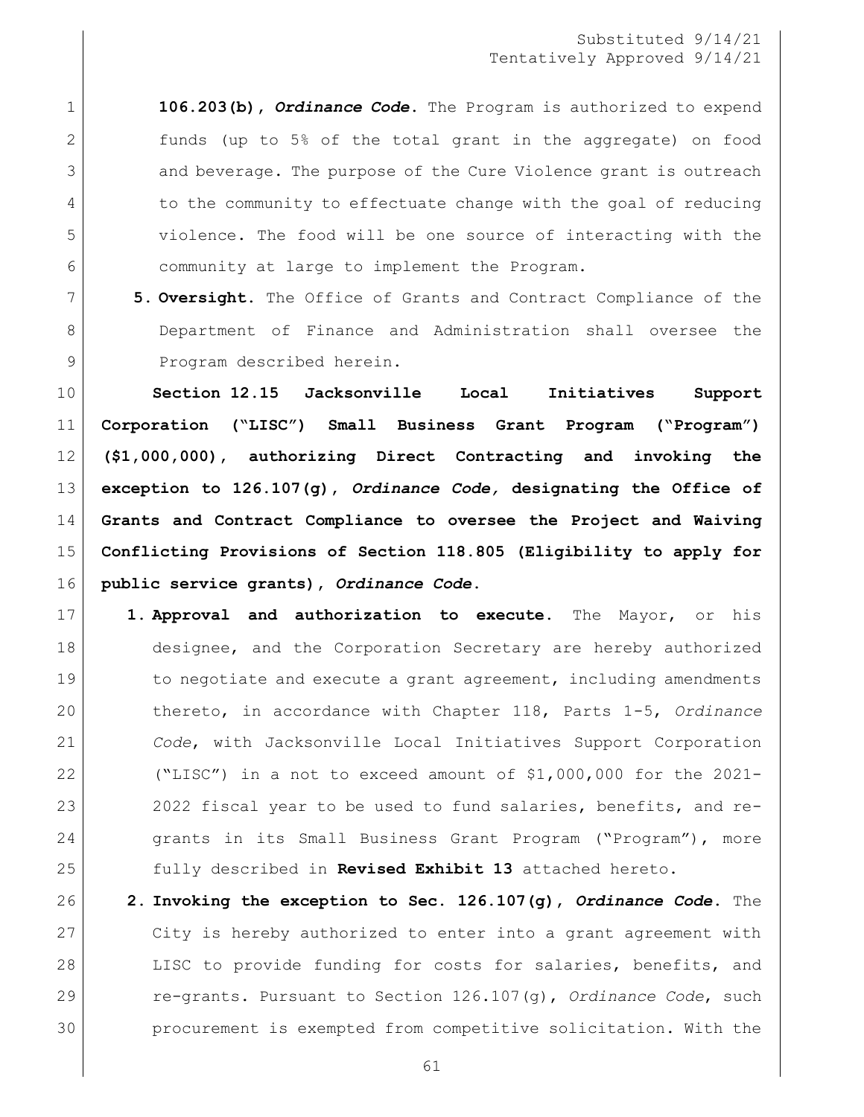**106.203(b),** *Ordinance Code***.** The Program is authorized to expend funds (up to 5% of the total grant in the aggregate) on food 3 and beverage. The purpose of the Cure Violence grant is outreach 4 to the community to effectuate change with the goal of reducing violence. The food will be one source of interacting with the community at large to implement the Program.

 **5. Oversight.** The Office of Grants and Contract Compliance of the Department of Finance and Administration shall oversee the 9 Program described herein.

 **Section 12.15 Jacksonville Local Initiatives Support Corporation ("LISC") Small Business Grant Program ("Program") (\$1,000,000), authorizing Direct Contracting and invoking the exception to 126.107(g),** *Ordinance Code,* **designating the Office of Grants and Contract Compliance to oversee the Project and Waiving Conflicting Provisions of Section 118.805 (Eligibility to apply for public service grants),** *Ordinance Code***.**

- **1. Approval and authorization to execute.** The Mayor, or his 18 designee, and the Corporation Secretary are hereby authorized 19 19 to negotiate and execute a grant agreement, including amendments thereto, in accordance with Chapter 118, Parts 1-5, *Ordinance Code*, with Jacksonville Local Initiatives Support Corporation ("LISC") in a not to exceed amount of \$1,000,000 for the 2021- 23 2022 fiscal year to be used to fund salaries, benefits, and re-24 grants in its Small Business Grant Program ("Program"), more fully described in **Revised Exhibit 13** attached hereto.
- **2. Invoking the exception to Sec. 126.107(g),** *Ordinance Code***.** The City is hereby authorized to enter into a grant agreement with 28 LISC to provide funding for costs for salaries, benefits, and re-grants. Pursuant to Section 126.107(g), *Ordinance Code*, such procurement is exempted from competitive solicitation. With the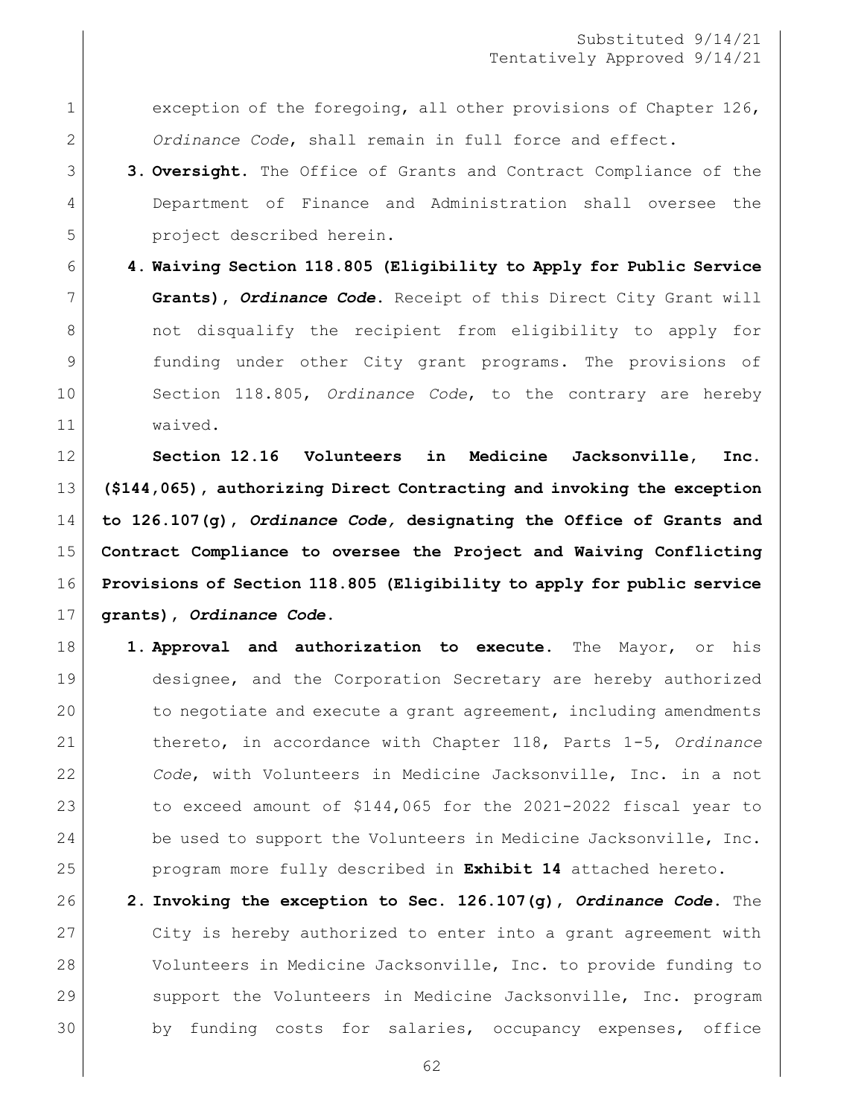1 exception of the foregoing, all other provisions of Chapter 126, *Ordinance Code*, shall remain in full force and effect.

- **3. Oversight.** The Office of Grants and Contract Compliance of the Department of Finance and Administration shall oversee the project described herein.
- **4. Waiving Section 118.805 (Eligibility to Apply for Public Service Grants),** *Ordinance Code***.** Receipt of this Direct City Grant will 8 | contract on the recipient from eligibility to apply for funding under other City grant programs. The provisions of Section 118.805, *Ordinance Code*, to the contrary are hereby waived.

 **Section 12.16 Volunteers in Medicine Jacksonville, Inc. (\$144,065), authorizing Direct Contracting and invoking the exception to 126.107(g),** *Ordinance Code,* **designating the Office of Grants and Contract Compliance to oversee the Project and Waiving Conflicting Provisions of Section 118.805 (Eligibility to apply for public service grants),** *Ordinance Code***.**

- **1. Approval and authorization to execute.** The Mayor, or his designee, and the Corporation Secretary are hereby authorized 20 to negotiate and execute a grant agreement, including amendments thereto, in accordance with Chapter 118, Parts 1-5, *Ordinance Code*, with Volunteers in Medicine Jacksonville, Inc. in a not 23 to exceed amount of \$144,065 for the 2021-2022 fiscal year to 24 be used to support the Volunteers in Medicine Jacksonville, Inc. program more fully described in **Exhibit 14** attached hereto.
- **2. Invoking the exception to Sec. 126.107(g),** *Ordinance Code***.** The City is hereby authorized to enter into a grant agreement with Volunteers in Medicine Jacksonville, Inc. to provide funding to support the Volunteers in Medicine Jacksonville, Inc. program 30 by funding costs for salaries, occupancy expenses, office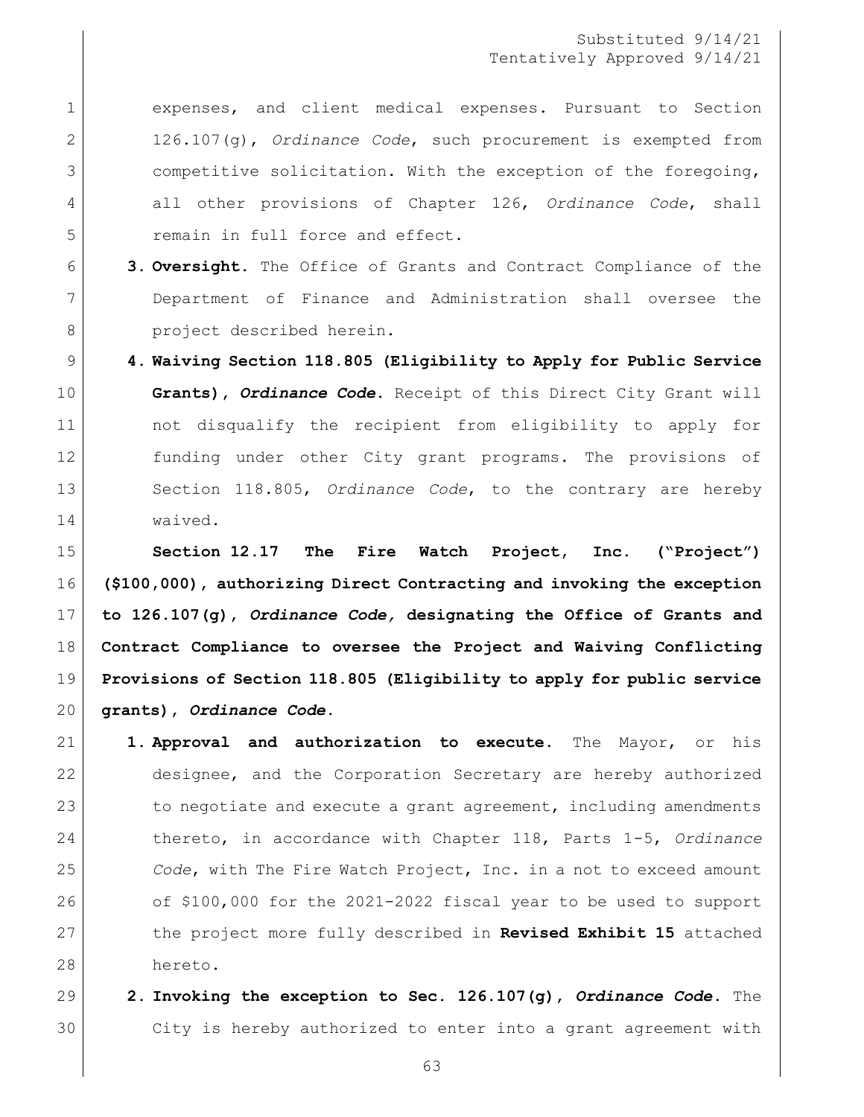expenses, and client medical expenses. Pursuant to Section 126.107(g), *Ordinance Code*, such procurement is exempted from competitive solicitation. With the exception of the foregoing, all other provisions of Chapter 126, *Ordinance Code*, shall 5 remain in full force and effect.

- **3. Oversight.** The Office of Grants and Contract Compliance of the Department of Finance and Administration shall oversee the 8 project described herein.
- **4. Waiving Section 118.805 (Eligibility to Apply for Public Service Grants),** *Ordinance Code***.** Receipt of this Direct City Grant will not disqualify the recipient from eligibility to apply for funding under other City grant programs. The provisions of Section 118.805, *Ordinance Code*, to the contrary are hereby waived.

 **Section 12.17 The Fire Watch Project, Inc. ("Project") (\$100,000), authorizing Direct Contracting and invoking the exception to 126.107(g),** *Ordinance Code,* **designating the Office of Grants and Contract Compliance to oversee the Project and Waiving Conflicting Provisions of Section 118.805 (Eligibility to apply for public service grants),** *Ordinance Code***.**

- **1. Approval and authorization to execute.** The Mayor, or his designee, and the Corporation Secretary are hereby authorized 23 to negotiate and execute a grant agreement, including amendments thereto, in accordance with Chapter 118, Parts 1-5, *Ordinance Code*, with The Fire Watch Project, Inc. in a not to exceed amount of \$100,000 for the 2021-2022 fiscal year to be used to support the project more fully described in **Revised Exhibit 15** attached hereto.
- **2. Invoking the exception to Sec. 126.107(g),** *Ordinance Code***.** The City is hereby authorized to enter into a grant agreement with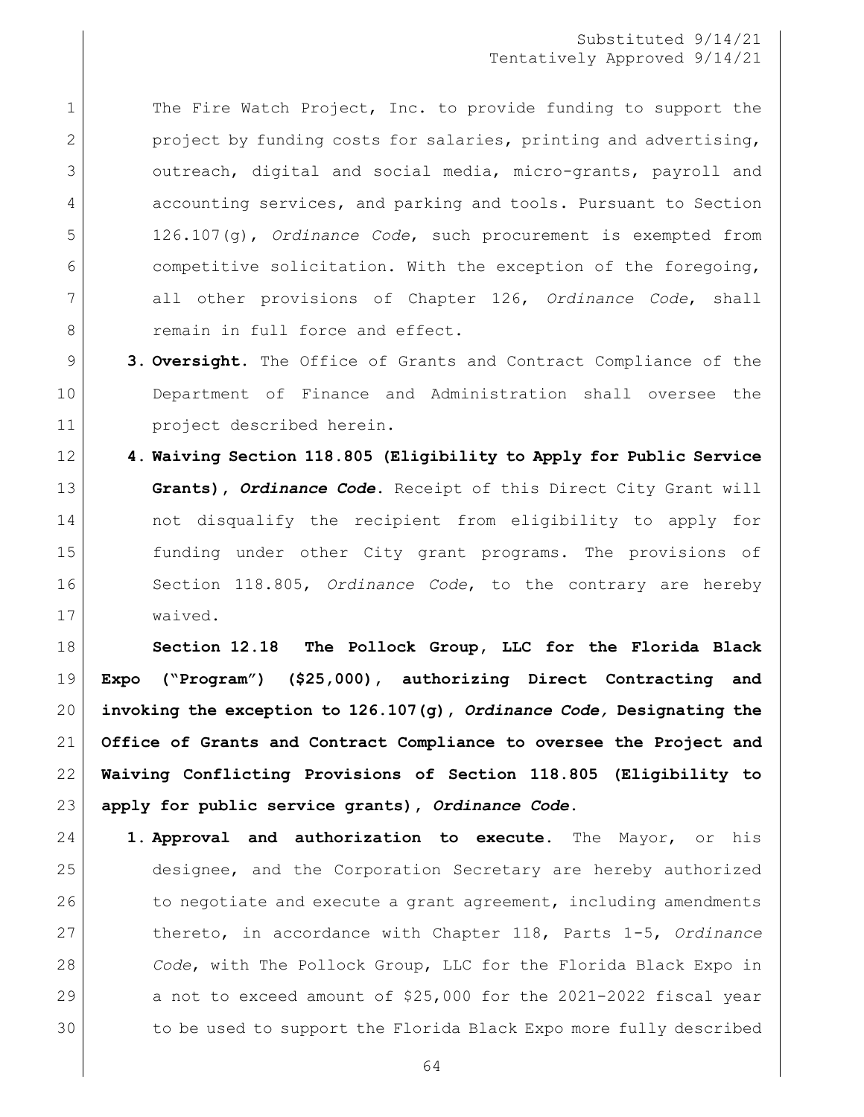1 The Fire Watch Project, Inc. to provide funding to support the 2 project by funding costs for salaries, printing and advertising, outreach, digital and social media, micro-grants, payroll and accounting services, and parking and tools. Pursuant to Section 126.107(g), *Ordinance Code*, such procurement is exempted from competitive solicitation. With the exception of the foregoing, all other provisions of Chapter 126, *Ordinance Code*, shall 8 remain in full force and effect.

- **3. Oversight.** The Office of Grants and Contract Compliance of the Department of Finance and Administration shall oversee the project described herein.
- **4. Waiving Section 118.805 (Eligibility to Apply for Public Service Grants),** *Ordinance Code***.** Receipt of this Direct City Grant will not disqualify the recipient from eligibility to apply for funding under other City grant programs. The provisions of Section 118.805, *Ordinance Code*, to the contrary are hereby waived.

 **Section 12.18 The Pollock Group, LLC for the Florida Black Expo ("Program") (\$25,000), authorizing Direct Contracting and invoking the exception to 126.107(g),** *Ordinance Code,* **Designating the Office of Grants and Contract Compliance to oversee the Project and Waiving Conflicting Provisions of Section 118.805 (Eligibility to apply for public service grants),** *Ordinance Code***.**

 **1. Approval and authorization to execute.** The Mayor, or his designee, and the Corporation Secretary are hereby authorized 26 to negotiate and execute a grant agreement, including amendments thereto, in accordance with Chapter 118, Parts 1-5, *Ordinance Code*, with The Pollock Group, LLC for the Florida Black Expo in a not to exceed amount of \$25,000 for the 2021-2022 fiscal year to be used to support the Florida Black Expo more fully described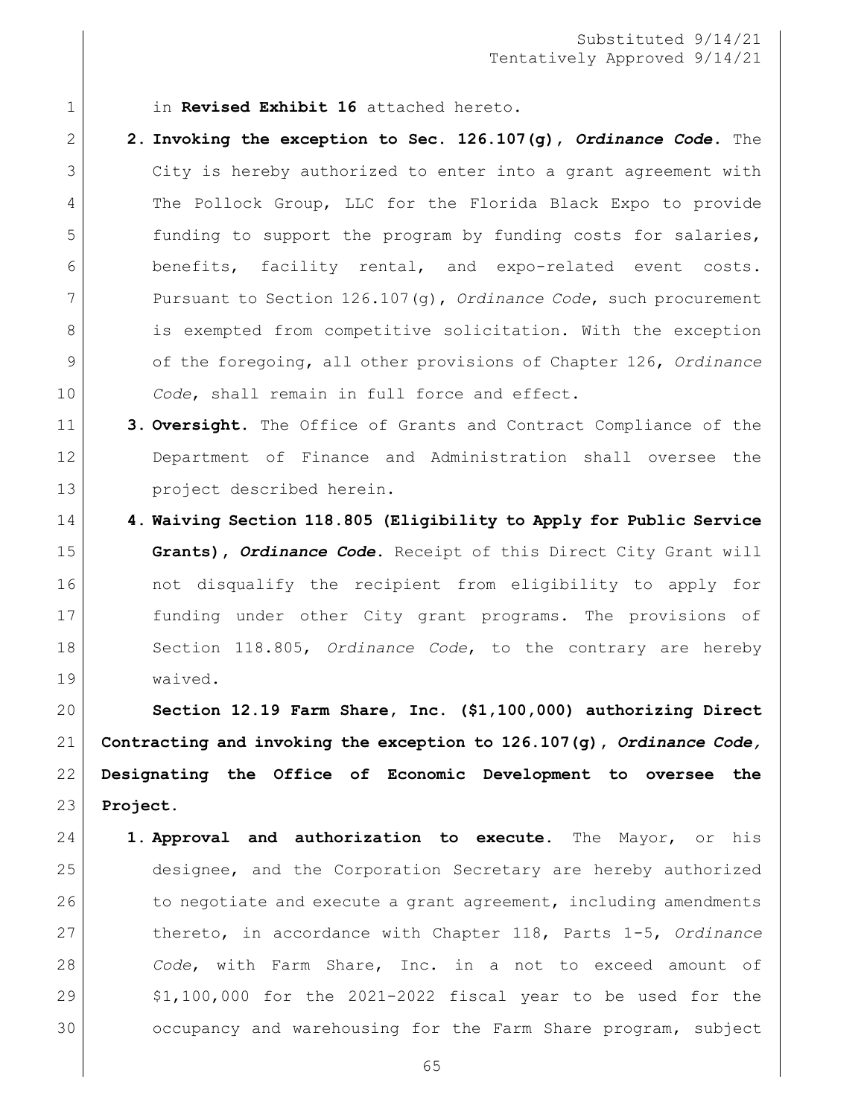1 in **Revised Exhibit 16** attached hereto.

- **2. Invoking the exception to Sec. 126.107(g),** *Ordinance Code***.** The City is hereby authorized to enter into a grant agreement with The Pollock Group, LLC for the Florida Black Expo to provide funding to support the program by funding costs for salaries, benefits, facility rental, and expo-related event costs. Pursuant to Section 126.107(g), *Ordinance Code*, such procurement 8 is exempted from competitive solicitation. With the exception of the foregoing, all other provisions of Chapter 126, *Ordinance Code*, shall remain in full force and effect.
- **3. Oversight.** The Office of Grants and Contract Compliance of the Department of Finance and Administration shall oversee the 13 project described herein.
- **4. Waiving Section 118.805 (Eligibility to Apply for Public Service Grants),** *Ordinance Code***.** Receipt of this Direct City Grant will 16 and the not disqualify the recipient from eligibility to apply for funding under other City grant programs. The provisions of Section 118.805, *Ordinance Code*, to the contrary are hereby waived.

 **Section 12.19 Farm Share, Inc. (\$1,100,000) authorizing Direct Contracting and invoking the exception to 126.107(g),** *Ordinance Code,*  **Designating the Office of Economic Development to oversee the Project.** 

 **1. Approval and authorization to execute.** The Mayor, or his designee, and the Corporation Secretary are hereby authorized 26 to negotiate and execute a grant agreement, including amendments thereto, in accordance with Chapter 118, Parts 1-5, *Ordinance Code*, with Farm Share, Inc. in a not to exceed amount of  $$1,100,000$  for the 2021-2022 fiscal year to be used for the 30 occupancy and warehousing for the Farm Share program, subject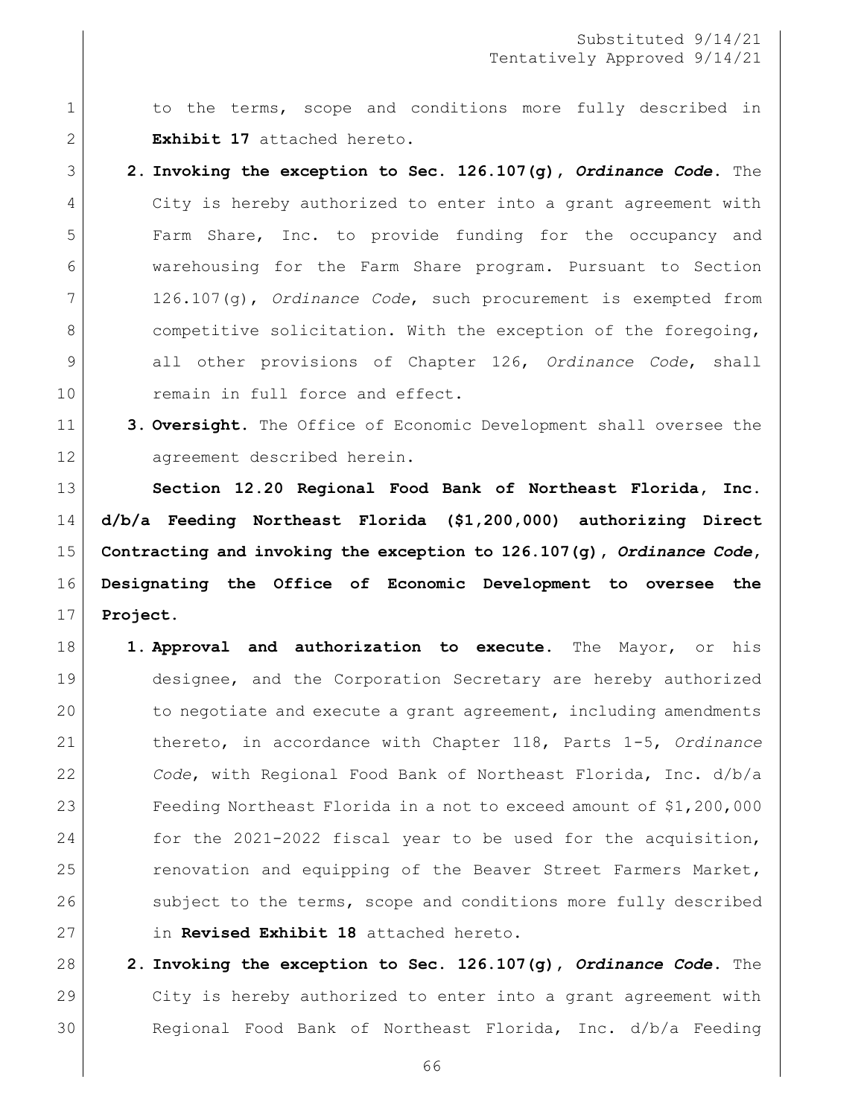1 1 to the terms, scope and conditions more fully described in **Exhibit 17** attached hereto.

 **2. Invoking the exception to Sec. 126.107(g),** *Ordinance Code***.** The City is hereby authorized to enter into a grant agreement with Farm Share, Inc. to provide funding for the occupancy and warehousing for the Farm Share program. Pursuant to Section 126.107(g), *Ordinance Code*, such procurement is exempted from 8 competitive solicitation. With the exception of the foregoing, all other provisions of Chapter 126, *Ordinance Code*, shall 10 remain in full force and effect.

 **3. Oversight.** The Office of Economic Development shall oversee the 12 agreement described herein.

 **Section 12.20 Regional Food Bank of Northeast Florida, Inc. d/b/a Feeding Northeast Florida (\$1,200,000) authorizing Direct Contracting and invoking the exception to 126.107(g),** *Ordinance Code***, Designating the Office of Economic Development to oversee the Project.** 

- **1. Approval and authorization to execute.** The Mayor, or his designee, and the Corporation Secretary are hereby authorized 20 to negotiate and execute a grant agreement, including amendments thereto, in accordance with Chapter 118, Parts 1-5, *Ordinance Code*, with Regional Food Bank of Northeast Florida, Inc. d/b/a Feeding Northeast Florida in a not to exceed amount of \$1,200,000 24 for the 2021-2022 fiscal year to be used for the acquisition, 25 renovation and equipping of the Beaver Street Farmers Market, 26 subject to the terms, scope and conditions more fully described in **Revised Exhibit 18** attached hereto.
- **2. Invoking the exception to Sec. 126.107(g),** *Ordinance Code***.** The City is hereby authorized to enter into a grant agreement with Regional Food Bank of Northeast Florida, Inc. d/b/a Feeding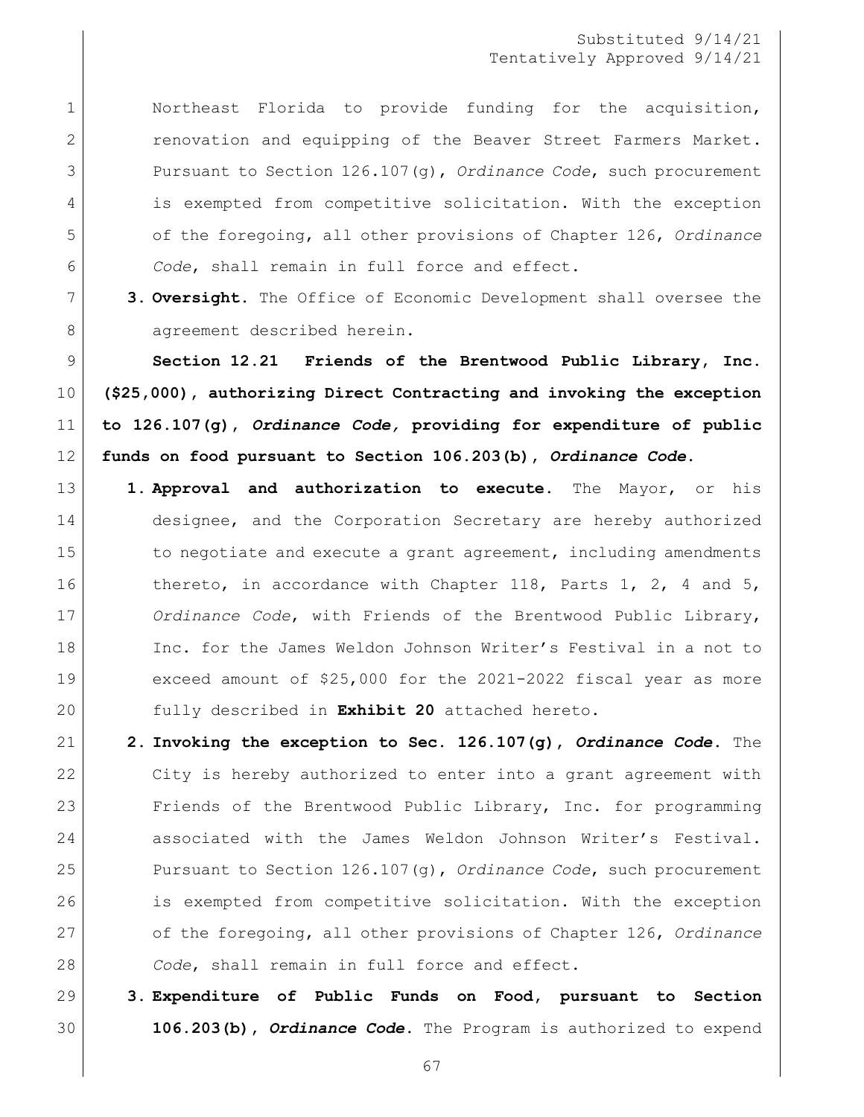1 | Northeast Florida to provide funding for the acquisition, **canovation** and equipping of the Beaver Street Farmers Market. Pursuant to Section 126.107(g), *Ordinance Code*, such procurement is exempted from competitive solicitation. With the exception of the foregoing, all other provisions of Chapter 126, *Ordinance Code*, shall remain in full force and effect.

 **3. Oversight.** The Office of Economic Development shall oversee the 8 agreement described herein.

 **Section 12.21 Friends of the Brentwood Public Library, Inc. (\$25,000), authorizing Direct Contracting and invoking the exception to 126.107(g),** *Ordinance Code,* **providing for expenditure of public funds on food pursuant to Section 106.203(b),** *Ordinance Code***.**

- **1. Approval and authorization to execute.** The Mayor, or his 14 designee, and the Corporation Secretary are hereby authorized 15 to negotiate and execute a grant agreement, including amendments 16 thereto, in accordance with Chapter 118, Parts 1, 2, 4 and 5, *Ordinance Code*, with Friends of the Brentwood Public Library, Inc. for the James Weldon Johnson Writer's Festival in a not to exceed amount of \$25,000 for the 2021-2022 fiscal year as more fully described in **Exhibit 20** attached hereto.
- **2. Invoking the exception to Sec. 126.107(g),** *Ordinance Code***.** The City is hereby authorized to enter into a grant agreement with 23 Friends of the Brentwood Public Library, Inc. for programming associated with the James Weldon Johnson Writer's Festival. Pursuant to Section 126.107(g), *Ordinance Code*, such procurement is exempted from competitive solicitation. With the exception of the foregoing, all other provisions of Chapter 126, *Ordinance Code*, shall remain in full force and effect.
- **3. Expenditure of Public Funds on Food, pursuant to Section 106.203(b),** *Ordinance Code***.** The Program is authorized to expend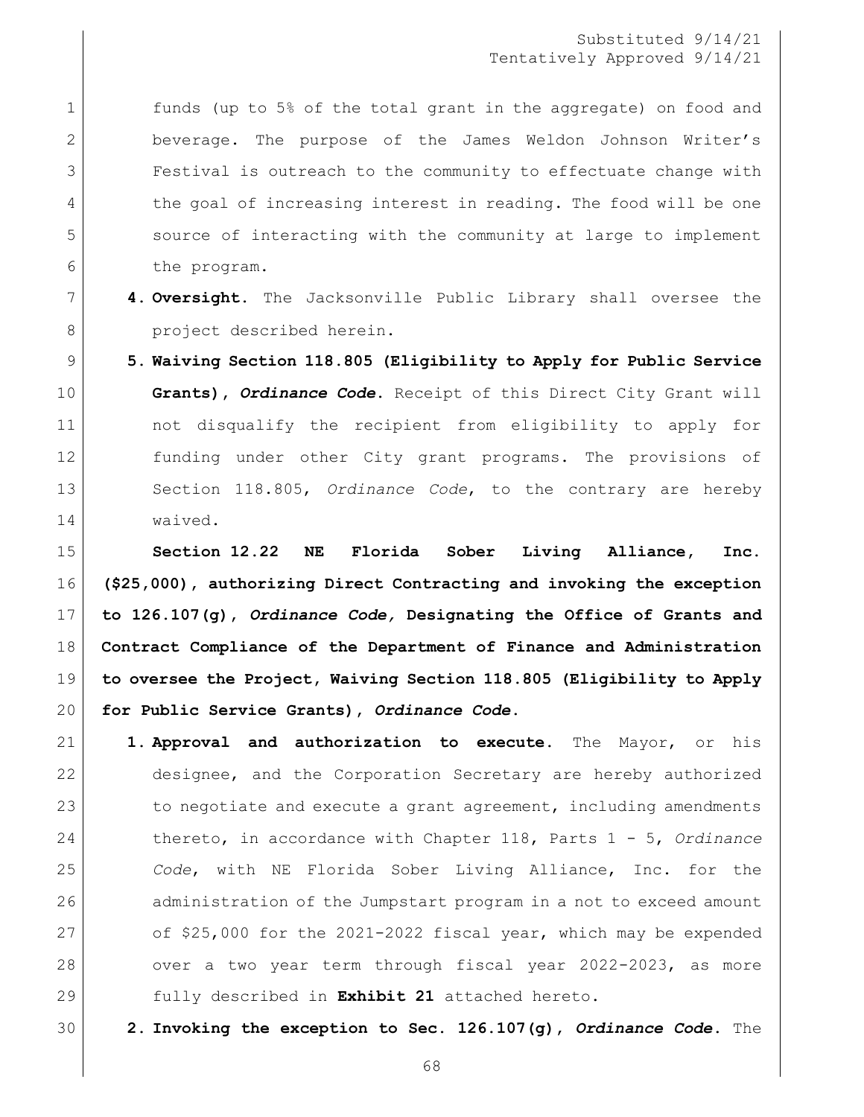1 funds (up to 5% of the total grant in the aggregate) on food and beverage. The purpose of the James Weldon Johnson Writer's Festival is outreach to the community to effectuate change with 4 the goal of increasing interest in reading. The food will be one source of interacting with the community at large to implement the program.

- **4. Oversight.** The Jacksonville Public Library shall oversee the 8 project described herein.
- **5. Waiving Section 118.805 (Eligibility to Apply for Public Service Grants),** *Ordinance Code***.** Receipt of this Direct City Grant will not disqualify the recipient from eligibility to apply for funding under other City grant programs. The provisions of Section 118.805, *Ordinance Code*, to the contrary are hereby waived.

 **Section 12.22 NE Florida Sober Living Alliance, Inc. (\$25,000), authorizing Direct Contracting and invoking the exception to 126.107(g),** *Ordinance Code,* **Designating the Office of Grants and Contract Compliance of the Department of Finance and Administration to oversee the Project, Waiving Section 118.805 (Eligibility to Apply for Public Service Grants),** *Ordinance Code***.**

- **1. Approval and authorization to execute.** The Mayor, or his designee, and the Corporation Secretary are hereby authorized 23 to negotiate and execute a grant agreement, including amendments thereto, in accordance with Chapter 118, Parts 1 - 5, *Ordinance Code*, with NE Florida Sober Living Alliance, Inc. for the 26 administration of the Jumpstart program in a not to exceed amount 27 of  $$25,000$  for the 2021-2022 fiscal year, which may be expended 28 over a two year term through fiscal year 2022-2023, as more fully described in **Exhibit 21** attached hereto.
- **2. Invoking the exception to Sec. 126.107(g),** *Ordinance Code***.** The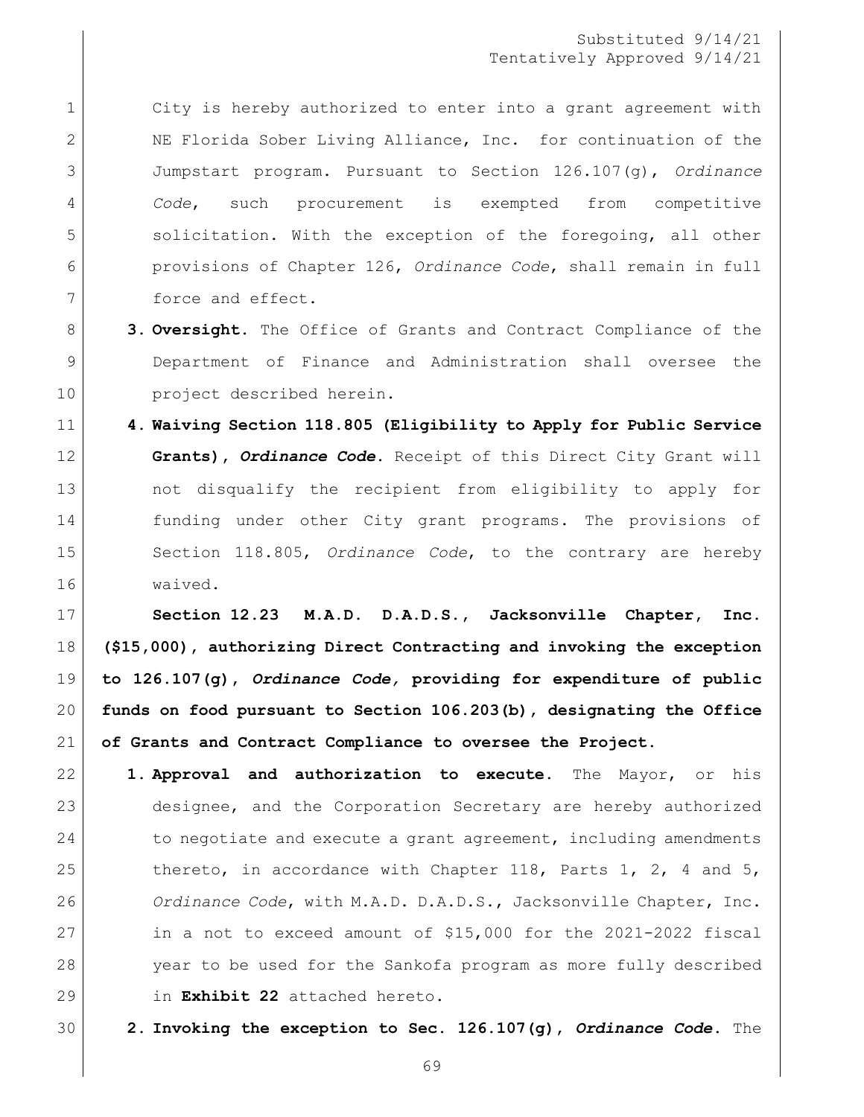1 city is hereby authorized to enter into a grant agreement with 2 NE Florida Sober Living Alliance, Inc. for continuation of the Jumpstart program. Pursuant to Section 126.107(g), *Ordinance Code*, such procurement is exempted from competitive 5 solicitation. With the exception of the foregoing, all other provisions of Chapter 126, *Ordinance Code*, shall remain in full 7 force and effect.

- **3. Oversight.** The Office of Grants and Contract Compliance of the Department of Finance and Administration shall oversee the 10 project described herein.
- **4. Waiving Section 118.805 (Eligibility to Apply for Public Service Grants),** *Ordinance Code***.** Receipt of this Direct City Grant will 13 and the recipient from eligibility to apply for funding under other City grant programs. The provisions of Section 118.805, *Ordinance Code*, to the contrary are hereby waived.

 **Section 12.23 M.A.D. D.A.D.S., Jacksonville Chapter, Inc. (\$15,000), authorizing Direct Contracting and invoking the exception to 126.107(g),** *Ordinance Code,* **providing for expenditure of public funds on food pursuant to Section 106.203(b), designating the Office of Grants and Contract Compliance to oversee the Project.**

- **1. Approval and authorization to execute.** The Mayor, or his designee, and the Corporation Secretary are hereby authorized 24 to negotiate and execute a grant agreement, including amendments 25 thereto, in accordance with Chapter 118, Parts 1, 2, 4 and 5, *Ordinance Code*, with M.A.D. D.A.D.S., Jacksonville Chapter, Inc. in a not to exceed amount of \$15,000 for the 2021-2022 fiscal year to be used for the Sankofa program as more fully described in **Exhibit 22** attached hereto.
- **2. Invoking the exception to Sec. 126.107(g),** *Ordinance Code***.** The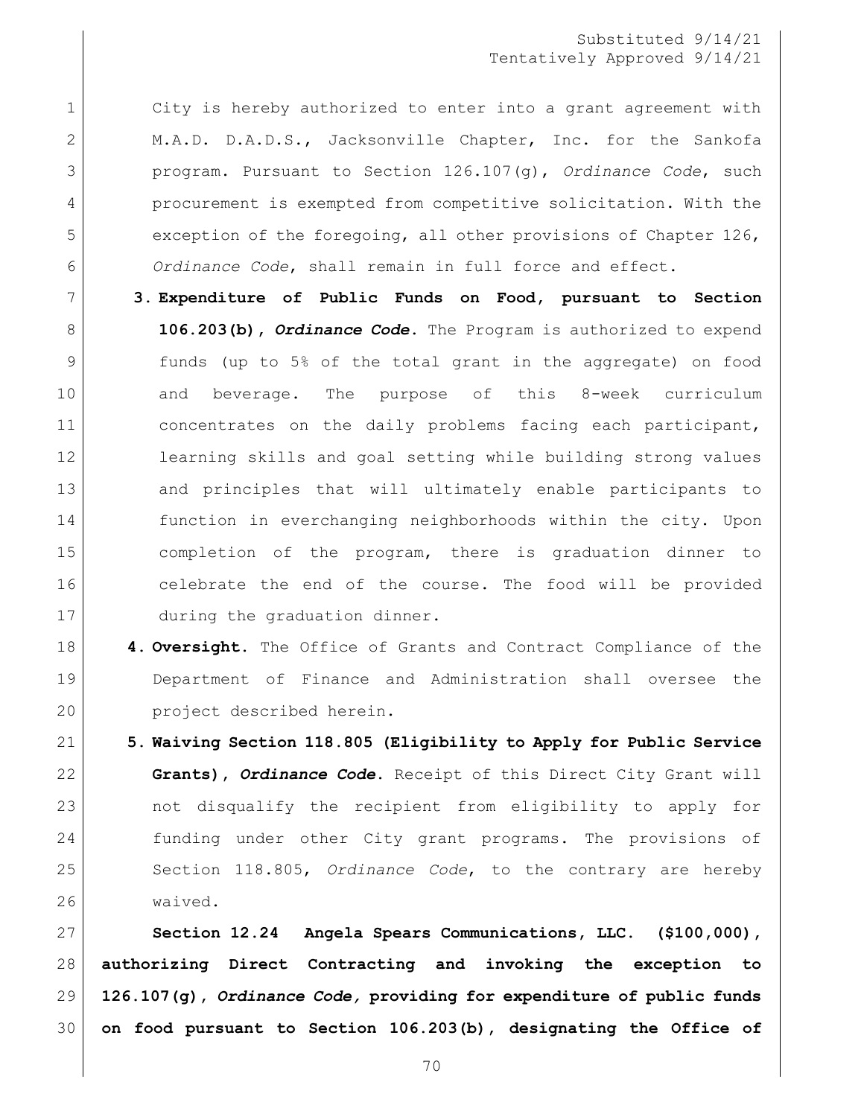1 city is hereby authorized to enter into a grant agreement with 2 M.A.D. D.A.D.S., Jacksonville Chapter, Inc. for the Sankofa program. Pursuant to Section 126.107(g), *Ordinance Code*, such procurement is exempted from competitive solicitation. With the 5 exception of the foregoing, all other provisions of Chapter 126, *Ordinance Code*, shall remain in full force and effect.

- **3. Expenditure of Public Funds on Food, pursuant to Section 106.203(b),** *Ordinance Code***.** The Program is authorized to expend funds (up to 5% of the total grant in the aggregate) on food and beverage. The purpose of this 8-week curriculum 11 concentrates on the daily problems facing each participant, learning skills and goal setting while building strong values and principles that will ultimately enable participants to function in everchanging neighborhoods within the city. Upon completion of the program, there is graduation dinner to celebrate the end of the course. The food will be provided 17 during the graduation dinner.
- **4. Oversight.** The Office of Grants and Contract Compliance of the Department of Finance and Administration shall oversee the project described herein.
- **5. Waiving Section 118.805 (Eligibility to Apply for Public Service Grants),** *Ordinance Code***.** Receipt of this Direct City Grant will not disqualify the recipient from eligibility to apply for funding under other City grant programs. The provisions of Section 118.805, *Ordinance Code*, to the contrary are hereby waived.

 **Section 12.24 Angela Spears Communications, LLC. (\$100,000), authorizing Direct Contracting and invoking the exception to 126.107(g),** *Ordinance Code,* **providing for expenditure of public funds on food pursuant to Section 106.203(b), designating the Office of**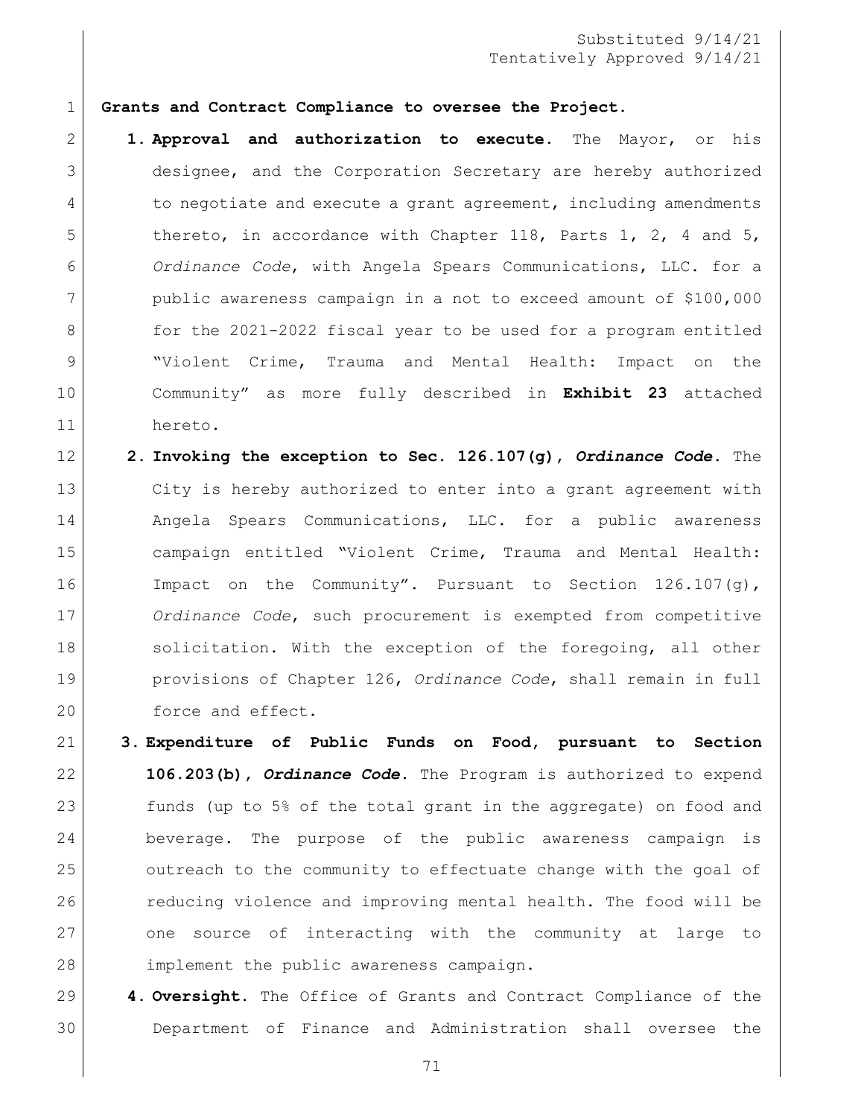**Grants and Contract Compliance to oversee the Project.**

 **1. Approval and authorization to execute.** The Mayor, or his designee, and the Corporation Secretary are hereby authorized 4 to negotiate and execute a grant agreement, including amendments 5 thereto, in accordance with Chapter 118, Parts 1, 2, 4 and 5, *Ordinance Code*, with Angela Spears Communications, LLC. for a public awareness campaign in a not to exceed amount of \$100,000 8 for the 2021-2022 fiscal year to be used for a program entitled "Violent Crime, Trauma and Mental Health: Impact on the Community" as more fully described in **Exhibit 23** attached hereto.

 **2. Invoking the exception to Sec. 126.107(g),** *Ordinance Code***.** The City is hereby authorized to enter into a grant agreement with Angela Spears Communications, LLC. for a public awareness campaign entitled "Violent Crime, Trauma and Mental Health: Impact on the Community". Pursuant to Section 126.107(g), *Ordinance Code*, such procurement is exempted from competitive 18 solicitation. With the exception of the foregoing, all other provisions of Chapter 126, *Ordinance Code*, shall remain in full 20 force and effect.

 **3. Expenditure of Public Funds on Food, pursuant to Section 106.203(b),** *Ordinance Code***.** The Program is authorized to expend funds (up to 5% of the total grant in the aggregate) on food and beverage. The purpose of the public awareness campaign is outreach to the community to effectuate change with the goal of reducing violence and improving mental health. The food will be one source of interacting with the community at large to 28 implement the public awareness campaign.

 **4. Oversight.** The Office of Grants and Contract Compliance of the Department of Finance and Administration shall oversee the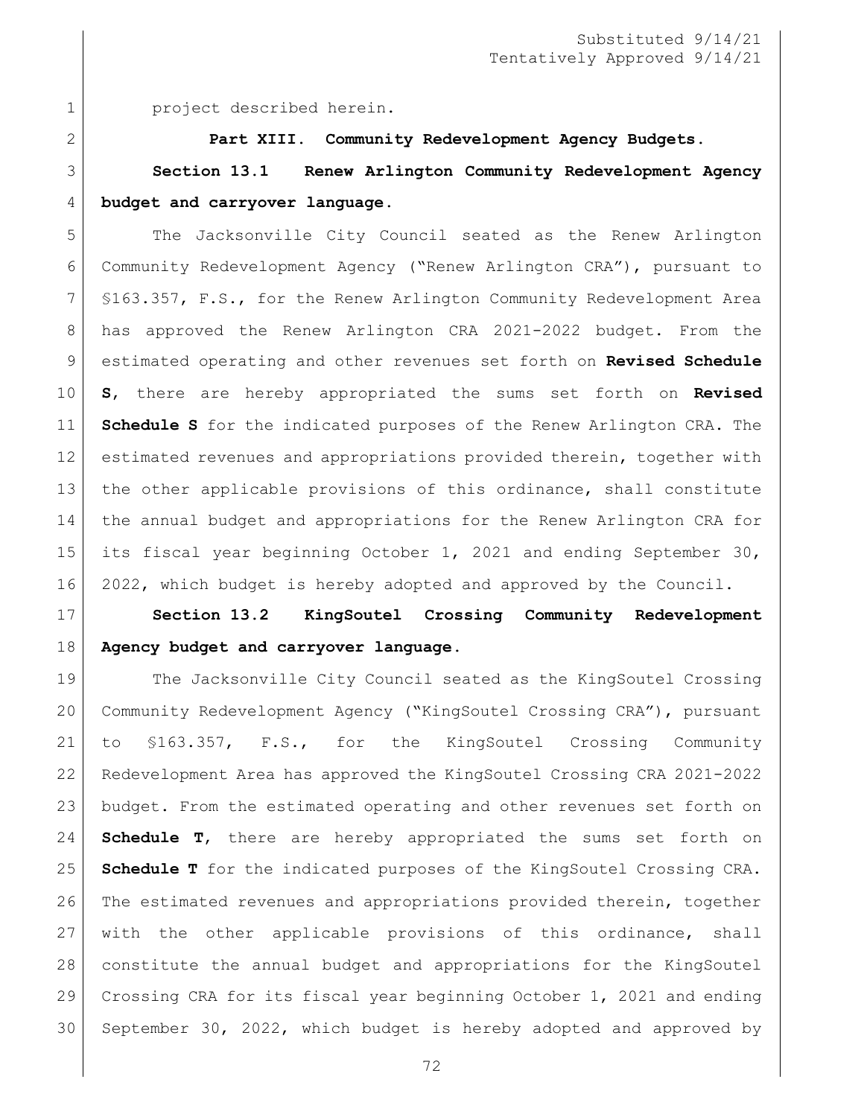project described herein.

#### **Part XIII. Community Redevelopment Agency Budgets.**

 **Section 13.1 Renew Arlington Community Redevelopment Agency budget and carryover language.**

 The Jacksonville City Council seated as the Renew Arlington Community Redevelopment Agency ("Renew Arlington CRA"), pursuant to §163.357, F.S., for the Renew Arlington Community Redevelopment Area has approved the Renew Arlington CRA 2021-2022 budget. From the estimated operating and other revenues set forth on **Revised Schedule S**, there are hereby appropriated the sums set forth on **Revised Schedule S** for the indicated purposes of the Renew Arlington CRA. The estimated revenues and appropriations provided therein, together with 13 | the other applicable provisions of this ordinance, shall constitute the annual budget and appropriations for the Renew Arlington CRA for its fiscal year beginning October 1, 2021 and ending September 30, 2022, which budget is hereby adopted and approved by the Council.

 **Section 13.2 KingSoutel Crossing Community Redevelopment Agency budget and carryover language.**

 The Jacksonville City Council seated as the KingSoutel Crossing Community Redevelopment Agency ("KingSoutel Crossing CRA"), pursuant to §163.357, F.S., for the KingSoutel Crossing Community Redevelopment Area has approved the KingSoutel Crossing CRA 2021-2022 budget. From the estimated operating and other revenues set forth on **Schedule T**, there are hereby appropriated the sums set forth on **Schedule T** for the indicated purposes of the KingSoutel Crossing CRA. The estimated revenues and appropriations provided therein, together with the other applicable provisions of this ordinance, shall constitute the annual budget and appropriations for the KingSoutel Crossing CRA for its fiscal year beginning October 1, 2021 and ending September 30, 2022, which budget is hereby adopted and approved by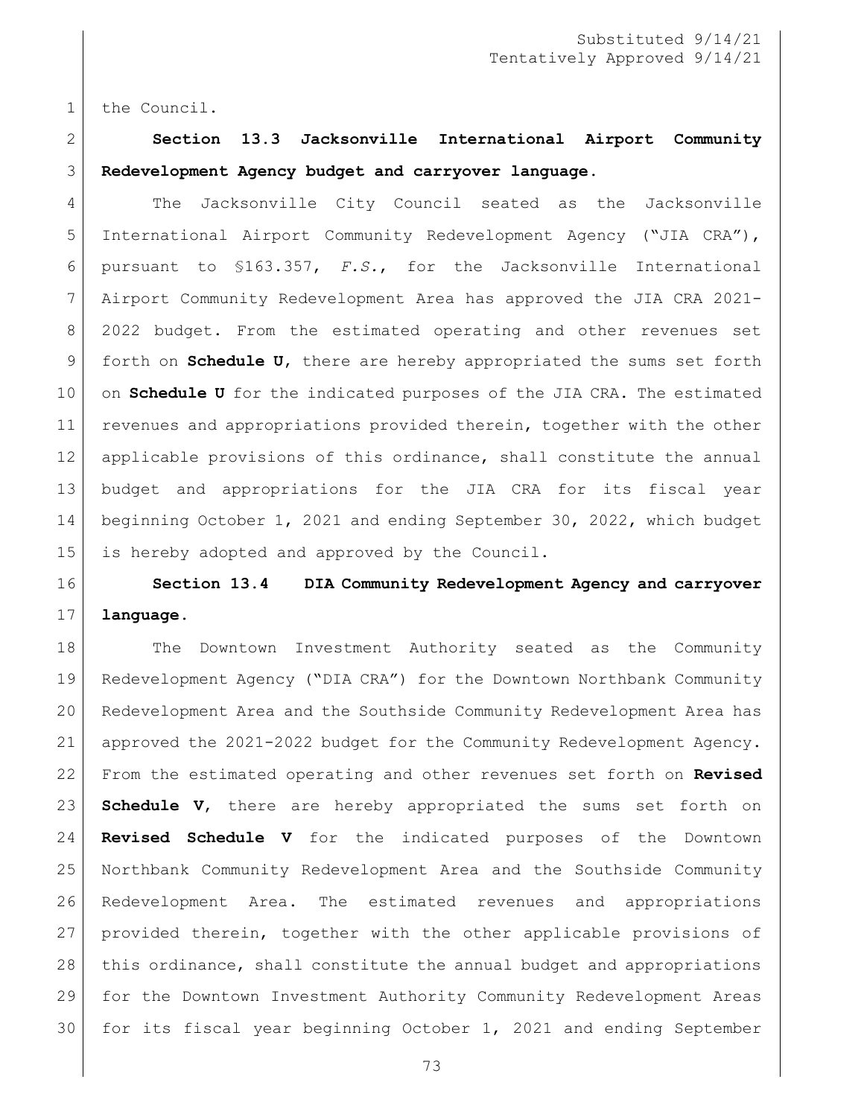the Council.

# **Section 13.3 Jacksonville International Airport Community Redevelopment Agency budget and carryover language.**

 The Jacksonville City Council seated as the Jacksonville International Airport Community Redevelopment Agency ("JIA CRA"), pursuant to §163.357, *F.S.*, for the Jacksonville International Airport Community Redevelopment Area has approved the JIA CRA 2021- 2022 budget. From the estimated operating and other revenues set forth on **Schedule U**, there are hereby appropriated the sums set forth on **Schedule U** for the indicated purposes of the JIA CRA. The estimated revenues and appropriations provided therein, together with the other 12 applicable provisions of this ordinance, shall constitute the annual budget and appropriations for the JIA CRA for its fiscal year beginning October 1, 2021 and ending September 30, 2022, which budget is hereby adopted and approved by the Council.

## **Section 13.4 DIA Community Redevelopment Agency and carryover language.**

18 | The Downtown Investment Authority seated as the Community Redevelopment Agency ("DIA CRA") for the Downtown Northbank Community Redevelopment Area and the Southside Community Redevelopment Area has approved the 2021-2022 budget for the Community Redevelopment Agency. From the estimated operating and other revenues set forth on **Revised Schedule V**, there are hereby appropriated the sums set forth on **Revised Schedule V** for the indicated purposes of the Downtown Northbank Community Redevelopment Area and the Southside Community Redevelopment Area. The estimated revenues and appropriations provided therein, together with the other applicable provisions of this ordinance, shall constitute the annual budget and appropriations for the Downtown Investment Authority Community Redevelopment Areas for its fiscal year beginning October 1, 2021 and ending September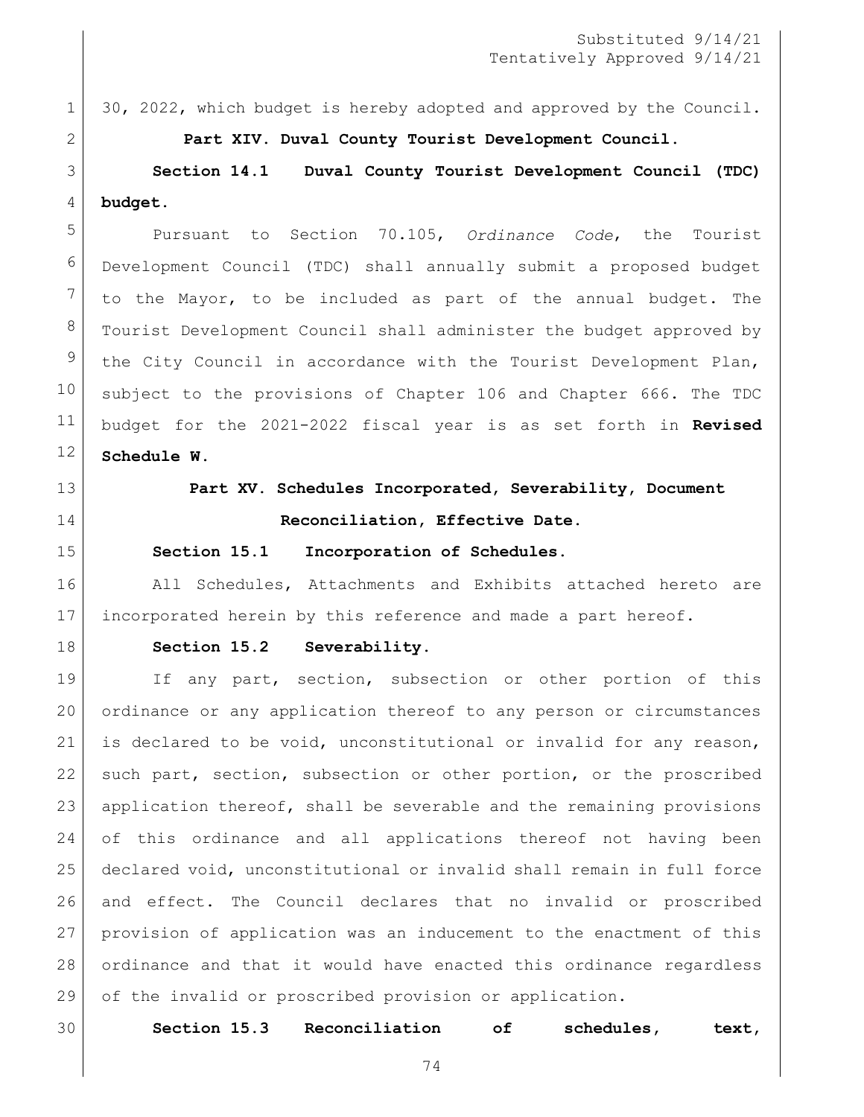1 30, 2022, which budget is hereby adopted and approved by the Council.

**Part XIV. Duval County Tourist Development Council.**

 **Section 14.1 Duval County Tourist Development Council (TDC) budget.**

 Pursuant to Section 70.105, *Ordinance Code*, the Tourist Development Council (TDC) shall annually submit a proposed budget to the Mayor, to be included as part of the annual budget. The Tourist Development Council shall administer the budget approved by the City Council in accordance with the Tourist Development Plan, subject to the provisions of [Chapter 106](https://library.municode.com/fl/jacksonville/codes/code_of_ordinances?nodeId=TITVADPE_CH106BUACCO) and [Chapter 666.](https://library.municode.com/fl/jacksonville/codes/code_of_ordinances?nodeId=TITXVIIILIRE_CH666DUCOTODEPL) The TDC budget for the 2021-2022 fiscal year is as set forth in **Revised Schedule W**.

- 
- 

# **Part XV. Schedules Incorporated, Severability, Document Reconciliation, Effective Date.**

#### **Section 15.1 Incorporation of Schedules.**

16 All Schedules, Attachments and Exhibits attached hereto are incorporated herein by this reference and made a part hereof.

#### **Section 15.2 Severability.**

19 If any part, section, subsection or other portion of this ordinance or any application thereof to any person or circumstances is declared to be void, unconstitutional or invalid for any reason, 22 such part, section, subsection or other portion, or the proscribed application thereof, shall be severable and the remaining provisions of this ordinance and all applications thereof not having been declared void, unconstitutional or invalid shall remain in full force and effect. The Council declares that no invalid or proscribed provision of application was an inducement to the enactment of this ordinance and that it would have enacted this ordinance regardless 29 of the invalid or proscribed provision or application.

**Section 15.3 Reconciliation of schedules, text,**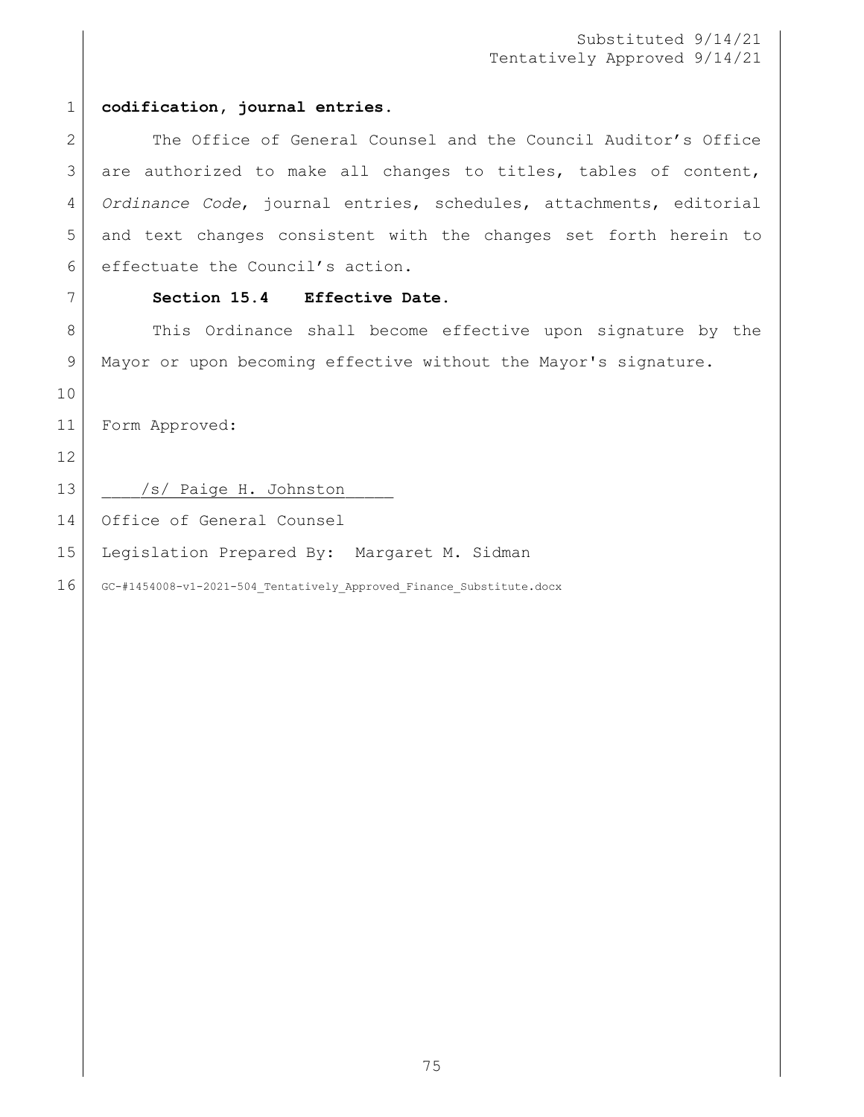#### **codification, journal entries.**

2 The Office of General Counsel and the Council Auditor's Office 3 are authorized to make all changes to titles, tables of content, *Ordinance Code*, journal entries, schedules, attachments, editorial and text changes consistent with the changes set forth herein to effectuate the Council's action.

#### **Section 15.4 Effective Date.**

8 This Ordinance shall become effective upon signature by the Mayor or upon becoming effective without the Mayor's signature.

Form Approved:

13 | /s/ Paige H. Johnston

Office of General Counsel

Legislation Prepared By: Margaret M. Sidman

16 GC-#1454008-v1-2021-504 Tentatively Approved Finance Substitute.docx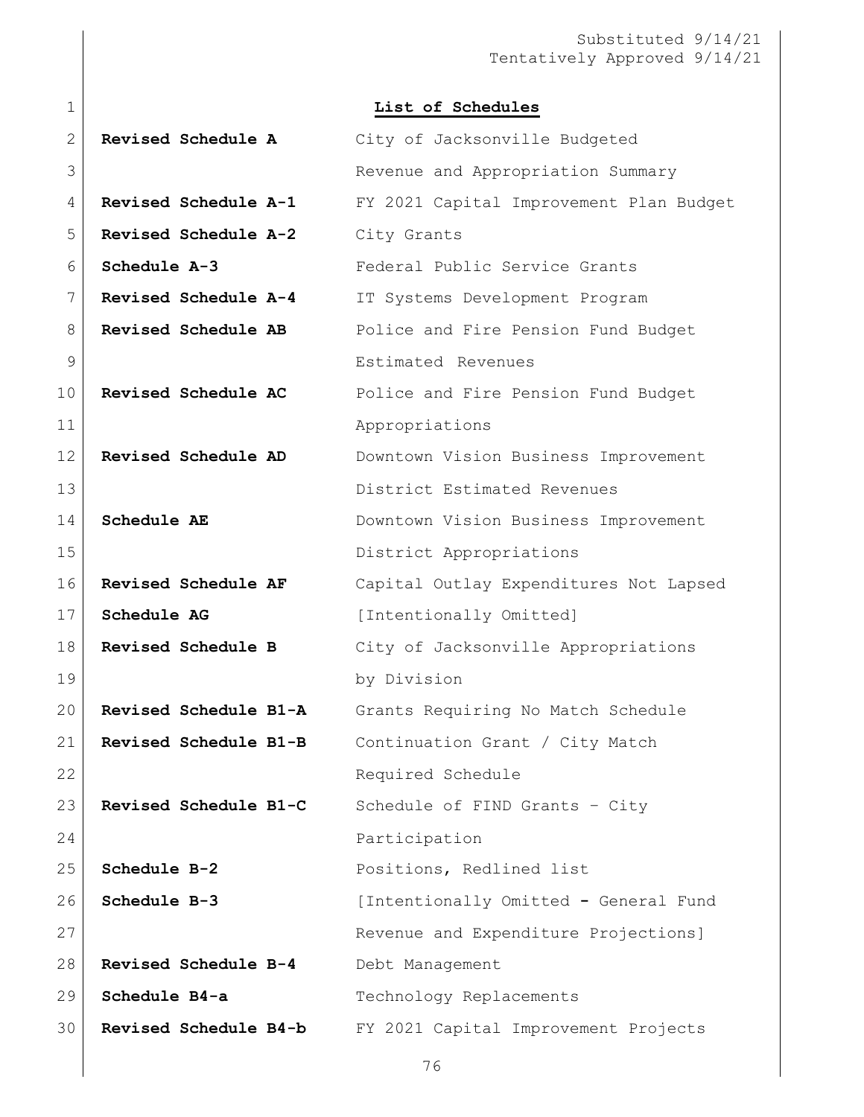|                             | List of Schedules                       |
|-----------------------------|-----------------------------------------|
| <b>Revised Schedule A</b>   | City of Jacksonville Budgeted           |
|                             | Revenue and Appropriation Summary       |
| <b>Revised Schedule A-1</b> | FY 2021 Capital Improvement Plan Budget |
| Revised Schedule A-2        | City Grants                             |
| Schedule A-3                | Federal Public Service Grants           |
| Revised Schedule A-4        | IT Systems Development Program          |
| Revised Schedule AB         | Police and Fire Pension Fund Budget     |
|                             | Estimated Revenues                      |
| Revised Schedule AC         | Police and Fire Pension Fund Budget     |
|                             | Appropriations                          |
| Revised Schedule AD         | Downtown Vision Business Improvement    |
|                             | District Estimated Revenues             |
| Schedule AE                 | Downtown Vision Business Improvement    |
|                             | District Appropriations                 |
| Revised Schedule AF         | Capital Outlay Expenditures Not Lapsed  |
| Schedule AG                 | [Intentionally Omitted]                 |
| Revised Schedule B          | City of Jacksonville Appropriations     |
|                             | by Division                             |
| Revised Schedule B1-A       | Grants Requiring No Match Schedule      |
| Revised Schedule B1-B       | Continuation Grant / City Match         |
|                             | Required Schedule                       |
| Revised Schedule B1-C       | Schedule of FIND Grants - City          |
|                             | Participation                           |
| Schedule B-2                | Positions, Redlined list                |
| Schedule B-3                | [Intentionally Omitted - General Fund   |
|                             | Revenue and Expenditure Projections]    |
| Revised Schedule B-4        | Debt Management                         |
| Schedule B4-a               | Technology Replacements                 |
| Revised Schedule B4-b       | FY 2021 Capital Improvement Projects    |
|                             |                                         |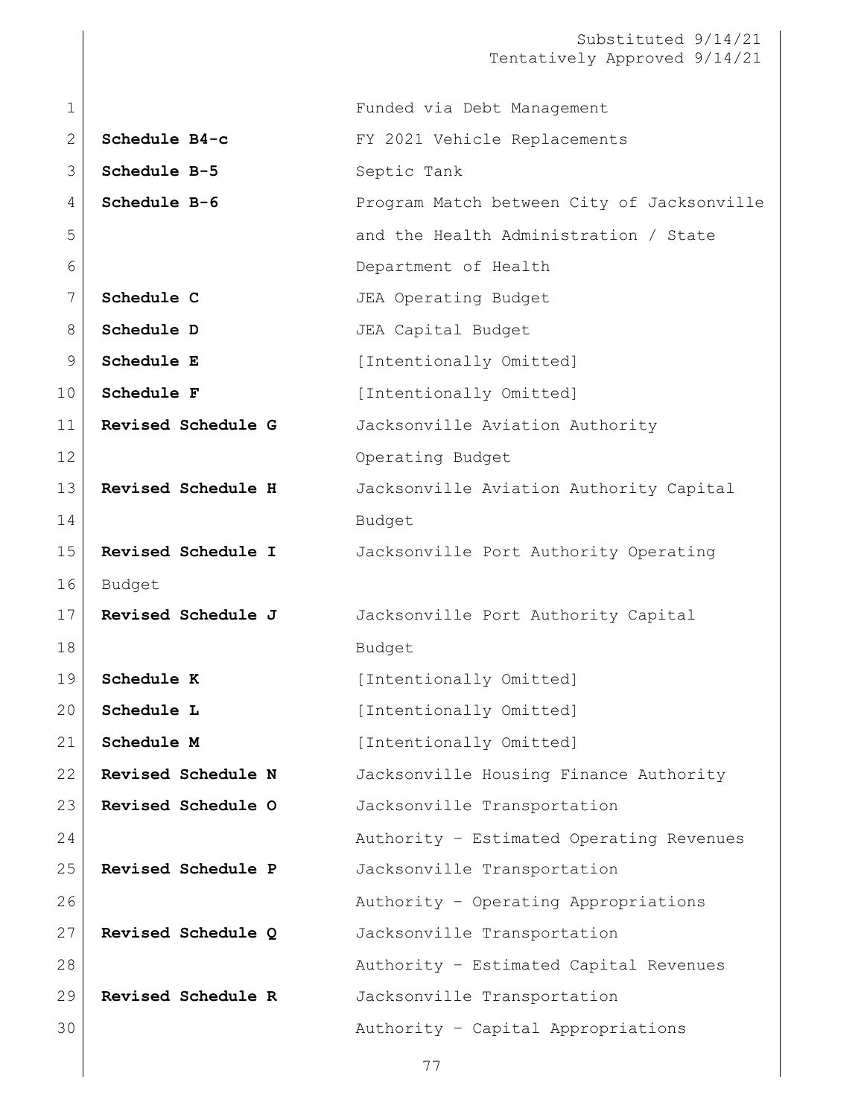| $\mathbf 1$  |                    | Funded via Debt Management                 |
|--------------|--------------------|--------------------------------------------|
| $\mathbf{2}$ | Schedule B4-c      | FY 2021 Vehicle Replacements               |
| 3            | Schedule B-5       | Septic Tank                                |
| 4            | Schedule B-6       | Program Match between City of Jacksonville |
| 5            |                    | and the Health Administration / State      |
| 6            |                    | Department of Health                       |
| 7            | Schedule C         | JEA Operating Budget                       |
| 8            | Schedule D         | JEA Capital Budget                         |
| $\mathsf 9$  | Schedule E         | [Intentionally Omitted]                    |
| 10           | Schedule F         | [Intentionally Omitted]                    |
| 11           | Revised Schedule G | Jacksonville Aviation Authority            |
| 12           |                    | Operating Budget                           |
| 13           | Revised Schedule H | Jacksonville Aviation Authority Capital    |
| 14           |                    | Budget                                     |
| 15           | Revised Schedule I | Jacksonville Port Authority Operating      |
| 16           | Budget             |                                            |
| 17           | Revised Schedule J | Jacksonville Port Authority Capital        |
| 18           |                    | Budget                                     |
| 19           | Schedule K         | [Intentionally Omitted]                    |
| 20           | Schedule L         | [Intentionally Omitted]                    |
| 21           | Schedule M         | [Intentionally Omitted]                    |
| 22           | Revised Schedule N | Jacksonville Housing Finance Authority     |
| 23           | Revised Schedule O | Jacksonville Transportation                |
| 24           |                    | Authority - Estimated Operating Revenues   |
| 25           | Revised Schedule P | Jacksonville Transportation                |
| 26           |                    | Authority - Operating Appropriations       |
| 27           | Revised Schedule Q | Jacksonville Transportation                |
| 28           |                    | Authority - Estimated Capital Revenues     |
| 29           | Revised Schedule R | Jacksonville Transportation                |
| 30           |                    | Authority - Capital Appropriations         |
|              |                    |                                            |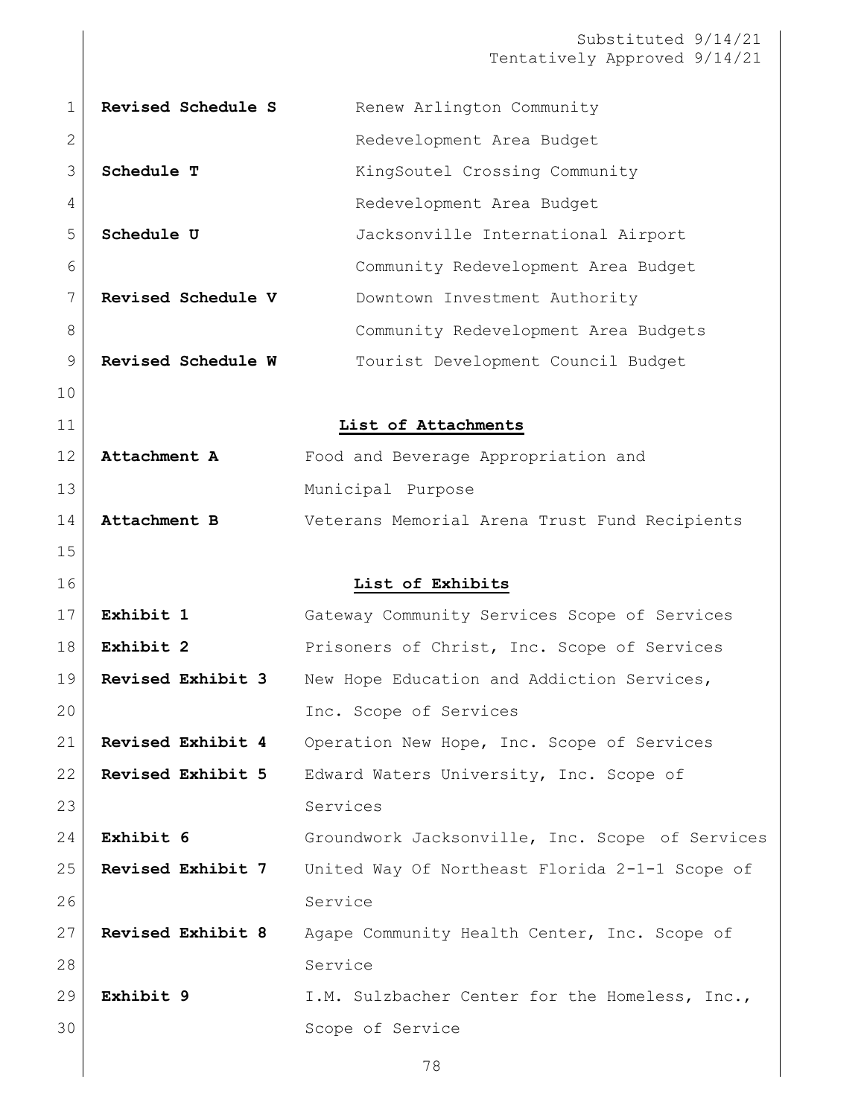| 1              | Revised Schedule S       | Renew Arlington Community                       |
|----------------|--------------------------|-------------------------------------------------|
| 2              |                          | Redevelopment Area Budget                       |
| 3              | Schedule T               | KingSoutel Crossing Community                   |
| 4              |                          | Redevelopment Area Budget                       |
| 5              | Schedule U               | Jacksonville International Airport              |
| 6              |                          | Community Redevelopment Area Budget             |
| 7              | Revised Schedule V       | Downtown Investment Authority                   |
| 8              |                          | Community Redevelopment Area Budgets            |
| 9              | Revised Schedule W       | Tourist Development Council Budget              |
| 10             |                          |                                                 |
| 11             |                          | List of Attachments                             |
| 12             | Attachment A             | Food and Beverage Appropriation and             |
| 13             |                          | Municipal Purpose                               |
| 14             | Attachment B             | Veterans Memorial Arena Trust Fund Recipients   |
| 15             |                          |                                                 |
| 16             |                          | List of Exhibits                                |
| 17             | Exhibit 1                | Gateway Community Services Scope of Services    |
|                |                          |                                                 |
| 18             | Exhibit 2                | Prisoners of Christ, Inc. Scope of Services     |
| 19             | Revised Exhibit 3        | New Hope Education and Addiction Services,      |
| 20             |                          | Inc. Scope of Services                          |
| 21             | Revised Exhibit 4        | Operation New Hope, Inc. Scope of Services      |
| 22             | <b>Revised Exhibit 5</b> | Edward Waters University, Inc. Scope of         |
| 23             |                          | Services                                        |
| 24             | Exhibit 6                | Groundwork Jacksonville, Inc. Scope of Services |
| 25             | Revised Exhibit 7        | United Way Of Northeast Florida 2-1-1 Scope of  |
| 26             |                          | Service                                         |
|                | Revised Exhibit 8        | Agape Community Health Center, Inc. Scope of    |
|                |                          | Service                                         |
| 27<br>28<br>29 | Exhibit 9                | I.M. Sulzbacher Center for the Homeless, Inc.,  |
| 30             |                          | Scope of Service                                |